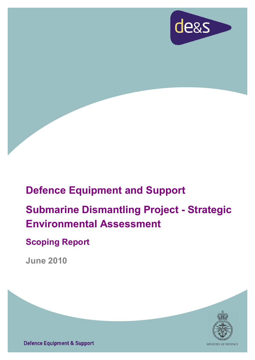

# **Defence Equipment and Support**

# **Submarine Dismantling Project - Strategic Environmental Assessment**

# **Scoping Report**

**June 2010** 

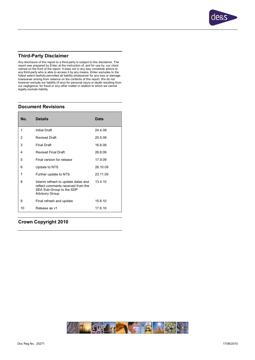

#### **Third-Party Disclaimer**

Any disclosure of this report to a third-party is subject to this disclaimer. The report was prepared by Entec at the instruction of, and for use by, our client named on the front of the report. It does not in any way constitute advice to<br>any third-party who is able to access it by any means. Entec excludes to the<br>fullest extent lawfully permitted all liability whatsoever for any howsoever arising from reliance on the contents of this report. We do not however exclude our liability (if any) for personal injury or death resulting from our negligence, for fraud or any other matter in relation to which we cannot legally exclude liability.

#### **Document Revisions**

| No. | <b>Details</b>                                                                                                                 | <b>Date</b> |
|-----|--------------------------------------------------------------------------------------------------------------------------------|-------------|
| 1   | <b>Initial Draft</b>                                                                                                           | 24.4.09     |
| 2   | <b>Revised Draft</b>                                                                                                           | 20.5.09     |
| 3   | <b>Final Draft</b>                                                                                                             | 16.6.09     |
| 4   | <b>Revised Final Draft</b>                                                                                                     | 26.8.09     |
| 5   | Final version for release                                                                                                      | 17.9.09     |
| 6   | Update to NTS                                                                                                                  | 26.10.09    |
| 7   | Further update to NTS                                                                                                          | 23.11.09    |
| 8   | Interim refresh to update dates and<br>reflect comments received from the<br>SEA Sub-Group to the SDP<br><b>Advisory Group</b> | 134 10      |
| 9   | Final refresh and update                                                                                                       | 15.6.10     |
| 10  | Release as v1                                                                                                                  | 17.6.10     |

#### **Crown Copyright 2010**

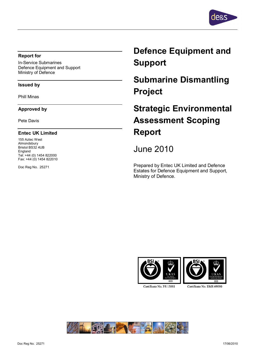

#### **Report for**

In-Service Submarines Defence Equipment and Support Ministry of Defence

#### **Issued by**

Phill Minas

#### **Approved by**

Pete Davis

#### **Entec UK Limited**

155 Aztec West Almondsbury Bristol BS32 4UB England Tel: +44 (0) 1454 822000 Fax: +44 (0) 1454 822010

Doc Reg No. 25271

# **Defence Equipment and Support**

**Submarine Dismantling Project** 

# **Strategic Environmental Assessment Scoping Report**

June 2010

Prepared by Entec UK Limited and Defence Estates for Defence Equipment and Support, Ministry of Defence.





Certificate No. FS 13881

Certificate No. EMS 69090

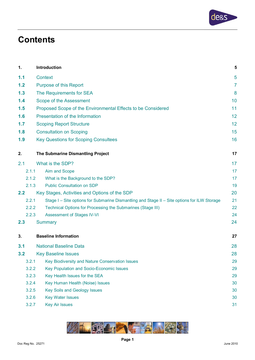

# **Contents**

| 1.  |       | Introduction                                                                                 | 5              |
|-----|-------|----------------------------------------------------------------------------------------------|----------------|
| 1.1 |       | <b>Context</b>                                                                               | 5              |
| 1.2 |       | <b>Purpose of this Report</b>                                                                | $\overline{7}$ |
| 1.3 |       | The Requirements for SEA                                                                     | 8              |
| 1.4 |       | Scope of the Assessment                                                                      | 10             |
| 1.5 |       | Proposed Scope of the Environmental Effects to be Considered                                 | 11             |
| 1.6 |       | Presentation of the Information                                                              | 12             |
| 1.7 |       | <b>Scoping Report Structure</b>                                                              | 12             |
| 1.8 |       | <b>Consultation on Scoping</b>                                                               | 15             |
| 1.9 |       | <b>Key Questions for Scoping Consultees</b>                                                  | 16             |
| 2.  |       | The Submarine Dismantling Project                                                            | 17             |
| 2.1 |       | What is the SDP?                                                                             | 17             |
|     | 2.1.1 | Aim and Scope                                                                                | 17             |
|     | 2.1.2 | What is the Background to the SDP?                                                           | 17             |
|     | 2.1.3 | <b>Public Consultation on SDP</b>                                                            | 19             |
| 2.2 |       | Key Stages, Activities and Options of the SDP                                                | 20             |
|     | 2.2.1 | Stage I – Site options for Submarine Dismantling and Stage II – Site options for ILW Storage | 21             |
|     | 2.2.2 | Technical Options for Processing the Submarines (Stage III)                                  | 22             |
|     | 2.2.3 | <b>Assessment of Stages IV-VI</b>                                                            | 24             |
| 2.3 |       | <b>Summary</b>                                                                               | 24             |
| 3.  |       | <b>Baseline Information</b>                                                                  | 27             |
| 3.1 |       | <b>National Baseline Data</b>                                                                | 28             |
| 3.2 |       | <b>Key Baseline Issues</b>                                                                   | 28             |
|     | 3.2.1 | Key Biodiversity and Nature Conservation Issues                                              | 29             |
|     | 3.2.2 | Key Population and Socio-Economic Issues                                                     | 29             |
|     | 3.2.3 | Key Health Issues for the SEA                                                                | 29             |
|     | 3.2.4 | Key Human Health (Noise) Issues                                                              | 30             |
|     | 3.2.5 | <b>Key Soils and Geology Issues</b>                                                          | 30             |
|     | 3.2.6 | <b>Key Water Issues</b>                                                                      | 30             |
|     | 3.2.7 | <b>Key Air Issues</b>                                                                        | 31             |

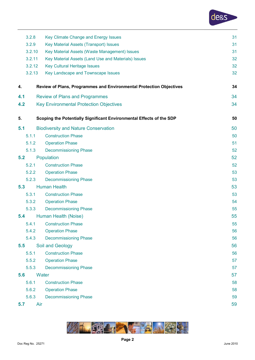

|        | 3.2.8  | Key Climate Change and Energy Issues                                 | 31 |
|--------|--------|----------------------------------------------------------------------|----|
|        | 3.2.9  | Key Material Assets (Transport) Issues                               | 31 |
| 3.2.10 |        | Key Material Assets (Waste Management) Issues                        | 31 |
|        | 3.2.11 | Key Material Assets (Land Use and Materials) Issues                  | 32 |
|        | 3.2.12 | <b>Key Cultural Heritage Issues</b>                                  | 32 |
|        | 3.2.13 | Key Landscape and Townscape Issues                                   | 32 |
| 4.     |        | Review of Plans, Programmes and Environmental Protection Objectives  | 34 |
| 4.1    |        | <b>Review of Plans and Programmes</b>                                | 34 |
| 4.2    |        | <b>Key Environmental Protection Objectives</b>                       | 34 |
| 5.     |        | Scoping the Potentially Significant Environmental Effects of the SDP | 50 |
| 5.1    |        | <b>Biodiversity and Nature Conservation</b>                          | 50 |
|        | 5.1.1  | <b>Construction Phase</b>                                            | 50 |
|        | 5.1.2  | <b>Operation Phase</b>                                               | 51 |
|        | 5.1.3  | <b>Decommissioning Phase</b>                                         | 52 |
| 5.2    |        | Population                                                           | 52 |
|        | 5.2.1  | <b>Construction Phase</b>                                            | 52 |
|        | 5.2.2  | <b>Operation Phase</b>                                               | 53 |
|        | 5.2.3  | <b>Decommissioning Phase</b>                                         | 53 |
| 5.3    |        | <b>Human Health</b>                                                  | 53 |
|        | 5.3.1  | <b>Construction Phase</b>                                            | 53 |
|        | 5.3.2  | <b>Operation Phase</b>                                               | 54 |
|        | 5.3.3  | <b>Decommissioning Phase</b>                                         | 55 |
| 5.4    |        | Human Health (Noise)                                                 | 55 |
|        |        | 5.4.1 Construction Phase                                             | 55 |
|        | 5.4.2  | <b>Operation Phase</b>                                               | 56 |
|        | 5.4.3  | <b>Decommissioning Phase</b>                                         | 56 |
| 5.5    |        | Soil and Geology                                                     | 56 |
|        | 5.5.1  | <b>Construction Phase</b>                                            | 56 |
|        | 5.5.2  | <b>Operation Phase</b>                                               | 57 |
|        | 5.5.3  | <b>Decommissioning Phase</b>                                         | 57 |
| 5.6    |        | Water                                                                | 57 |
|        | 5.6.1  | <b>Construction Phase</b>                                            | 58 |
|        | 5.6.2  | <b>Operation Phase</b>                                               | 58 |
|        | 5.6.3  | <b>Decommissioning Phase</b>                                         | 59 |
| 5.7    |        | Air                                                                  | 59 |

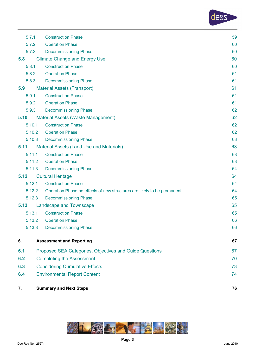

|      | 5.7.1                                 | <b>Construction Phase</b>                                                | 59 |
|------|---------------------------------------|--------------------------------------------------------------------------|----|
|      | 5.7.2                                 | <b>Operation Phase</b>                                                   | 60 |
|      | 5.7.3                                 | <b>Decommissioning Phase</b>                                             | 60 |
| 5.8  |                                       | <b>Climate Change and Energy Use</b>                                     | 60 |
|      | 5.8.1                                 | <b>Construction Phase</b>                                                | 60 |
|      | 5.8.2                                 | <b>Operation Phase</b>                                                   | 61 |
|      | 5.8.3                                 | <b>Decommissioning Phase</b>                                             | 61 |
| 5.9  |                                       | <b>Material Assets (Transport)</b>                                       | 61 |
|      | 5.9.1                                 | <b>Construction Phase</b>                                                | 61 |
|      | 5.9.2                                 | <b>Operation Phase</b>                                                   | 61 |
|      | 5.9.3                                 | <b>Decommissioning Phase</b>                                             | 62 |
| 5.10 |                                       | <b>Material Assets (Waste Management)</b>                                | 62 |
|      | 5.10.1                                | <b>Construction Phase</b>                                                | 62 |
|      | 5.10.2                                | <b>Operation Phase</b>                                                   | 62 |
|      | 5.10.3                                | <b>Decommissioning Phase</b>                                             | 63 |
| 5.11 |                                       | Material Assets (Land Use and Materials)                                 | 63 |
|      | 5.11.1                                | <b>Construction Phase</b>                                                | 63 |
|      | 5.11.2                                | <b>Operation Phase</b>                                                   | 63 |
|      | 5.11.3                                | <b>Decommissioning Phase</b>                                             | 64 |
| 5.12 |                                       | <b>Cultural Heritage</b>                                                 | 64 |
|      | 5.12.1                                | <b>Construction Phase</b>                                                | 64 |
|      | 5.12.2                                | Operation Phase he effects of new structures are likely to be permanent, | 64 |
|      | 5.12.3                                | <b>Decommissioning Phase</b>                                             | 65 |
| 5.13 |                                       | <b>Landscape and Townscape</b>                                           | 65 |
|      | 5.13.1                                | <b>Construction Phase</b>                                                | 65 |
|      | 5.13.2                                | <b>Operation Phase</b>                                                   | 66 |
|      | 5.13.3                                | <b>Decommissioning Phase</b>                                             | 66 |
| 6.   |                                       | <b>Assessment and Reporting</b>                                          | 67 |
| 6.1  |                                       | Proposed SEA Categories, Objectives and Guide Questions                  | 67 |
| 6.2  | <b>Completing the Assessment</b>      |                                                                          | 70 |
| 6.3  | <b>Considering Cumulative Effects</b> |                                                                          |    |
| 6.4  | <b>Environmental Report Content</b>   |                                                                          | 74 |
| 7.   |                                       | <b>Summary and Next Steps</b>                                            | 76 |



**Page 3**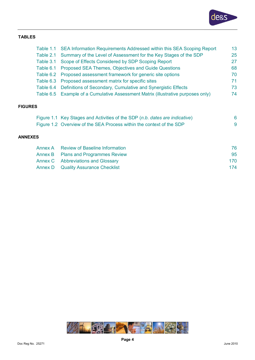

#### **TABLES**

| Table 1.1 SEA Information Requirements Addressed within this SEA Scoping Report  | 13 |
|----------------------------------------------------------------------------------|----|
| Table 2.1 Summary of the Level of Assessment for the Key Stages of the SDP       | 25 |
| Table 3.1 Scope of Effects Considered by SDP Scoping Report                      | 27 |
| Table 6.1 Proposed SEA Themes, Objectives and Guide Questions                    | 68 |
| Table 6.2 Proposed assessment framework for generic site options                 | 70 |
| Table 6.3 Proposed assessment matrix for specific sites                          | 71 |
| Table 6.4 Definitions of Secondary, Cumulative and Synergistic Effects           | 73 |
| Table 6.5 Example of a Cumulative Assessment Matrix (illustrative purposes only) | 74 |
|                                                                                  |    |
|                                                                                  |    |

#### **FIGURES**

| Figure 1.1 Key Stages and Activities of the SDP ( <i>n.b. dates are indicative</i> ) |  |
|--------------------------------------------------------------------------------------|--|
| Figure 1.2 Overview of the SEA Process within the context of the SDP                 |  |

#### **ANNEXES**

| Annex A Review of Baseline Information     | 76. |
|--------------------------------------------|-----|
| Annex B Plans and Programmes Review        | 95  |
| Annex C Abbreviations and Glossary         | 170 |
| <b>Annex D</b> Quality Assurance Checklist | 174 |

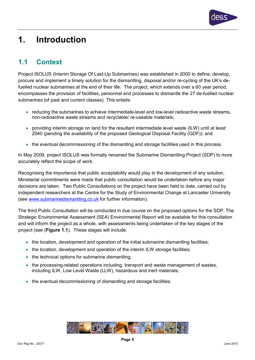

# **1. Introduction**

# **1.1 Context**

Project ISOLUS (Interim Storage Of Laid-Up Submarines) was established in 2000 to define, develop, procure and implement a timely solution for the dismantling, disposal and/or re-cycling of the UK's defuelled nuclear submarines at the end of their life. The project, which extends over a 60 year period, encompasses the provision of facilities, personnel and processes to dismantle the 27 de-fuelled nuclear submarines (of past and current classes). This entails:

- · reducing the submarines to achieve intermediate-level and low-level radioactive waste streams, non-radioactive waste streams and recyclable/ re-useable materials;
- · providing interim storage on land for the resultant intermediate level waste (ILW) until at least 2040 (pending the availability of the proposed Geological Disposal Facility (GDF)); and
- the eventual decommissioning of the dismantling and storage facilities used in this process.

In May 2009, project ISOLUS was formally renamed the Submarine Dismantling Project (SDP) to more accurately reflect the scope of work.

Recognising the importance that public acceptability would play in the development of any solution, Ministerial commitments were made that public consultation would be undertaken before any major decisions are taken. Two Public Consultations on the project have been held to date, carried out by independent researchers at the Centre for the Study of Environmental Change at Lancaster University (see [www.submarinedismantling.co.uk](http://www.submarinedismantling.co.uk) for further information).

The third Public Consultation will be conducted in due course on the proposed options for the SDP. The Strategic Environmental Assessment (SEA) Environmental Report will be available for this consultation and will inform the project as a whole, with assessments being undertaken of the key stages of the project (see (**Figure 1.1**). These stages will include:

- the location, development and operation of the initial submarine dismantling facilities;
- the location, development and operation of the interim ILW storage facilities;
- the technical options for submarine dismantling;
- the processing-related operations including, transport and waste management of wastes, including ILW, Low Level Waste (LLW), hazardous and inert materials;
- the eventual decommissioning of dismantling and storage facilities.

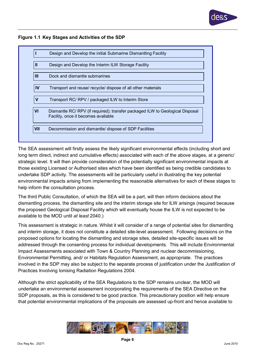

#### **Figure 1.1 Key Stages and Activities of the SDP**

|             | Design and Develop the initial Submarine Dismantling Facility                                                        |  |  |  |
|-------------|----------------------------------------------------------------------------------------------------------------------|--|--|--|
| Ш           | Design and Develop the Interim ILW Storage Facility                                                                  |  |  |  |
| Ш           | Dock and dismantle submarines                                                                                        |  |  |  |
| IV          | Transport and reuse/ recycle/ dispose of all other materials                                                         |  |  |  |
| $\mathbf v$ | Transport RC/ RPV / packaged ILW to Interim Store                                                                    |  |  |  |
| VI          | Dismantle RC/ RPV (if required); transfer packaged ILW to Geological Disposal<br>Facility, once it becomes available |  |  |  |
| VII         | Decommission and dismantle/ dispose of SDP Facilities                                                                |  |  |  |

The SEA assessment will firstly assess the likely significant environmental effects (including short and long term direct, indirect and cumulative effects) associated with each of the above stages, at a generic/ strategic level. It will then provide consideration of the potentially significant environmental impacts at those existing Licensed or Authorised sites which have been identified as being credible candidates to undertake SDP activity. The assessments will be particularly useful in illustrating the key potential environmental impacts arising from implementing the reasonable alternatives for each of these stages to help inform the consultation process.

The third Public Consultation, of which the SEA will be a part, will then inform decisions about the dismantling process, the dismantling site and the interim storage site for ILW arisings (required because the proposed Geological Disposal Facility which will eventually house the ILW is not expected to be available to the MOD until *at least* 2040.)

This assessment is strategic in nature. Whilst it will consider of a range of potential sites for dismantling and interim storage, it does not constitute a detailed site-level assessment. Following decisions on the proposed options for locating the dismantling and storage sites, detailed site-specific issues will be addressed through the consenting process for individual developments. This will include Environmental Impact Assessments associated with Town & Country Planning and nuclear decommissioning, Environmental Permitting, and/ or Habitats Regulation Assessment, as appropriate. The practices involved in the SDP may also be subject to the separate process of justification under the Justification of Practices Involving Ionising Radiation Regulations 2004.

Although the strict applicability of the SEA Regulations to the SDP remains unclear, the MOD will undertake an environmental assessment incorporating the requirements of the SEA Directive on the SDP proposals, as this is considered to be good practice. This precautionary position will help ensure that potential environmental implications of the proposals are assessed up-front and hence available to

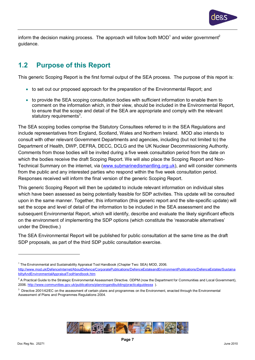

inform the decision making process. The approach will follow both MOD<sup>1</sup> and wider government<sup>2</sup> guidance.

# **1.2 Purpose of this Report**

This generic Scoping Report is the first formal output of the SEA process. The purpose of this report is:

- to set out our proposed approach for the preparation of the Environmental Report; and
- · to provide the SEA scoping consultation bodies with sufficient information to enable them to comment on the information which, in their view, should be included in the Environmental Report, to ensure that the scope and detail of the SEA are appropriate and comply with the relevant statutory requirements $3$ .

The SEA scoping bodies comprise the Statutory Consultees referred to in the SEA Regulations and include representatives from England, Scotland, Wales and Northern Ireland. MOD also intends to consult with other relevant Government Departments and agencies, including (but not limited to) the Department of Health, DWP, DEFRA, DECC, DCLG and the UK Nuclear Decommissioning Authority. Comments from those bodies will be invited during a five week consultation period from the date on which the bodies receive the draft Scoping Report. We will also place the Scoping Report and Non-Technical Summary on the internet, via [\(www.submarinedismantling.org.uk\)](http://www.submarinedismantling.org.uk), and will consider comments from the public and any interested parties who respond within the five week consultation period. Responses received will inform the final version of the generic Scoping Report.

This generic Scoping Report will then be updated to include relevant information on individual sites which have been assessed as being potentially feasible for SDP activities. This update will be consulted upon in the same manner. Together, this information (this generic report and the site-specific update) will set the scope and level of detail of the information to be included in the SEA assessment and the subsequent Environmental Report, which will identify, describe and evaluate the likely significant effects on the environment of implementing the SDP options (which constitute the 'reasonable alternatives' under the Directive.)

The SEA Environmental Report will be published for public consultation at the same time as the draft SDP proposals, as part of the third SDP public consultation exercise.



<sup>&</sup>lt;sup>1</sup> The Environmental and Sustainability Appraisal Tool Handbook (Chapter Two: SEA) MOD, 2006.

<http://www.mod.uk/DefenceInternet/AboutDefence/CorporatePublications/DefenceEstateandEnvironmentPublications/DefenceEstates/Sustaina> biltyAndEnvironmentalAppraisalToolHandbook.htm

<sup>&</sup>lt;sup>2</sup> A Practical Guide to the Strategic Environmental Assessment Directive. ODPM (now the Department for Communities and Local Government), 2006. <http://www.communities.gov.uk/publications/planningandbuilding/practicalguidesea> ).

 $3$  Directive 2001/42/EC on the assessment of certain plans and programmes on the Environment, enacted through the Environmental Assessment of Plans and Programmes Regulations 2004.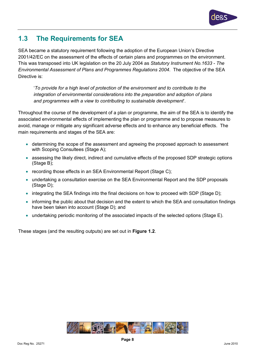

## **1.3 The Requirements for SEA**

SEA became a statutory requirement following the adoption of the European Union's Directive 2001/42/EC on the assessment of the effects of certain plans and programmes on the environment. This was transposed into UK legislation on the 20 July 2004 as *Statutory Instrument No.1633 - The Environmental Assessment of Plans and Programmes Regulations 2004*. The objective of the SEA Directive is:

'*To provide for a high level of protection of the environment and to contribute to the integration of environmental considerations into the preparation and adoption of plans and programmes with a view to contributing to sustainable development*'.

Throughout the course of the development of a plan or programme, the aim of the SEA is to identify the associated environmental effects of implementing the plan or programme and to propose measures to avoid, manage or mitigate any significant adverse effects and to enhance any beneficial effects. The main requirements and stages of the SEA are:

- · determining the scope of the assessment and agreeing the proposed approach to assessment with Scoping Consultees (Stage A);
- · assessing the likely direct, indirect and cumulative effects of the proposed SDP strategic options (Stage B);
- recording those effects in an SEA Environmental Report (Stage C);
- · undertaking a consultation exercise on the SEA Environmental Report and the SDP proposals (Stage D);
- integrating the SEA findings into the final decisions on how to proceed with SDP (Stage D);
- informing the public about that decision and the extent to which the SEA and consultation findings have been taken into account (Stage D); and
- · undertaking periodic monitoring of the associated impacts of the selected options (Stage E).

These stages (and the resulting outputs) are set out in **Figure 1.2**.

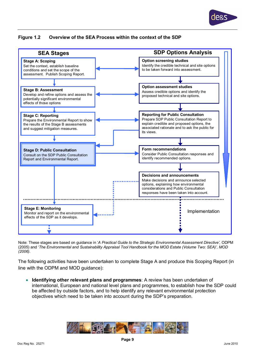

#### **Figure 1.2 Overview of the SEA Process within the context of the SDP**



Note: These stages are based on guidance in '*A Practical Guide to the Strategic Environmental Assessment Directive',* ODPM (2005) and '*The Environmental and Sustainability Appraisal Tool Handbook for the MOD Estate (Volume Two: SEA)', MOD (2006).* 

The following activities have been undertaken to complete Stage A and produce this Scoping Report (in line with the ODPM and MOD guidance):

· **Identifying other relevant plans and programmes**: A review has been undertaken of international, European and national level plans and programmes, to establish how the SDP could be affected by outside factors, and to help identify any relevant environmental protection objectives which need to be taken into account during the SDP's preparation.

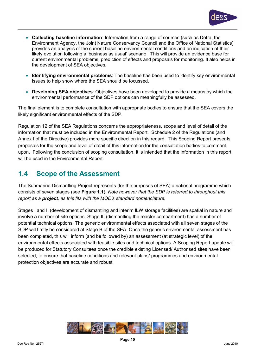

- · **Collecting baseline information**: Information from a range of sources (such as Defra, the Environment Agency, the Joint Nature Conservancy Council and the Office of National Statistics) provides an analysis of the current baseline environmental conditions and an indication of their likely evolution following a 'business as usual' scenario. This will provide an evidence base for current environmental problems, prediction of effects and proposals for monitoring. It also helps in the development of SEA objectives.
- · **Identifying environmental problems**: The baseline has been used to identify key environmental issues to help show where the SEA should be focussed.
- · **Developing SEA objectives**: Objectives have been developed to provide a means by which the environmental performance of the SDP options can meaningfully be assessed.

The final element is to complete consultation with appropriate bodies to ensure that the SEA covers the likely significant environmental effects of the SDP.

Regulation 12 of the SEA Regulations concerns the appropriateness, scope and level of detail of the information that must be included in the Environmental Report. Schedule 2 of the Regulations (and Annex I of the Directive) provides more specific direction in this regard. This Scoping Report presents proposals for the scope and level of detail of this information for the consultation bodies to comment upon. Following the conclusion of scoping consultation, it is intended that the information in this report will be used in the Environmental Report.

## **1.4 Scope of the Assessment**

The Submarine Dismantling Project represents (for the purposes of SEA) a national programme which consists of seven stages (see **Figure 1.1**). *Note however that the SDP is referred to throughout this report as a project, as this fits with the MOD's standard nomenclature.*

Stages I and II (development of dismantling and interim ILW storage facilities) are spatial in nature and involve a number of site options. Stage III (dismantling the reactor compartment) has a number of potential technical options. The generic environmental effects associated with all seven stages of the SDP will firstly be considered at Stage B of the SEA. Once the generic environmental assessment has been completed, this will inform (and be followed by) an assessment (at strategic level) of the environmental effects associated with feasible sites and technical options. A Scoping Report update will be produced for Statutory Consultees once the credible existing Licensed/ Authorised sites have been selected, to ensure that baseline conditions and relevant plans/ programmes and environmental protection objectives are accurate and robust.

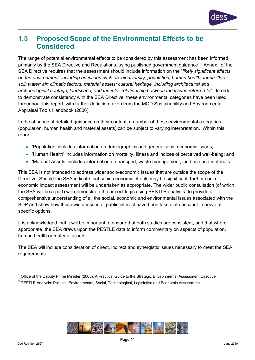

## **1.5 Proposed Scope of the Environmental Effects to be Considered**

The range of potential environmental effects to be considered by this assessment has been informed primarily by the SEA Directive and Regulations, using published government guidance<sup>4</sup>. Annex I of the SEA Directive requires that the assessment should include information on the "*likely significant effects on the environment, including on issues such as: biodiversity; population; human health; fauna; flora; soil; water; air; climatic factors; material assets; cultural heritage, including architectural and archaeological heritage; landscape; and the inter-relationship between the issues referred to*". In order to demonstrate consistency with the SEA Directive, these environmental categories have been used throughout this report, with further definition taken from the MOD Sustainability and Environmental Appraisal Tools Handbook (2006).

In the absence of detailed guidance on their content, a number of these environmental categories (population, human health and material assets) can be subject to varying interpretation. Within this report:

- · 'Population' includes information on demographics and generic socio-economic issues;
- · 'Human Health' includes information on mortality, illness and indices of perceived well-being; and
- · 'Material Assets' includes information on transport, waste management, land use and materials.

This SEA is not intended to address wider socio-economic issues that are outside the scope of the Directive. Should the SEA indicate that socio-economic effects may be significant, further socioeconomic impact assessment will be undertaken as appropriate. The wider public consultation (of which the SEA will be a part) will demonstrate the project logic using PESTLE analysis<sup>5</sup> to provide a comprehensive understanding of all the social, economic and environmental issues associated with the SDP and show how these wider issues of public interest have been taken into account to arrive at specific options.

It is acknowledged that it will be important to ensure that both studies are consistent, and that where appropriate, the SEA draws upon the PESTLE data to inform commentary on aspects of population, human health or material assets.

The SEA will include consideration of direct, indirect and synergistic issues necessary to meet the SEA requirements.



<sup>&</sup>lt;sup>4</sup> Office of the Deputy Prime Minister (2005). A Practical Guide to the Strategic Environmental Assessment Directive.

<sup>5</sup> PESTLE Analysis: Political, Environmental, Social, Technological, Legislative and Economic Assessment.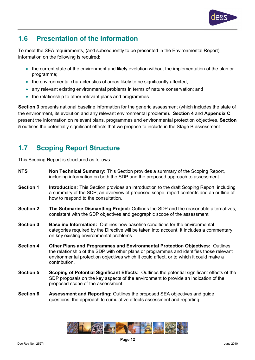

## **1.6 Presentation of the Information**

To meet the SEA requirements, (and subsequently to be presented in the Environmental Report), information on the following is required:

- · the current state of the environment and likely evolution without the implementation of the plan or programme;
- · the environmental characteristics of areas likely to be significantly affected;
- · any relevant existing environmental problems in terms of nature conservation; and
- · the relationship to other relevant plans and programmes.

**Section 3** presents national baseline information for the generic assessment (which includes the state of the environment, its evolution and any relevant environmental problems). **Section 4** and **Appendix C** present the information on relevant plans, programmes and environmental protection objectives. **Section 5** outlines the potentially significant effects that we propose to include in the Stage B assessment.

# **1.7 Scoping Report Structure**

This Scoping Report is structured as follows:

- **NTS Non Technical Summary:** This Section provides a summary of the Scoping Report, including information on both the SDP and the proposed approach to assessment.
- **Section 1 Introduction:** This Section provides an introduction to the draft Scoping Report, including a summary of the SDP, an overview of proposed scope, report contents and an outline of how to respond to the consultation.
- **Section 2 The Submarine Dismantling Project:** Outlines the SDP and the reasonable alternatives, consistent with the SDP objectives and geographic scope of the assessment.
- **Section 3 Baseline Information:** Outlines how baseline conditions for the environmental categories required by the Directive will be taken into account. It includes a commentary on key existing environmental problems.
- **Section 4 Other Plans and Programmes and Environmental Protection Objectives:** Outlines the relationship of the SDP with other plans or programmes and identifies those relevant environmental protection objectives which it could affect, or to which it could make a contribution.
- **Section 5 Scoping of Potential Significant Effects:** Outlines the potential significant effects of the SDP proposals on the key aspects of the environment to provide an indication of the proposed scope of the assessment.
- **Section 6 Assessment and Reporting:** Outlines the proposed SEA objectives and guide questions, the approach to cumulative effects assessment and reporting.

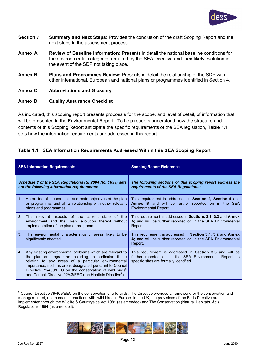

- **Section 7 Summary and Next Steps:** Provides the conclusion of the draft Scoping Report and the next steps in the assessment process.
- **Annex A Review of Baseline Information:** Presents in detail the national baseline conditions for the environmental categories required by the SEA Directive and their likely evolution in the event of the SDP not taking place.
- **Annex B Plans and Programmes Review:** Presents in detail the relationship of the SDP with other international, European and national plans or programmes identified in Section 4*.*
- **Annex C Abbreviations and Glossary**
- **Annex D Quality Assurance Checklist**

As indicated, this scoping report presents proposals for the scope, and level of detail, of information that will be presented in the Environmental Report. To help readers understand how the structure and contents of this Scoping Report anticipate the specific requirements of the SEA legislation, **Table 1.1** sets how the information requirements are addressed in this report.

#### **Table 1.1 SEA Information Requirements Addressed Within this SEA Scoping Report**

|                                                                                                          | <b>SEA Information Requirements</b>                                                                                                                                                                                                                                                                                                                                                     | <b>Scoping Report Reference</b>                                                                                                                              |  |  |
|----------------------------------------------------------------------------------------------------------|-----------------------------------------------------------------------------------------------------------------------------------------------------------------------------------------------------------------------------------------------------------------------------------------------------------------------------------------------------------------------------------------|--------------------------------------------------------------------------------------------------------------------------------------------------------------|--|--|
| Schedule 2 of the SEA Regulations (SI 2004 No. 1633) sets<br>out the following information requirements: |                                                                                                                                                                                                                                                                                                                                                                                         | The following sections of this scoping report address the<br>requirements of the SEA Regulations:                                                            |  |  |
| 1.                                                                                                       | An outline of the contents and main objectives of the plan<br>or programme, and of its relationship with other relevant<br>plans and programmes.                                                                                                                                                                                                                                        | This requirement is addressed in Section 2, Section 4 and<br><b>Annex B</b> and will be further reported on in the SEA<br><b>Environmental Report.</b>       |  |  |
| 2.                                                                                                       | The relevant aspects of the current state of the<br>environment and the likely evolution thereof without<br>implementation of the plan or programme.                                                                                                                                                                                                                                    | This requirement is addressed in Sections 3.1, 3.2 and Annex<br>A; and will be further reported on in the SEA Environmental<br>Report.                       |  |  |
| 3.                                                                                                       | The environmental characteristics of areas likely to be<br>significantly affected.                                                                                                                                                                                                                                                                                                      | This requirement is addressed in Section 3.1, 3.2 and Annex<br>A; and will be further reported on in the SEA Environmental<br>Report.                        |  |  |
| 4.                                                                                                       | Any existing environmental problems which are relevant to<br>the plan or programme including, in particular, those<br>relating to any areas of a particular environmental<br>importance, such as areas designated pursuant to Council<br>Directive 79/409/EEC on the conservation of wild birds <sup>6</sup><br>and Council Directive 92/43/EEC (the Habitats Directive <sup>7</sup> ). | This requirement is addressed in Section 3.3 and will be<br>further reported on in the SEA Environmental Report as<br>specific sites are formally identified |  |  |
|                                                                                                          |                                                                                                                                                                                                                                                                                                                                                                                         |                                                                                                                                                              |  |  |

 $6$  Council Directive 79/409/EEC on the conservation of wild birds. The Directive provides a framework for the conservation and management of, and human interactions with, wild birds in Europe. In the UK, the provisions of the Birds Directive are implemented through the Wildlife & Countryside Act 1981 (as amended) and The Conservation (Natural Habitats, &c.) Regulations 1994 (as amended).

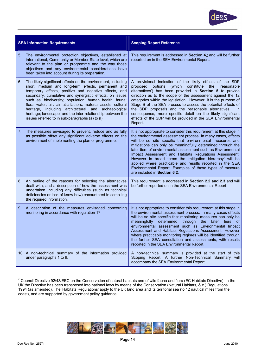

| <b>SEA Information Requirements</b> |                                                                                                                                                                                                                                                                                                                                                                                                                                                                                                                                                 | <b>Scoping Report Reference</b>                                                                                                                                                                                                                                                                                                                                                                                                                                                                                                                                                                                 |
|-------------------------------------|-------------------------------------------------------------------------------------------------------------------------------------------------------------------------------------------------------------------------------------------------------------------------------------------------------------------------------------------------------------------------------------------------------------------------------------------------------------------------------------------------------------------------------------------------|-----------------------------------------------------------------------------------------------------------------------------------------------------------------------------------------------------------------------------------------------------------------------------------------------------------------------------------------------------------------------------------------------------------------------------------------------------------------------------------------------------------------------------------------------------------------------------------------------------------------|
| 5.                                  | The environmental protection objectives, established at<br>international, Community or Member State level, which are<br>relevant to the plan or programme and the way those<br>objectives and any environmental considerations have<br>been taken into account during its preparation.                                                                                                                                                                                                                                                          | This requirement is addressed in Section 4,; and will be further<br>reported on in the SEA Environmental Report.                                                                                                                                                                                                                                                                                                                                                                                                                                                                                                |
| 6.                                  | The likely significant effects on the environment, including<br>short, medium and long-term effects, permanent and<br>temporary effects, positive and negative effects, and<br>secondary, cumulative and synergistic effects, on issues<br>such as: biodiversity; population; human health; fauna;<br>flora; water; air; climatic factors; material assets; cultural<br>heritage, including architectural and archaeological<br>heritage; landscape; and the inter-relationship between the<br>issues referred to in sub-paragraphs (a) to (I). | A provisional indication of the likely effects of the SDP<br>options<br>(which constitute the<br>proposed<br>'reasonable<br>alternatives') has been provided in Section 5 to provide<br>direction as to the scope of the assessment against the 12<br>categories within the legislation. However, it is the purpose of<br>Stage B of the SEA process to assess the potential effects of<br>the SDP proposals and the reasonable alternatives.<br>In.<br>consequence, more specific detail on the likely significant<br>effects of the SDP will be provided in the SEA Environmental<br>Report.                  |
| 7.                                  | The measures envisaged to prevent, reduce and as fully<br>as possible offset any significant adverse effects on the<br>environment of implementing the plan or programme.                                                                                                                                                                                                                                                                                                                                                                       | It is not appropriate to consider this requirement at this stage in<br>the environmental assessment process. In many cases, effects<br>will be so site specific that environmental measures and<br>mitigations can only be meaningfully determined through the<br>later tiers of environmental assessment such as Environmental<br>Impact Assessment and Habitats Regulations Assessment.<br>However in broad terms the 'mitigation hierarchy' will be<br>applied where practicable and results reported in the SEA<br>Environmental Report. Examples of these types of measure<br>are included in Section 6.2. |
| 8.                                  | An outline of the reasons for selecting the alternatives<br>dealt with, and a description of how the assessment was<br>undertaken including any difficulties (such as technical<br>deficiencies or lack of know-how) encountered in compiling<br>the required information.                                                                                                                                                                                                                                                                      | This requirement is addressed in Section 2.2 and 2.3 and will<br>be further reported on in the SEA Environmental Report.                                                                                                                                                                                                                                                                                                                                                                                                                                                                                        |
| 9.                                  | A description of the measures envisaged concerning<br>monitoring in accordance with regulation 17                                                                                                                                                                                                                                                                                                                                                                                                                                               | It is not appropriate to consider this requirement at this stage in<br>the environmental assessment process. In many cases effects<br>will be so site specific that monitoring measures can only be<br>meaningfully determined<br>through<br>the<br>later<br>tiers<br>of<br>environmental assessment such as Environmental Impact<br>Assessment and Habitats Regulations Assessment. However<br>where practicable monitoring regimes will be identified through<br>the further SEA consultation and assessments, with results<br>reported in the SEA Environmental Report.                                      |
|                                     | 10. A non-technical summary of the information provided<br>under paragraphs 1 to 9.                                                                                                                                                                                                                                                                                                                                                                                                                                                             | A non-technical summary is provided at the start of this<br>Scoping Report. A further Non-Technical Summary will<br>accompany the SEA Environmental Report.                                                                                                                                                                                                                                                                                                                                                                                                                                                     |

 $^7$  Council Directive 92/43/EEC on the Conservation of natural habitats and of wild fauna and flora (EC Habitats Directive). In the UK the Directive has been transposed into national laws by means of the Conservation (Natural Habitats, & c.) Regulations 1994 (as amended). The 'Habitats Regulations' apply to the UK land area and its territorial sea (to 12 nautical miles from the coast), and are supported by government policy guidance.

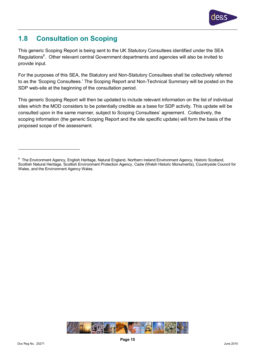

## **1.8 Consultation on Scoping**

This generic Scoping Report is being sent to the UK Statutory Consultees identified under the SEA Regulations<sup>8</sup>. Other relevant central Government departments and agencies will also be invited to provide input.

For the purposes of this SEA, the Statutory and Non-Statutory Consultees shall be collectively referred to as the 'Scoping Consultees.' The Scoping Report and Non-Technical Summary will be posted on the SDP web-site at the beginning of the consultation period.

This generic Scoping Report will then be updated to include relevant information on the list of individual sites which the MOD considers to be potentially credible as a base for SDP activity. This update will be consulted upon in the same manner, subject to Scoping Consultees' agreement. Collectively, the scoping information (the generic Scoping Report and the site specific update) will form the basis of the proposed scope of the assessment.



<sup>&</sup>lt;sup>8</sup> The Environment Agency, English Heritage, Natural England, Northern Ireland Environment Agency, Historic Scotland, Scottish Natural Heritage, Scottish Environment Protection Agency, Cadw (Welsh Historic Monuments), Countryside Council for Wales, and the Environment Agency Wales.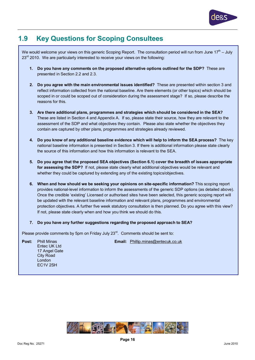

# **1.9 Key Questions for Scoping Consultees**

We would welcome your views on this generic Scoping Report. The consultation period will run from June 17<sup>th</sup> – July 23<sup>rd</sup> 2010. We are particularly interested to receive your views on the following:

- **1. Do you have any comments on the proposed alternative options outlined for the SDP?** These are presented in Section 2.2 and 2.3.
- **2. Do you agree with the main environmental issues identified?** These are presented within section 3 and reflect information collected from the national baseline. Are there elements (or other topics) which should be scoped in or could be scoped out of consideration during the assessment stage? If so, please describe the reasons for this.
- **3. Are there additional plans, programmes and strategies which should be considered in the SEA?**  These are listed in Section 4 and Appendix A. If so, please state their source, how they are relevant to the assessment of the SDP and what objectives they contain. Please also state whether the objectives they contain are captured by other plans, programmes and strategies already reviewed.
- **4. Do you know of any additional baseline evidence which will help to inform the SEA process?** The key national baseline information is presented in Section 3. If there is additional information please state clearly the source of this information and how this information is relevant to the SEA.
- **5. Do you agree that the proposed SEA objectives (Section 6.1) cover the breadth of issues appropriate for assessing the SDP?** If not, please state clearly what additional objectives would be relevant and whether they could be captured by extending any of the existing topics/objectives.
- **6. When and how should we be seeking your opinions on site-specific information?** This scoping report provides national-level information to inform the assessments of the generic SDP options (as detailed above). Once the credible 'existing' Licensed or authorised sites have been selected, this generic scoping report will be updated with the relevant baseline information and relevant plans, programmes and environmental protection objectives. A further five week statutory consultation is then planned. Do you agree with this view? If not, please state clearly when and how you think we should do this.
- **7. Do you have any further suggestions regarding the proposed approach to SEA?**

Please provide comments by 5pm on Friday July  $23^{\text{rd}}$ . Comments should be sent to:

Entec UK Ltd 17 Angel Gate City Road London EC1V 2SH

**Post:** Phill Minas **Email:** [Phillip.minas@entecuk.co.uk](mailto:Phillip.minas@entecuk.co.uk)

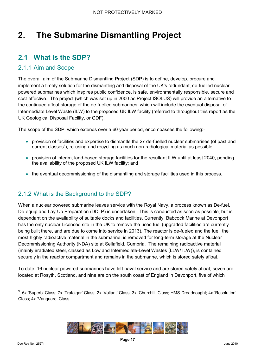# **2. The Submarine Dismantling Project**

# **2.1 What is the SDP?**

### 2.1.1 Aim and Scope

The overall aim of the Submarine Dismantling Project (SDP) is to define, develop, procure and implement a timely solution for the dismantling and disposal of the UK's redundant, de-fuelled nuclearpowered submarines which inspires public confidence, is safe, environmentally responsible, secure and cost-effective. The project (which was set up in 2000 as Project ISOLUS) will provide an alternative to the continued afloat storage of the de-fuelled submarines, which will include the eventual disposal of Intermediate Level Waste (ILW) to the proposed UK ILW facility (referred to throughout this report as the UK Geological Disposal Facility, or GDF).

The scope of the SDP, which extends over a 60 year period, encompasses the following:-

- · provision of facilities and expertise to dismantle the 27 de-fuelled nuclear submarines (of past and current classes $9$ ), re-using and recycling as much non-radiological material as possible;
- · provision of interim, land-based storage facilities for the resultant ILW until at least 2040, pending the availability of the proposed UK ILW facility; and
- the eventual decommissioning of the dismantling and storage facilities used in this process.

## 2.1.2 What is the Background to the SDP?

When a nuclear powered submarine leaves service with the Royal Navy, a process known as De-fuel, De-equip and Lay-Up Preparation (DDLP) is undertaken. This is conducted as soon as possible, but is dependant on the availability of suitable docks and facilities. Currently, Babcock Marine at Devonport has the only nuclear Licensed site in the UK to remove the used fuel (upgraded facilities are currently being built there, and are due to come into service in 2013). The reactor is de-fueled and the fuel, the most highly radioactive material in the submarine, is removed for long-term storage at the Nuclear Decommissioning Authority (NDA) site at Sellafield, Cumbria. The remaining radioactive material (mainly irradiated steel, classed as Low and Intermediate-Level Wastes (LLW/ ILW)), is contained securely in the reactor compartment and remains in the submarine, which is stored safely afloat.

To date, 16 nuclear powered submarines have left naval service and are stored safely afloat; seven are located at Rosyth, Scotland, and nine are on the south coast of England in Devonport, five of which



 $\overline{a}$ 

<sup>9</sup> 6x 'Superb' Class; 7x 'Trafalgar' Class; 2x 'Valiant' Class; 3x 'Churchill' Class; HMS Dreadnought; 4x 'Resolution' Class; 4x 'Vanguard' Class.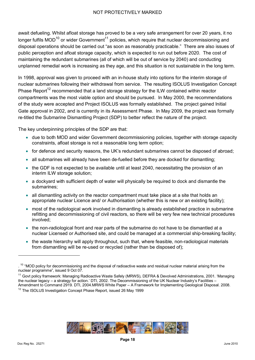await defueling. Whilst afloat storage has proved to be a very safe arrangement for over 20 years, it no longer fulfils  $MOD^{10}$  or wider Government<sup>11</sup> policies, which require that nuclear decommissioning and disposal operations should be carried out "as soon as reasonably practicable." There are also issues of public perception and afloat storage capacity, which is expected to run out before 2020. The cost of maintaining the redundant submarines (all of which will be out of service by 2040) and conducting unplanned remedial work is increasing as they age, and this situation is not sustainable in the long term.

In 1998, approval was given to proceed with an in-house study into options for the interim storage of nuclear submarines following their withdrawal from service. The resulting ISOLUS Investigation Concept Phase Report<sup>12</sup> recommended that a land storage strategy for the ILW contained within reactor compartments was the most viable option and should be pursued. In May 2000, the recommendations of the study were accepted and Project ISOLUS was formally established. The project gained Initial Gate approval in 2002, and is currently in its Assessment Phase. In May 2009, the project was formally re-titled the Submarine Dismantling Project (SDP) to better reflect the nature of the project.

The key underpinning principles of the SDP are that:

- · due to both MOD and wider Government decommissioning policies, together with storage capacity constraints, afloat storage is not a reasonable long term option;
- · for defence and security reasons, the UK's redundant submarines cannot be disposed of abroad;
- · all submarines will already have been de-fuelled before they are docked for dismantling;
- the GDF is not expected to be available until at least 2040, necessitating the provision of an interim ILW storage solution;
- a dockyard with sufficient depth of water will physically be required to dock and dismantle the submarines;
- all dismantling activity on the reactor compartment must take place at a site that holds an appropriate nuclear Licence and/ or Authorisation (whether this is new or an existing facility);
- most of the radiological work involved in dismantling is already established practice in submarine refitting and decommissioning of civil reactors, so there will be very few new technical procedures involved;
- the non-radiological front and rear parts of the submarine do not have to be dismantled at a nuclear Licensed or Authorised site, and could be managed at a commercial ship-breaking facility;
- the waste hierarchy will apply throughout, such that, where feasible, non-radiological materials from dismantling will be re-used or recycled (rather than be disposed of);



 $\overline{\phantom{a}}$ 

<sup>. &</sup>lt;sup>10</sup> "MOD policy for decommissioning and the disposal of radioactive waste and residual nuclear material arising from the nuclear programme", issued 9 Oct 07.

<sup>&</sup>lt;sup>11</sup> Govt policy framework: Managing Radioactive Waste Safely (MRWS), DEFRA & Devolved Administrations, 2001. 'Managing the nuclear legacy – a strategy for action.' DTI, 2002. The Decommissioning of the UK Nuclear Industry's Facilities – Amendment to Command 2919. DTI, 2004.MRWS White Paper – A Framework for Implementing Geological Disposal. 2008.

<sup>&</sup>lt;sup>12</sup> The ISOLUS Investigation Concept Phase Report, issued 26 May 1999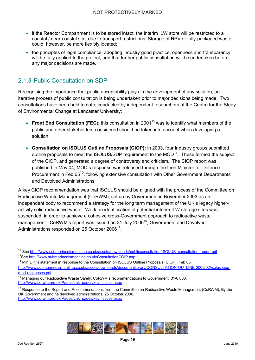- if the Reactor Compartment is to be stored intact, the interim ILW store will be restricted to a coastal / near-coastal site, due to transport restrictions. Storage of RPV or fully-packaged waste could, however, be more flexibly located;
- the principles of legal compliance, adopting industry good practice, openness and transparency will be fully applied to the project, and that further public consultation will be undertaken before any major decisions are made.

## 2.1.3 Public Consultation on SDP

Recognising the importance that public acceptability plays in the development of any solution, an iterative process of public consultation is being undertaken prior to major decisions being made. Two consultations have been held to date, conducted by independent researchers at the Centre for the Study of Environmental Change at Lancaster University:

- · **Front End Consultation (FEC**): this consultation in 2001<sup>13</sup> was to identify what members of the public and other stakeholders considered should be taken into account when developing a solution.
- · **Consultation on ISOLUS Outline Proposals (CIOP):** in 2003, four Industry groups submitted outline proposals to meet the ISOLUS/SDP requirement to the MOD<sup>14</sup>. These formed the subject of the CIOP, and generated a degree of controversy and criticism. The CIOP report was published in May 04; MOD's response was released through the then Minister for Defence Procurement in Feb 05<sup>15</sup>, following extensive consultation with Other Government Departments and Devolved Administrations.

A key CIOP recommendation was that ISOLUS should be aligned with the process of the Committee on Radioactive Waste Management (CoRWM), set up by Government in November 2003 as an independent body to recommend a strategy for the long term management of the UK's legacy higheractivity solid radioactive waste. Work on identification of potential interim ILW storage sites was suspended, in order to achieve a cohesive cross-Government approach to radioactive waste management. CoRWM's report was issued on 31 July 2006<sup>16</sup>; Government and Devolved Administrations responded on 25 October 2006 $17$ .



<sup>&</sup>lt;sup>13</sup> See [http://www.submarinedismantling.co.uk/assets/downloads/publicconsultation/ISOLUS\\_consultation\\_report.pdf](http://www.submarinedismantling.co.uk/assets/downloads/publicconsultation/ISOLUS_consultation_report.pdf) <sup>14</sup>See <http://www.submarinedismantling.co.uk/ConsultationCOIP.asp>

<sup>&</sup>lt;sup>15</sup> Min(DP)'s statement in response to the Consultation on ISOLUS Outline Proposals (CIOP), Feb 05. [http://www.submarinedismantling.co.uk/assets/downloads/documentlibrary/CONSULTATION-OUTLINE-2003/02/isolus-ciop-](http://www.submarinedismantling.co.uk/assets/downloads/documentlibrary/CONSULTATION-OUTLINE-2003/02/isolus-ciop)

mod-responses.pdf

<sup>&</sup>lt;sup>16</sup> Managing our Radioactive Waste Safely, CoRWM's recommendations to Government, 31/07/06, [http://www.corwm.org.uk/Pages/Lnk\\_pages/key\\_issues.aspx](http://www.corwm.org.uk/Pages/Lnk_pages/key_issues.aspx)

<sup>&</sup>lt;sup>17</sup> Response to the Report and Recommendations from the Committee on Radioactive Waste Management (CoRWM), By the UK Government and he devolved administrations, 25 October 2006. [http://www.corwm.org.uk/Pages/Lnk\\_pages/key\\_issues.aspx](http://www.corwm.org.uk/Pages/Lnk_pages/key_issues.aspx)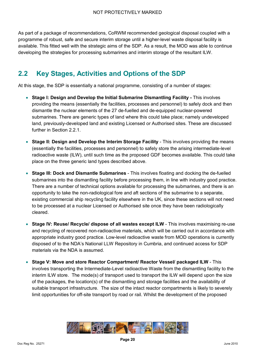As part of a package of recommendations, CoRWM recommended geological disposal coupled with a programme of robust, safe and secure interim storage until a higher-level waste disposal facility is available. This fitted well with the strategic aims of the SDP. As a result, the MOD was able to continue developing the strategies for processing submarines and interim storage of the resultant ILW.

# **2.2 Key Stages, Activities and Options of the SDP**

At this stage, the SDP is essentially a national programme, consisting of a number of stages:

- · **Stage I: Design and Develop the Initial Submarine Dismantling Facility** This involves providing the means (essentially the facilities, processes and personnel) to safely dock and then dismantle the nuclear elements of the 27 de-fuelled and de-equipped nuclear-powered submarines. There are generic types of land where this could take place; namely undeveloped land, previously-developed land and existing Licensed or Authorised sites. These are discussed further in Section 2.2.1.
- · **Stage II: Design and Develop the Interim Storage Facility** This involves providing the means (essentially the facilities, processes and personnel) to safely store the arising intermediate-level radioactive waste (ILW), until such time as the proposed GDF becomes available. This could take place on the three generic land types described above.
- · **Stage III: Dock and Dismantle Submarines** This involves floating and docking the de-fuelled submarines into the dismantling facility before processing them, in line with industry good practice. There are a number of technical options available for processing the submarines, and there is an opportunity to take the non-radiological fore and aft sections of the submarine to a separate, existing commercial ship recycling facility elsewhere in the UK, since these sections will not need to be processed at a nuclear Licensed or Authorised site once they have been radiologically cleared.
- · **Stage IV: Reuse/ Recycle/ dispose of all wastes except ILW**  This involves maximising re-use and recycling of recovered non-radioactive materials, which will be carried out in accordance with appropriate industry good practice. Low-level radioactive waste from MOD operations is currently disposed of to the NDA's National LLW Repository in Cumbria, and continued access for SDP materials via the NDA is assumed.
- · **Stage V: Move and store Reactor Compartment/ Reactor Vessel/ packaged ILW**  This involves transporting the Intermediate-Level radioactive Waste from the dismantling facility to the interim ILW store. The mode(s) of transport used to transport the ILW will depend upon the size of the packages, the location(s) of the dismantling and storage facilities and the availability of suitable transport infrastructure. The size of the intact reactor compartments is likely to severely limit opportunities for off-site transport by road or rail. Whilst the development of the proposed

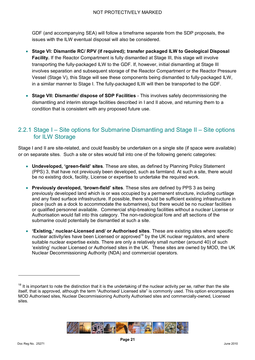GDF (and accompanying SEA) will follow a timeframe separate from the SDP proposals, the issues with the ILW eventual disposal will also be considered.

- · **Stage VI: Dismantle RC/ RPV (if required); transfer packaged ILW to Geological Disposal Facility.** If the Reactor Compartment is fully dismantled at Stage III, this stage will involve transporting the fully-packaged ILW to the GDF. If, however, initial dismantling at Stage III involves separation and subsequent storage of the Reactor Compartment or the Reactor Pressure Vessel (Stage V), this Stage will see these components being dismantled to fully-packaged ILW, in a similar manner to Stage I. The fully-packaged ILW will then be transported to the GDF.
- · **Stage VII: Dismantle/ dispose of SDP Facilities** This involves safely decommissioning the dismantling and interim storage facilities described in I and II above, and returning them to a condition that is consistent with any proposed future use.

## 2.2.1 Stage I – Site options for Submarine Dismantling and Stage II – Site options for ILW Storage

Stage I and II are site-related, and could feasibly be undertaken on a single site (if space were available) or on separate sites. Such a site or sites would fall into one of the following generic categories:

- · **Undeveloped, 'green-field' sites**. These are sites, as defined by Planning Policy Statement (PPS) 3, that have not previously been developed, such as farmland. At such a site, there would be no existing dock, facility, License or expertise to undertake the required work.
- · **Previously developed, 'brown-field' sites**. These sites are defined by PPS 3 as being previously developed land which is or was occupied by a permanent structure, including curtilage and any fixed surface infrastructure. If possible, there should be sufficient existing infrastructure in place (such as a dock to accommodate the submarines), but there would be no nuclear facilities or qualified personnel available. Commercial ship-breaking facilities without a nuclear License or Authorisation would fall into this category. The non-radiological fore and aft sections of the submarine could potentially be dismantled at such a site.
- · **'Existing,' nuclear-Licensed and/ or Authorised sites**. These are existing sites where specific nuclear activity/ies have been Licensed or approved<sup>18</sup> by the UK nuclear regulators, and where suitable nuclear expertise exists. There are only a relatively small number (around 40) of such 'existing' nuclear Licensed or Authorised sites in the UK. These sites are owned by MOD, the UK Nuclear Decommissioning Authority (NDA) and commercial operators.

 $18$  It is important to note the distinction that it is the undertaking of the nuclear activity per se, rather than the site itself, that is approved, although the term "Authorised/ Licensed site" is commonly used. This option encompasses MOD Authorised sites, Nuclear Decommissioning Authority Authorised sites and commercially-owned, Licensed sites.



 $\overline{a}$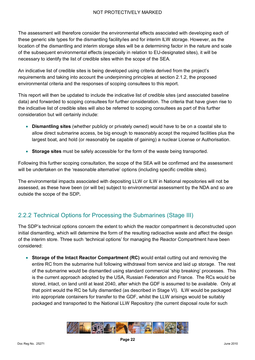The assessment will therefore consider the environmental effects associated with developing each of these generic site types for the dismantling facility/ies and for interim ILW storage. However, as the location of the dismantling and interim storage sites will be a determining factor in the nature and scale of the subsequent environmental effects (especially in relation to EU-designated sites), it will be necessary to identify the list of credible sites within the scope of the SEA.

An indicative list of credible sites is being developed using criteria derived from the project's requirements and taking into account the underpinning principles at section 2.1.2, the proposed environmental criteria and the responses of scoping consultees to this report.

This report will then be updated to include the indicative list of credible sites (and associated baseline data) and forwarded to scoping consultees for further consideration. The criteria that have given rise to the indicative list of credible sites will also be referred to scoping consultees as part of this further consideration but will certainly include:

- · **Dismantling sites** (whether publicly or privately owned) would have to be on a coastal site to allow direct submarine access, be big enough to reasonably accept the required facilities plus the largest boat, and hold (or reasonably be capable of gaining) a nuclear License or Authorisation.
- · **Storage sites** must be safely accessible for the form of the waste being transported.

Following this further scoping consultation, the scope of the SEA will be confirmed and the assessment will be undertaken on the 'reasonable alternative' options (including specific credible sites).

The environmental impacts associated with depositing LLW or ILW in National repositories will not be assessed, as these have been (or will be) subject to environmental assessment by the NDA and so are outside the scope of the SDP**.** 

## 2.2.2 Technical Options for Processing the Submarines (Stage III)

The SDP's technical options concern the extent to which the reactor compartment is deconstructed upon initial dismantling, which will determine the form of the resulting radioactive waste and affect the design of the interim store. Three such 'technical options' for managing the Reactor Compartment have been considered:

· **Storage of the Intact Reactor Compartment (RC)** would entail cutting out and removing the entire RC from the submarine hull following withdrawal from service and laid up storage. The rest of the submarine would be dismantled using standard commercial 'ship breaking' processes. This is the current approach adopted by the USA, Russian Federation and France. The RCs would be stored, intact, on land until at least 2040, after which the GDF is assumed to be available. Only at that point would the RC be fully dismantled (as described in Stage VI). ILW would be packaged into appropriate containers for transfer to the GDF, whilst the LLW arisings would be suitably packaged and transported to the National LLW Repository (the current disposal route for such

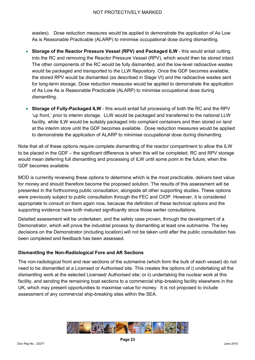wastes). Dose reduction measures would be applied to demonstrate the application of As Low As is Reasonable Practicable (ALARP) to minimise occupational dose during dismantling.

- · **Storage of the Reactor Pressure Vessel (RPV) and Packaged ILW** this would entail cutting into the RC and removing the Reactor Pressure Vessel (RPV), which would then be stored intact. The other components of the RC would be fully dismantled, and the low-level radioactive wastes would be packaged and transported to the LLW Repository. Once the GDF becomes available, the stored RPV would be dismantled (as described in Stage VI) and the radioactive wastes sent for long-term storage. Dose reduction measures would be applied to demonstrate the application of As Low As is Reasonable Practicable (ALARP) to minimise occupational dose during dismantling.
- · **Storage of Fully-Packaged ILW**  this would entail full processing of both the RC and the RPV 'up front,' prior to interim storage. LLW would be packaged and transferred to the national LLW facility, while ILW would be suitably packaged into compliant containers and then stored on land at the interim store until the GDF becomes available. Dose reduction measures would be applied to demonstrate the application of ALARP to minimise occupational dose during dismantling.

Note that all of these options require complete dismantling of the reactor compartment to allow the ILW to be placed in the GDF – the significant difference is when this will be completed. RC and RPV storage would mean deferring full dismantling and processing of ILW until some point in the future, when the GDF becomes available.

MOD is currently reviewing these options to determine which is the most practicable, delivers best value for money and should therefore become the proposed solution. The results of this assessment will be presented in the forthcoming public consultation, alongside all other supporting studies. These options were previously subject to public consultation through the FEC and CIOP. However, it is considered appropriate to consult on them again now, because the definition of these technical options and the supporting evidence have both matured significantly since those earlier consultations.

Detailed assessment will be undertaken, and the safety case proven, through the development of a Demonstrator, which will prove the industrial process by dismantling at least one submarine. The key decisions on the Demonstrator (including location) will not be taken until after the public consultation has been completed and feedback has been assessed.

#### **Dismantling the Non-Radiological Fore and Aft Sections**

The non-radiological front and rear sections of the submarine (which form the bulk of each vessel) do not need to be dismantled at a Licensed or Authorised site. This creates the options of i) undertaking all the dismantling work at the selected Licensed/ Authorised site; or ii) undertaking the nuclear work at this facility, and sending the remaining boat sections to a commercial ship-breaking facility elsewhere in the UK, which may present opportunities to maximise value for money. It is not proposed to include assessment of any commercial ship-breaking sites within the SEA.

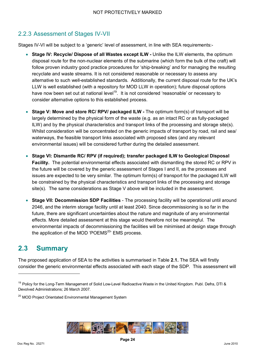## 2.2.3 Assessment of Stages IV-VII

Stages IV-VI will be subject to a 'generic' level of assessment, in line with SEA requirements:-

- · **Stage IV: Recycle/ Dispose of all Wastes except ILW** Unlike the ILW elements, the optimum disposal route for the non-nuclear elements of the submarine (which form the bulk of the craft) will follow proven industry good practice procedures for 'ship-breaking' and for managing the resulting recyclate and waste streams. It is not considered reasonable or necessary to assess any alternative to such well-established standards. Additionally, the current disposal route for the UK's LLW is well established (with a repository for MOD LLW in operation); future disposal options have now been set out at national level<sup>19</sup>. It is not considered 'reasonable' or necessary to consider alternative options to this established process.
- · **Stage V: Move and store RC/ RPV/ packaged ILW** The optimum form(s) of transport will be largely determined by the physical form of the waste (e.g. as an intact RC or as fully-packaged ILW) and by the physical characteristics and transport links of the processing and storage site(s). Whilst consideration will be concentrated on the generic impacts of transport by road, rail and sea/ waterways, the feasible transport links associated with proposed sites (and any relevant environmental issues) will be considered further during the detailed assessment.
- · **Stage VI: Dismantle RC/ RPV (if required); transfer packaged ILW to Geological Disposal Facility.** The potential environmental effects associated with dismantling the stored RC or RPV in the future will be covered by the generic assessment of Stages I and II, as the processes and issues are expected to be very similar. The optimum form(s) of transport for the packaged ILW will be constrained by the physical characteristics and transport links of the processing and storage site(s). The same considerations as Stage V above will be included in the assessment.
- · **Stage VII: Decommission SDP Facilities** The processing facility will be operational until around 2046, and the interim storage facility until at least 2040. Since decommissioning is so far in the future, there are significant uncertainties about the nature and magnitude of any environmental effects. More detailed assessment at this stage would therefore not be meaningful. The environmental impacts of decommissioning the facilities will be minimised at design stage through the application of the MOD 'POEMS $^{20}$ ' EMS process.

## **2.3 Summary**

The proposed application of SEA to the activities is summarised in Table **2.1.** The SEA will firstly consider the generic environmental effects associated with each stage of the SDP. This assessment will



<sup>&</sup>lt;sup>19</sup> Policy for the Long-Term Management of Solid Low-Level Radioactive Waste in the United Kingdom. Publ. Defra, DTI & Devolved Administrations; 26 March 2007.

<sup>&</sup>lt;sup>20</sup> MOD Project Orientated Environmental Management System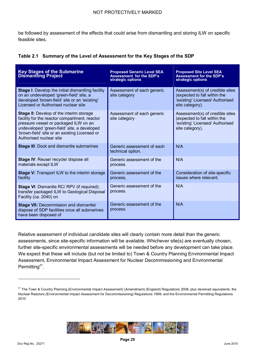be followed by assessment of the effects that could arise from dismantling and storing ILW on specific feasible sites.

|  | Table 2.1 Summary of the Level of Assessment for the Key Stages of the SDP |  |  |
|--|----------------------------------------------------------------------------|--|--|
|  |                                                                            |  |  |

| <b>Key Stages of the Submarine Dismantling Project</b>                                                                                                                                                                                                               | <b>Proposed Generic Level SEA</b><br><b>Assessment for the SDP's</b><br>strategic options | <b>Proposed Site Level SEA</b><br><b>Assessment for the SDP's</b><br>strategic options                                |
|----------------------------------------------------------------------------------------------------------------------------------------------------------------------------------------------------------------------------------------------------------------------|-------------------------------------------------------------------------------------------|-----------------------------------------------------------------------------------------------------------------------|
| <b>Stage I:</b> Develop the initial dismantling facility<br>on an undeveloped 'green-field' site, a<br>developed 'brown-field' site or an 'existing'<br>Licensed or Authorised nuclear site                                                                          | Assessment of each generic<br>site category                                               | Assessment(s) of credible sites<br>(expected to fall within the<br>'existing' Licensed/ Authorised<br>site category). |
| <b>Stage II:</b> Develop of the interim storage<br>facility for the reactor compartment, reactor<br>pressure vessel or packaged ILW on an<br>undeveloped 'green-field' site, a developed<br>'brown-field' site or an existing Licensed or<br>Authorised nuclear site | Assessment of each generic<br>site category                                               | Assessment(s) of credible sites<br>(expected to fall within the<br>'existing' Licensed/ Authorised<br>site category). |
| <b>Stage III: Dock and dismantle submarines</b>                                                                                                                                                                                                                      | Generic assessment of each<br>technical option.                                           | N/A                                                                                                                   |
| Stage IV: Reuse/ recycle/ dispose all<br>materials except ILW                                                                                                                                                                                                        | Generic assessment of the<br>process.                                                     | N/A                                                                                                                   |
| Stage V: Transport ILW to the interim storage<br>facility                                                                                                                                                                                                            | Generic assessment of the<br>process,                                                     | Consideration of site-specific<br>issues where relevant.                                                              |
| <b>Stage VI: Dismantle RC/ RPV (if required);</b><br>transfer packaged ILW to Geological Disposal<br>Facility (ca. 2040) on                                                                                                                                          | Generic assessment of the<br>process.                                                     | N/A                                                                                                                   |
| <b>Stage VII: Decommission and dismantle/</b><br>dispose of SDP facilities once all submarines<br>have been disposed of                                                                                                                                              | Generic assessment of the<br>process.                                                     | N/A                                                                                                                   |

Relative assessment of individual candidate sites will clearly contain more detail than the generic assessments, since site-specific information will be available. Whichever site(s) are eventually chosen, further site-specific environmental assessments will be needed before any development can take place. We expect that these will include (but not be limited to) Town & Country Planning Environmental Impact Assessment, Environmental Impact Assessment for Nuclear Decommissioning and Environmental Permitting<sup>21</sup>.



 $\overline{a}$ 

<sup>&</sup>lt;sup>21</sup> The Town & Country Planning (Environmental Impact Assessment) (Amendment) (England) Regulations 2008, plus devolved equivalents; the Nuclear Reactors (Environmental Impact Assessment for Decommissioning) Regulations 1999; and the Environmental Permitting Regulations 2010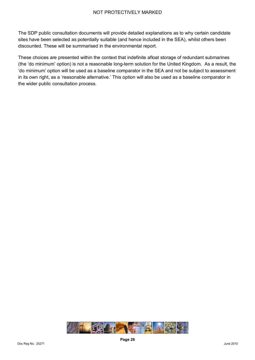The SDP public consultation documents will provide detailed explanations as to why certain candidate sites have been selected as potentially suitable (and hence included in the SEA), whilst others been discounted. These will be summarised in the environmental report.

These choices are presented within the context that indefinite afloat storage of redundant submarines (the 'do minimum' option) is not a reasonable long-term solution for the United Kingdom. As a result, the 'do minimum' option will be used as a baseline comparator in the SEA and not be subject to assessment in its own right, as a 'reasonable alternative.' This option will also be used as a baseline comparator in the wider public consultation process.

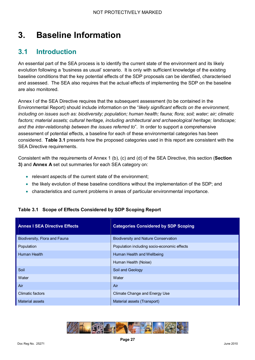# **3. Baseline Information**

## **3.1 Introduction**

An essential part of the SEA process is to identify the current state of the environment and its likely evolution following a 'business as usual' scenario. It is only with sufficient knowledge of the existing baseline conditions that the key potential effects of the SDP proposals can be identified, characterised and assessed. The SEA also requires that the actual effects of implementing the SDP on the baseline are also monitored.

Annex I of the SEA Directive requires that the subsequent assessment (to be contained in the Environmental Report) should include information on the "*likely significant effects on the environment, including on issues such as: biodiversity; population; human health; fauna; flora; soil; water; air; climatic factors; material assets; cultural heritage, including architectural and archaeological heritage; landscape; and the inter-relationship between the issues referred to*". In order to support a comprehensive assessment of potential effects, a baseline for each of these environmental categories has been considered. **Table 3.1** presents how the proposed categories used in this report are consistent with the SEA Directive requirements.

Consistent with the requirements of Annex 1 (b), (c) and (d) of the SEA Directive, this section (**Section 3)** and **Annex A** set out summaries for each SEA category on:

- · relevant aspects of the current state of the environment;
- the likely evolution of these baseline conditions without the implementation of the SDP; and
- · characteristics and current problems in areas of particular environmental importance.

|  |  |  |  | Table 3.1 Scope of Effects Considered by SDP Scoping Report |
|--|--|--|--|-------------------------------------------------------------|
|--|--|--|--|-------------------------------------------------------------|

| <b>Annex I SEA Directive Effects</b> | <b>Categories Considered by SDP Scoping</b> |
|--------------------------------------|---------------------------------------------|
| Biodiversity, Flora and Fauna        | <b>Biodiversity and Nature Conservation</b> |
| Population                           | Population including socio-economic effects |
| <b>Human Health</b>                  | Human Health and Wellbeing                  |
|                                      | Human Health (Noise)                        |
| Soil                                 | Soil and Geology                            |
| Water                                | Water                                       |
| Air                                  | Air                                         |
| <b>Climatic factors</b>              | Climate Change and Energy Use               |
| Material assets                      | Material assets (Transport)                 |

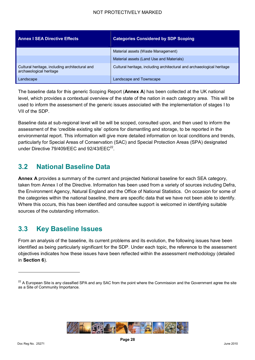#### NOT PROTECTIVELY MARKED

| <b>Annex I SEA Directive Effects</b>                                      | <b>Categories Considered by SDP Scoping</b>                            |  |  |
|---------------------------------------------------------------------------|------------------------------------------------------------------------|--|--|
|                                                                           | Material assets (Waste Management)                                     |  |  |
|                                                                           | Material assets (Land Use and Materials)                               |  |  |
| Cultural heritage, including architectural and<br>archaeological heritage | Cultural heritage, including architectural and archaeological heritage |  |  |
| Landscape                                                                 | Landscape and Townscape                                                |  |  |

The baseline data for this generic Scoping Report (**Annex A**) has been collected at the UK national level, which provides a contextual overview of the state of the nation in each category area. This will be used to inform the assessment of the generic issues associated with the implementation of stages I to VII of the SDP.

Baseline data at sub-regional level will be will be scoped, consulted upon, and then used to inform the assessment of the 'credible existing site' options for dismantling and storage, to be reported in the environmental report. This information will give more detailed information on local conditions and trends, particularly for Special Areas of Conservation (SAC) and Special Protection Areas (SPA) designated under Directive 79/409/EEC and  $92/43$ /EEC $^{22}$ .

# **3.2 National Baseline Data**

**Annex A** provides a summary of the current and projected National baseline for each SEA category, taken from Annex I of the Directive. Information has been used from a variety of sources including Defra, the Environment Agency, Natural England and the Office of National Statistics. On occasion for some of the categories within the national baseline, there are specific data that we have not been able to identify. Where this occurs, this has been identified and consultee support is welcomed in identifying suitable sources of the outstanding information.

## **3.3 Key Baseline Issues**

From an analysis of the baseline, its current problems and its evolution, the following issues have been identified as being particularly significant for the SDP. Under each topic, the reference to the assessment objectives indicates how these issues have been reflected within the assessment methodology (detailed in **Section 6**).



<sup>&</sup>lt;sup>22</sup> A European Site is any classified SPA and any SAC from the point where the Commission and the Government agree the site as a Site of Community Importance.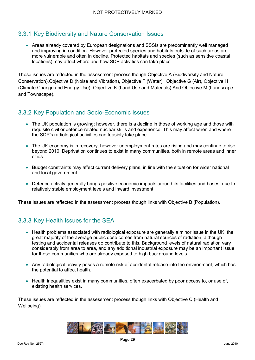### 3.3.1 Key Biodiversity and Nature Conservation Issues

· Areas already covered by European designations and SSSIs are predominantly well managed and improving in condition. However protected species and habitats outside of such areas are more vulnerable and often in decline. Protected habitats and species (such as sensitive coastal locations) may affect where and how SDP activities can take place.

These issues are reflected in the assessment process though Objective A (Biodiversity and Nature Conservation),Objective D (Noise and Vibration), Objective F (Water), Objective G (Air), Objective H (Climate Change and Energy Use), Objective K (Land Use and Materials) And Objective M (Landscape and Townscape).

### 3.3.2 Key Population and Socio-Economic Issues

- The UK population is growing; however, there is a decline in those of working age and those with requisite civil or defence-related nuclear skills and experience. This may affect when and where the SDP's radiological activities can feasibly take place.
- The UK economy is in recovery; however unemployment rates are rising and may continue to rise beyond 2010. Deprivation continues to exist in many communities, both in remote areas and inner cities.
- · Budget constraints may affect current delivery plans, in line with the situation for wider national and local government.
- · Defence activity generally brings positive economic impacts around its facilities and bases, due to relatively stable employment levels and inward investment.

These issues are reflected in the assessment process though links with Objective B (Population).

### 3.3.3 Key Health Issues for the SEA

- · Health problems associated with radiological exposure are generally a minor issue in the UK; the great majority of the average public dose comes from natural sources of radiation, although testing and accidental releases do contribute to this. Background levels of natural radiation vary considerably from area to area, and any additional industrial exposure may be an important issue for those communities who are already exposed to high background levels.
- · Any radiological activity poses a remote risk of accidental release into the environment, which has the potential to affect health.
- Health inequalities exist in many communities, often exacerbated by poor access to, or use of, existing health services.

These issues are reflected in the assessment process though links with Objective C (Health and Wellbeing).

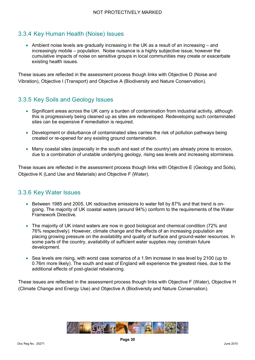## 3.3.4 Key Human Health (Noise) Issues

• Ambient noise levels are gradually increasing in the UK as a result of an increasing  $-$  and increasingly mobile – population. Noise nuisance is a highly subjective issue; however the cumulative impacts of noise on sensitive groups in local communities may create or exacerbate existing health issues.

These issues are reflected in the assessment process though links with Objective D (Noise and Vibration), Objective I (Transport) and Objective A (Biodiversity and Nature Conservation).

### 3.3.5 Key Soils and Geology Issues

- · Significant areas across the UK carry a burden of contamination from industrial activity, although this is progressively being cleaned up as sites are redeveloped. Redeveloping such contaminated sites can be expensive if remediation is required.
- · Development or disturbance of contaminated sites carries the risk of pollution pathways being created or re-opened for any existing ground contamination.
- · Many coastal sites (especially in the south and east of the country) are already prone to erosion, due to a combination of unstable underlying geology, rising sea levels and increasing storminess.

These issues are reflected in the assessment process though links with Objective E (Geology and Soils), Objective K (Land Use and Materials) and Objective F (Water).

### 3.3.6 Key Water Issues

- · Between 1985 and 2005, UK radioactive emissions to water fell by 87% and that trend is ongoing. The majority of UK coastal waters (around 94%) conform to the requirements of the Water Framework Directive.
- · The majority of UK inland waters are now in good biological and chemical condition (72% and 76% respectively). However, climate change and the effects of an increasing population are placing growing pressure on the availability and quality of surface and ground-water resources. In some parts of the country, availability of sufficient water supplies may constrain future development.
- · Sea levels are rising, with worst case scenarios of a 1.9m increase in sea level by 2100 (up to 0.76m more likely). The south and east of England will experience the greatest rises, due to the additional effects of post-glacial rebalancing.

These issues are reflected in the assessment process though links with Objective F (Water), Objective H (Climate Change and Energy Use) and Objective A (Biodiversity and Nature Conservation).

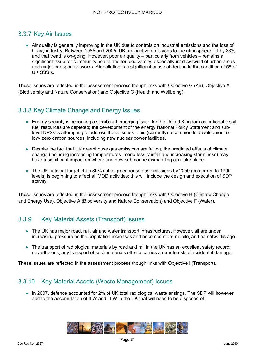### 3.3.7 Key Air Issues

· Air quality is generally improving in the UK due to controls on industrial emissions and the loss of heavy industry. Between 1985 and 2005, UK radioactive emissions to the atmosphere fell by 83% and that trend is on-going. However, poor air quality – particularly from vehicles – remains a significant issue for community health and for biodiversity, especially in/ downwind of urban areas and major transport networks. Air pollution is a significant cause of decline in the condition of 55 of UK SSSIs.

These issues are reflected in the assessment process though links with Objective G (Air), Objective A (Biodiversity and Nature Conservation) and Objective C (Health and Wellbeing).

## 3.3.8 Key Climate Change and Energy Issues

- · Energy security is becoming a significant emerging issue for the United Kingdom as national fossil fuel resources are depleted; the development of the energy National Policy Statement and sublevel NPSs is attempting to address these issues. This (currently) recommends development of low/ zero carbon sources, including new nuclear power facilities.
- · Despite the fact that UK greenhouse gas emissions are falling, the predicted effects of climate change (including increasing temperatures, more/ less rainfall and increasing storminess) may have a significant impact on where and how submarine dismantling can take place.
- · The UK national target of an 80% cut in greenhouse gas emissions by 2050 (compared to 1990 levels) is beginning to affect all MOD activities; this will include the design and execution of SDP activity.

These issues are reflected in the assessment process though links with Objective H (Climate Change and Energy Use), Objective A (Biodiversity and Nature Conservation) and Objective F (Water).

## 3.3.9 Key Material Assets (Transport) Issues

- · The UK has major road, rail, air and water transport infrastructures. However, all are under increasing pressure as the population increases and becomes more mobile, and as networks age.
- · The transport of radiological materials by road and rail in the UK has an excellent safety record; nevertheless, any transport of such materials off-site carries a remote risk of accidental damage.

These issues are reflected in the assessment process though links with Objective I (Transport).

### 3.3.10 Key Material Assets (Waste Management) Issues

· In 2007, defence accounted for 2% of UK total radiological waste arisings. The SDP will however add to the accumulation of ILW and LLW in the UK that will need to be disposed of.

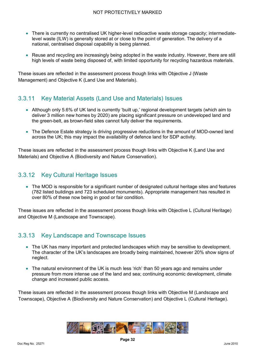- · There is currently no centralised UK higher-level radioactive waste storage capacity; intermediatelevel waste (ILW) is generally stored at or close to the point of generation. The delivery of a national, centralised disposal capability is being planned.
- · Reuse and recycling are increasingly being adopted in the waste industry. However, there are still high levels of waste being disposed of, with limited opportunity for recycling hazardous materials.

These issues are reflected in the assessment process though links with Objective J (Waste Management) and Objective K (Land Use and Materials).

### 3.3.11 Key Material Assets (Land Use and Materials) Issues

- Although only 5.6% of UK land is currently 'built up,' regional development targets (which aim to deliver 3 million new homes by 2020) are placing significant pressure on undeveloped land and the green-belt, as brown-field sites cannot fully deliver the requirements.
- The Defence Estate strategy is driving progressive reductions in the amount of MOD-owned land across the UK; this may impact the availability of defence land for SDP activity.

These issues are reflected in the assessment process though links with Objective K (Land Use and Materials) and Objective A (Biodiversity and Nature Conservation).

### 3.3.12 Key Cultural Heritage Issues

· The MOD is responsible for a significant number of designated cultural heritage sites and features (782 listed buildings and 723 scheduled monuments). Appropriate management has resulted in over 80% of these now being in good or fair condition.

These issues are reflected in the assessment process though links with Objective L (Cultural Heritage) and Objective M (Landscape and Townscape).

### 3.3.13 Key Landscape and Townscape Issues

- · The UK has many important and protected landscapes which may be sensitive to development. The character of the UK's landscapes are broadly being maintained, however 20% show signs of neglect.
- · The natural environment of the UK is much less 'rich' than 50 years ago and remains under pressure from more intense use of the land and sea; continuing economic development, climate change and increased public access.

These issues are reflected in the assessment process though links with Objective M (Landscape and Townscape), Objective A (Biodiversity and Nature Conservation) and Objective L (Cultural Heritage).

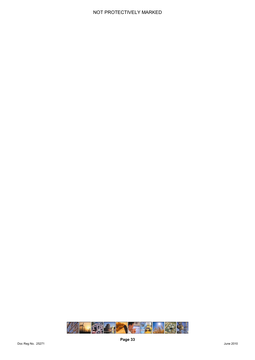#### NOT PROTECTIVELY MARKED

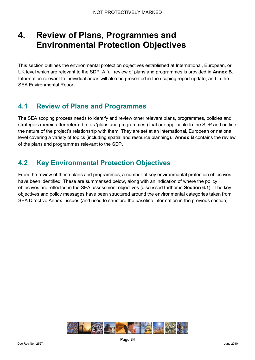# **4. Review of Plans, Programmes and Environmental Protection Objectives**

This section outlines the environmental protection objectives established at International, European, or UK level which are relevant to the SDP. A full review of plans and programmes is provided in **Annex B.** Information relevant to individual areas will also be presented in the scoping report update, and in the SEA Environmental Report.

# **4.1 Review of Plans and Programmes**

The SEA scoping process needs to identify and review other relevant plans, programmes, policies and strategies (herein after referred to as 'plans and programmes') that are applicable to the SDP and outline the nature of the project's relationship with them. They are set at an international, European or national level covering a variety of topics (including spatial and resource planning). **Annex B** contains the review of the plans and programmes relevant to the SDP.

# **4.2 Key Environmental Protection Objectives**

From the review of these plans and programmes, a number of key environmental protection objectives have been identified. These are summarised below, along with an indication of where the policy objectives are reflected in the SEA assessment objectives (discussed further in **Section 6.1)**. The key objectives and policy messages have been structured around the environmental categories taken from SEA Directive Annex I issues (and used to structure the baseline information in the previous section).

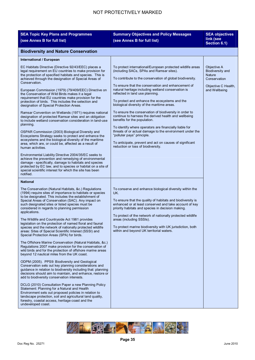| <b>SEA Topic Key Plans and Programmes</b><br>(see Annex B for full list)                                                                                                                                                                                                                                                                                                                                                                                                                                                                                                                                                                                                                                                                                                                                                                                                                                                                                                                                                                                                                                                                                                                | <b>Summary Objectives and Policy Messages</b><br>(see Annex B for full list)                                                                                                                                                                                                                                                                                                                                                                                                                                                                                                                                                                                                                                                                                                                                              | <b>SEA objectives</b><br>link (see<br>Section 6.1)                                                       |
|-----------------------------------------------------------------------------------------------------------------------------------------------------------------------------------------------------------------------------------------------------------------------------------------------------------------------------------------------------------------------------------------------------------------------------------------------------------------------------------------------------------------------------------------------------------------------------------------------------------------------------------------------------------------------------------------------------------------------------------------------------------------------------------------------------------------------------------------------------------------------------------------------------------------------------------------------------------------------------------------------------------------------------------------------------------------------------------------------------------------------------------------------------------------------------------------|---------------------------------------------------------------------------------------------------------------------------------------------------------------------------------------------------------------------------------------------------------------------------------------------------------------------------------------------------------------------------------------------------------------------------------------------------------------------------------------------------------------------------------------------------------------------------------------------------------------------------------------------------------------------------------------------------------------------------------------------------------------------------------------------------------------------------|----------------------------------------------------------------------------------------------------------|
| <b>Biodiversity and Nature Conservation</b>                                                                                                                                                                                                                                                                                                                                                                                                                                                                                                                                                                                                                                                                                                                                                                                                                                                                                                                                                                                                                                                                                                                                             |                                                                                                                                                                                                                                                                                                                                                                                                                                                                                                                                                                                                                                                                                                                                                                                                                           |                                                                                                          |
|                                                                                                                                                                                                                                                                                                                                                                                                                                                                                                                                                                                                                                                                                                                                                                                                                                                                                                                                                                                                                                                                                                                                                                                         |                                                                                                                                                                                                                                                                                                                                                                                                                                                                                                                                                                                                                                                                                                                                                                                                                           |                                                                                                          |
| International / European<br>EC Habitats Directive (Directive 92/43/EEC) places a<br>legal requirement on EU countries to make provision for<br>the protection of specified habitats and species. This is<br>achieved through the designation of Special Areas of<br>Conservation.<br>European Commission (1979) (79/409/EEC) Directive on<br>the Conservation of Wild Birds makes it a legal<br>requirement that EU countries make provision for the<br>protection of birds. This includes the selection and<br>designation of Special Protection Areas.<br>Ramsar Convention on Wetlands (1971) requires national<br>designation of protected Ramsar sites and an obligation<br>to include wetland conservation consideration in land-use<br>planning.<br>OSPAR Commission (2003) Biological Diversity and<br>Ecosystems Strategy seeks to protect and enhance the<br>ecosystems and the biological diversity of the maritime<br>area, which are, or could be, affected as a result of<br>human activities.<br>Environmental Liability Directive 2004/35/EC seeks to<br>achieve the prevention and remedying of environmental<br>damage - specifically, damage to habitats and species | To protect international/European protected wildlife areas<br>(including SACs, SPAs and Ramsar sites).<br>To contribute to the conservation of global biodiversity.<br>To ensure that the conservation and enhancement of<br>natural heritage including wetland conservation is<br>reflected in land use planning.<br>To protect and enhance the ecosystems and the<br>biological diversity of the maritime areas.<br>To ensure the conservation of biodiversity in order to<br>continue to harness the derived health and wellbeing<br>benefits for the population.<br>To identify where operators are financially liable for<br>threats of or actual damage to the environment under the<br>"polluter pays" principle.<br>To anticipate, prevent and act on causes of significant<br>reduction or loss of biodiversity. | Objective A<br>Biodiversity and<br><b>Nature</b><br>Conservation<br>Objective C Health,<br>and Wellbeing |
| protected by EC law, and to species or habitat on a site of<br>special scientific interest for which the site has been<br>notified.<br><b>National</b><br>The Conservation (Natural Habitats, &c.) Regulations<br>(1994) require sites of importance to habitats or species<br>to be designated. This includes the establishment of<br>Special Areas of Conservation (SAC). Any impact on<br>such designated sites or listed species must be<br>considered in regards to planning permission                                                                                                                                                                                                                                                                                                                                                                                                                                                                                                                                                                                                                                                                                            | To conserve and enhance biological diversity within the<br>UK.<br>To ensure that the quality of habitats and biodiversity is<br>enhanced or at least conserved and take account of key<br>priority habitats and species in decision making.                                                                                                                                                                                                                                                                                                                                                                                                                                                                                                                                                                               |                                                                                                          |
| applications.<br>The Wildlife and Countryside Act 1981 provides<br>legislation on the protection of named floral and faunal<br>species and the network of nationally protected wildlife<br>areas: Sites of Special Scientific Interest (SSSI) and<br>Special Protection Areas (SPA) for birds.<br>The Offshore Marine Conservation (Natural Habitats, &c.)<br>Regulations 2007 make provision for the conservation of<br>wild birds and for the protection of offshore marine areas<br>beyond 12 nautical miles from the UK coast.                                                                                                                                                                                                                                                                                                                                                                                                                                                                                                                                                                                                                                                      | To protect of the network of nationally protected wildlife<br>areas (including SSSIs).<br>To protect marine biodiversity with UK jurisdiction, both<br>within and beyond UK territorial waters.                                                                                                                                                                                                                                                                                                                                                                                                                                                                                                                                                                                                                           |                                                                                                          |
| ODPM (2005). PPS9: Biodiversity and Geological<br>Conservation sets out key planning considerations and<br>quidance in relation to biodiversity including that: planning<br>decisions should aim to maintain, and enhance, restore or<br>add to biodiversity conservation interests.<br>DCLG (2010) Consultation Paper a new Planning Policy<br>Statement: Planning for a Natural and Health<br>Environment sets out proposed policies in relation to<br>landscape protection, soil and agricultural land quality,<br>forestry, coastal access, heritage coast and the<br>undeveloped coast.                                                                                                                                                                                                                                                                                                                                                                                                                                                                                                                                                                                            |                                                                                                                                                                                                                                                                                                                                                                                                                                                                                                                                                                                                                                                                                                                                                                                                                           |                                                                                                          |

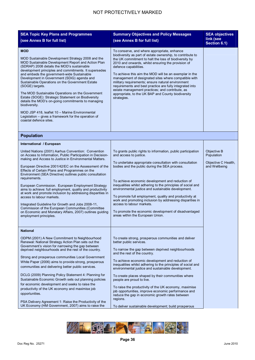| (see Annex B for full list)                                                                                                                                                                                                                                                                                                                                                                                                                                                                                                                                                                                                   | link (see                                                         |
|-------------------------------------------------------------------------------------------------------------------------------------------------------------------------------------------------------------------------------------------------------------------------------------------------------------------------------------------------------------------------------------------------------------------------------------------------------------------------------------------------------------------------------------------------------------------------------------------------------------------------------|-------------------------------------------------------------------|
|                                                                                                                                                                                                                                                                                                                                                                                                                                                                                                                                                                                                                               | Section 6.1)                                                      |
| To conserve, and where appropriate, enhance<br>biodiversity as part of estate ownership, to contribute to<br>the UK commitment to halt the loss of biodiversity by<br>2010 and onwards, whilst ensuring the provision of<br>defence capabilities.<br>To achieve this aim the MOD will be an exemplar in the<br>management of designated sites where compatible with<br>military requirements; ensure natural environment<br>requirements and best practice are fully integrated into<br>estate management practices; and contribute, as<br>appropriate, to the UK BAP and County biodiversity<br>strategies.                  |                                                                   |
|                                                                                                                                                                                                                                                                                                                                                                                                                                                                                                                                                                                                                               |                                                                   |
|                                                                                                                                                                                                                                                                                                                                                                                                                                                                                                                                                                                                                               |                                                                   |
| To grants public rights to information, public participation<br>and access to justice.<br>To undertake appropriate consultation with consultation<br>bodies and the public during the SEA process.<br>To achieve economic development and reduction of<br>inequalities whilst adhering to the principles of social and<br>environmental justice and sustainable development.<br>To promote full employment, quality and productivity at<br>work and promoting inclusion by addressing disparities in<br>access to labour markets.<br>To promote the economic development of disadvantaged<br>areas within the European Union. | Objective B<br>Population<br>Objective C Health,<br>and Wellbeing |
| To create strong, prosperous communities and deliver<br>better public services.<br>To narrow the gap between deprived neighbourhoods<br>and the rest of the country.<br>To achieve economic development and reduction of<br>inequalities whilst adhering to the principles of social and<br>environmental justice and sustainable development.<br>To create places shaped by their communities where<br>people are proud to live.<br>To raise the productivity of the UK economy, maximise<br>job opportunities, improve economic performance and<br>reduce the gap in economic growth rates between<br>regions.              |                                                                   |
|                                                                                                                                                                                                                                                                                                                                                                                                                                                                                                                                                                                                                               | To deliver sustainable development; build prosperous              |

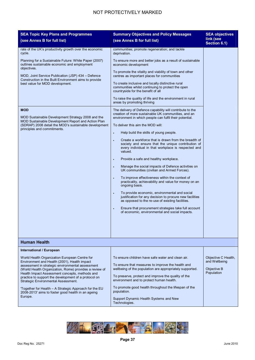| <b>SEA Topic Key Plans and Programmes</b>                                                                            | <b>Summary Objectives and Policy Messages</b>                                                                                                                                             | <b>SEA objectives</b>                |
|----------------------------------------------------------------------------------------------------------------------|-------------------------------------------------------------------------------------------------------------------------------------------------------------------------------------------|--------------------------------------|
| (see Annex B for full list)                                                                                          | (see Annex B for full list)                                                                                                                                                               | link (see<br>Section 6.1)            |
| rate of the UK's productivity growth over the economic<br>cycle.                                                     | communities; promote regeneration; and tackle<br>deprivation.                                                                                                                             |                                      |
| Planning for a Sustainable Future: White Paper (2007)<br>outlines sustainable economic and employment<br>objectives. | To ensure more and better jobs as a result of sustainable<br>economic development                                                                                                         |                                      |
| MOD, Joint Service Publication (JSP) 434 - Defence<br>Construction in the Built Environment aims to provide          | To promote the vitality and viability of town and other<br>centres as important places for communities                                                                                    |                                      |
| best value for MOD development.                                                                                      | To create inclusive and locally distinctive rural<br>communities whilst continuing to protect the open<br>countryside for the benefit of all                                              |                                      |
|                                                                                                                      | To raise the quality of life and the environment in rural<br>areas by promoting thriving                                                                                                  |                                      |
| <b>MOD</b><br>MOD Sustainable Development Strategy 2008 and the                                                      | The delivery of Defence capability will contribute to the<br>creation of more sustainable UK communities, and an<br>environment in which people can fulfil their potential.               |                                      |
| MOD Sustainable Development Report and Action Plan<br>(SDRAP) 2008 detail the MOD's sustainable development          | To deliver this aim the MOD will:                                                                                                                                                         |                                      |
| principles and commitments.                                                                                          | Help build the skills of young people.<br>$\bullet$                                                                                                                                       |                                      |
|                                                                                                                      | Create a workforce that is drawn from the breadth of<br>$\bullet$<br>society and ensure that the unique contribution of<br>every individual in that workplace is respected and<br>valued. |                                      |
|                                                                                                                      | Provide a safe and healthy workplace.<br>$\bullet$                                                                                                                                        |                                      |
|                                                                                                                      | Manage the social impacts of Defence activities on<br>$\bullet$<br>UK communities (civilian and Armed Forces).                                                                            |                                      |
|                                                                                                                      | To improve effectiveness within the context of<br>$\bullet$<br>practicality, achievability and value for money on an<br>ongoing basis.                                                    |                                      |
|                                                                                                                      | To provide economic, environmental and social<br>$\bullet$<br>justification for any decision to procure new facilities<br>as opposed to the re-use of existing facilities.                |                                      |
|                                                                                                                      | Ensure that procurement strategies take full account<br>$\bullet$<br>of economic, environmental and social impacts.                                                                       |                                      |
|                                                                                                                      |                                                                                                                                                                                           |                                      |
|                                                                                                                      |                                                                                                                                                                                           |                                      |
| <b>Human Health</b>                                                                                                  |                                                                                                                                                                                           |                                      |
| International / European                                                                                             |                                                                                                                                                                                           |                                      |
| World Health Organization European Centre for<br>Environment and Health (2001), Health impact                        | To ensure children have safe water and clean air.                                                                                                                                         | Objective C Health,<br>and Wellbeing |
| assessment in strategic environmental assessment<br>(World Health Organization, Rome) provides a review of           | To ensure that measures to improve the health and<br>wellbeing of the population are appropriately supported.                                                                             | Objective B                          |

(World Health Organization, Rome) provides a review of Health Impact Assessment concepts, methods and practice to support the development of a protocol on Strategic Environmental Assessment. 'Together for Health – A Strategic Approach for the EU 2008-2013' aims to foster good health in an ageing To preserve, protect and improve the quality of the environment and to protect human health.

Europe.



Support Dynamic Health Systems and New Technologies.



Population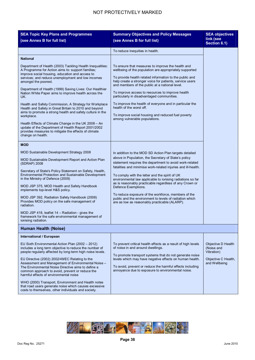| <b>SEA Topic Key Plans and Programmes</b>                                                                                                                                                                                                                                                                 | <b>Summary Objectives and Policy Messages</b>                                                                                                                                                                                                                                         | <b>SEA objectives</b>                          |
|-----------------------------------------------------------------------------------------------------------------------------------------------------------------------------------------------------------------------------------------------------------------------------------------------------------|---------------------------------------------------------------------------------------------------------------------------------------------------------------------------------------------------------------------------------------------------------------------------------------|------------------------------------------------|
| (see Annex B for full list)                                                                                                                                                                                                                                                                               | (see Annex B for full list)                                                                                                                                                                                                                                                           | link (see<br>Section 6.1)                      |
|                                                                                                                                                                                                                                                                                                           | To reduce inequities in health.                                                                                                                                                                                                                                                       |                                                |
| <b>National</b>                                                                                                                                                                                                                                                                                           |                                                                                                                                                                                                                                                                                       |                                                |
| Department of Health (2003) Tackling Health Inequalities:<br>A Programme for Action aims to: support families;<br>improve social housing, education and access to<br>services; and reduce unemployment and low incomes<br>amongst the poorest.<br>Department of Health (1999) Saving Lives: Our Healthier | To ensure that measures to improve the health and<br>wellbeing of the population are appropriately supported<br>To provide health related information to the public and<br>help create a stronger voice for patients, service users<br>and members of the public at a national level. |                                                |
| Nation White Paper aims to improve health across the<br>UK.                                                                                                                                                                                                                                               | To improve access to resources to improve health<br>particularly in disadvantaged communities.                                                                                                                                                                                        |                                                |
| Health and Safety Commission, A Strategy for Workplace<br>Health and Safety in Great Britain to 2010 and beyond<br>aims to promote a strong health and safety culture in the<br>workplace.                                                                                                                | To improve the health of everyone and in particular the<br>health of the worst off.<br>To improve social housing and reduced fuel poverty<br>among vulnerable populations.                                                                                                            |                                                |
| Health Effects of Climate Change in the UK 2008 - An<br>update of the Department of Health Report 2001/2002<br>provides measures to mitigate the effects of climate<br>change on health.                                                                                                                  |                                                                                                                                                                                                                                                                                       |                                                |
| <b>MOD</b>                                                                                                                                                                                                                                                                                                |                                                                                                                                                                                                                                                                                       |                                                |
| <b>MOD Sustainable Development Strategy 2008</b>                                                                                                                                                                                                                                                          | In addition to the MOD SD Action Plan targets detailed                                                                                                                                                                                                                                |                                                |
| MOD Sustainable Development Report and Action Plan<br>(SDRAP) 2008                                                                                                                                                                                                                                        | above in Population, the Secretary of State's policy<br>statement requires the department to avoid work-related                                                                                                                                                                       |                                                |
| Secretary of State's Policy Statement on Safety, Health,<br>Environmental Protection and Sustainable Development<br>in the Ministry of Defence (2009)                                                                                                                                                     | fatalities and minimise work-related injuries and ill-health.<br>To comply with the letter and the spirit of UK<br>environmental law applicable to ionising radiations so far                                                                                                         |                                                |
| MOD JSP 375, MOD Health and Safety Handbook<br>implements top-level H&S policy.                                                                                                                                                                                                                           | as is reasonably practicable regardless of any Crown or<br>Defence Exemptions.                                                                                                                                                                                                        |                                                |
| MOD JSP 392, Radiation Safety Handbook (2008)<br>Provides MOD policy on the safe management of<br>radiation.                                                                                                                                                                                              | To reduce exposure of the workforce, members of the<br>public and the environment to levels of radiation which<br>are as low as reasonably practicable (ALARP).                                                                                                                       |                                                |
| MOD JSP 418, leaflet 14 - Radiation - gives the<br>framework for the safe environmental management of<br>ionising radiation.                                                                                                                                                                              |                                                                                                                                                                                                                                                                                       |                                                |
| <b>Human Health (Noise)</b>                                                                                                                                                                                                                                                                               |                                                                                                                                                                                                                                                                                       |                                                |
| International / European                                                                                                                                                                                                                                                                                  |                                                                                                                                                                                                                                                                                       |                                                |
| EU Sixth Environmental Action Plan (2002 – 2012)<br>includes a long term objective to reduce the number of<br>people regularly affected by long-term high noise levels.                                                                                                                                   | To prevent critical health effects as a result of high levels<br>of noise in and around dwellings.                                                                                                                                                                                    | Objective D Health<br>(Noise and<br>Vibration) |
| EU Directive (2002) 2002/49/EC Relating to the<br>Assessment and Management of Environmental Noise -<br>The Environmental Noise Directive aims to define a<br>common approach to avoid, prevent or reduce the<br>harmful effects of environmental noise                                                   | To promote transport systems that do not generate noise<br>levels which may have negative effects on human health.<br>To avoid, prevent or reduce the harmful effects including<br>annoyance due to exposure to environmental noise.                                                  | Objective C Health,<br>and Wellbeing           |
| WHO (2000) Transport, Environment and Health notes<br>that road users generate noise which causes excessive<br>costs to themselves, other individuals and society.                                                                                                                                        |                                                                                                                                                                                                                                                                                       |                                                |

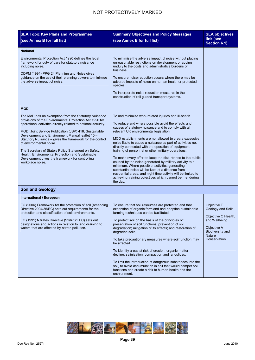| <b>SEA Topic Key Plans and Programmes</b><br>(see Annex B for full list)                                                                                                                                                                                                                                                                                                                                                                                                                                                                                               | <b>Summary Objectives and Policy Messages</b><br>(see Annex B for full list)                                                                                                                                                                                                                                                                                                                                                                                                                                                                                                                                                                                                                                                                                                                                                | <b>SEA objectives</b><br>link (see<br>Section 6.1)                                                                                                  |
|------------------------------------------------------------------------------------------------------------------------------------------------------------------------------------------------------------------------------------------------------------------------------------------------------------------------------------------------------------------------------------------------------------------------------------------------------------------------------------------------------------------------------------------------------------------------|-----------------------------------------------------------------------------------------------------------------------------------------------------------------------------------------------------------------------------------------------------------------------------------------------------------------------------------------------------------------------------------------------------------------------------------------------------------------------------------------------------------------------------------------------------------------------------------------------------------------------------------------------------------------------------------------------------------------------------------------------------------------------------------------------------------------------------|-----------------------------------------------------------------------------------------------------------------------------------------------------|
| <b>National</b>                                                                                                                                                                                                                                                                                                                                                                                                                                                                                                                                                        |                                                                                                                                                                                                                                                                                                                                                                                                                                                                                                                                                                                                                                                                                                                                                                                                                             |                                                                                                                                                     |
| Environmental Protection Act 1990 defines the legal<br>framework for duty of care for statutory nuisance<br>including noise.<br>ODPM (1994) PPG 24 Planning and Noise gives<br>guidance on the use of their planning powers to minimise<br>the adverse impact of noise.                                                                                                                                                                                                                                                                                                | To minimise the adverse impact of noise without placing<br>unreasonable restrictions on development or adding<br>unduly to the costs and administrative burdens of<br>business.<br>To ensure noise reduction occurs where there may be<br>adverse impacts of noise on human health or protected<br>species.<br>To incorporate noise reduction measures in the<br>construction of rail guided transport systems.                                                                                                                                                                                                                                                                                                                                                                                                             |                                                                                                                                                     |
| <b>MOD</b>                                                                                                                                                                                                                                                                                                                                                                                                                                                                                                                                                             |                                                                                                                                                                                                                                                                                                                                                                                                                                                                                                                                                                                                                                                                                                                                                                                                                             |                                                                                                                                                     |
| The MoD has an exemption from the Statutory Nuisance<br>provisions of the Environmental Protection Act 1990 for<br>operational activities directly related to national security.<br>MOD, Joint Service Publication (JSP) 418, Sustainable<br>Development and Environment Manual leaflet 15 -<br>Statutory Nuisance – gives the framework for the control<br>of environmental noise.<br>The Secretary of State's Policy Statement on Safety,<br>Health, Environmental Protection and Sustainable<br>Development gives the framework for controlling<br>workplace noise. | To and minimise work-related injuries and ill-health.<br>To reduce and where possible avoid the effects and<br>causes of statutory nuisance and to comply with all<br>relevant UK environmental legislation.<br>MOD establishments are not allowed to create excessive<br>noise liable to cause a nuisance as part of activities not<br>directly connected with the operation of equipment,<br>training of personnel or other military operations.<br>To make every effort to keep the disturbance to the public<br>caused by the noise generated by military activity to a<br>minimum. Where possible, activities generating<br>substantial noise will be kept at a distance from<br>residential areas, and night time activity will be limited to<br>achieving training objectives which cannot be met during<br>the day. |                                                                                                                                                     |
| <b>Soil and Geology</b>                                                                                                                                                                                                                                                                                                                                                                                                                                                                                                                                                |                                                                                                                                                                                                                                                                                                                                                                                                                                                                                                                                                                                                                                                                                                                                                                                                                             |                                                                                                                                                     |
| International / European                                                                                                                                                                                                                                                                                                                                                                                                                                                                                                                                               |                                                                                                                                                                                                                                                                                                                                                                                                                                                                                                                                                                                                                                                                                                                                                                                                                             |                                                                                                                                                     |
| EC (2006) Framework for the protection of soil (amending<br>Directive 2004/35/EC) sets out requirements for the<br>protection and classification of soil environments.<br>EC (1991) Nitrates Directive (91/676/EEC) sets out<br>designations and actions in relation to land draining to<br>waters that are affected by nitrate pollution.                                                                                                                                                                                                                             | To ensure that soil resources are protected and that<br>expansion of organic farmland and adoption sustainable<br>farming techniques can be facilitated.<br>To protect soil on the basis of the principles of:<br>preservation of soil functions; prevention of soil<br>degradation; mitigation of its effects; and restoration of<br>degraded soils.<br>To take precautionary measures where soil function may                                                                                                                                                                                                                                                                                                                                                                                                             | Objective E<br>Geology and Soils<br>Objective C Health,<br>and Wellbeing<br>Objective A<br><b>Biodiversity</b> and<br><b>Nature</b><br>Conservation |



be affected.

environment.

To identify areas at risk of erosion, organic matter decline, salinisation, compaction and landslides.

To limit the introduction of dangerous substances into the soil, to avoid accumulation in soil that would hamper soil functions and create a risk to human health and the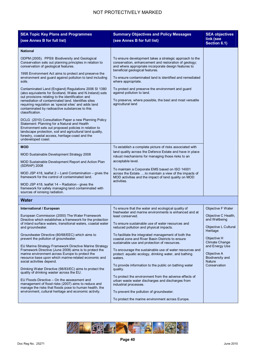| <b>SEA Topic Key Plans and Programmes</b><br>(see Annex B for full list)                                                                                                                                                                                                                                                                                                                                                                                                                                                                                                                                                                                                                                                                                                                                                                                                                                                                                                    | <b>Summary Objectives and Policy Messages</b><br>(see Annex B for full list)                                                                                                                                                                                                                                                                                                                                                                                                                                                                                                                                                                                                                                                                                                     | <b>SEA objectives</b><br>link (see<br>Section 6.1)                                                                                                                                                                          |
|-----------------------------------------------------------------------------------------------------------------------------------------------------------------------------------------------------------------------------------------------------------------------------------------------------------------------------------------------------------------------------------------------------------------------------------------------------------------------------------------------------------------------------------------------------------------------------------------------------------------------------------------------------------------------------------------------------------------------------------------------------------------------------------------------------------------------------------------------------------------------------------------------------------------------------------------------------------------------------|----------------------------------------------------------------------------------------------------------------------------------------------------------------------------------------------------------------------------------------------------------------------------------------------------------------------------------------------------------------------------------------------------------------------------------------------------------------------------------------------------------------------------------------------------------------------------------------------------------------------------------------------------------------------------------------------------------------------------------------------------------------------------------|-----------------------------------------------------------------------------------------------------------------------------------------------------------------------------------------------------------------------------|
| <b>National</b><br>ODPM (2005). PPS9: Biodiversity and Geological<br>Conservation sets out planning principles in relation to<br>conservation of geological features.<br>1995 Environment Act aims to protect and preserve the<br>environment and guard against pollution to land including<br>soils.<br>Contaminated Land (England) Regulations 2006 SI 1380<br>(also equivalents for Scotland, Wales and N.Ireland) sets<br>out provisions relating to the identification and<br>remediation of contaminated land. Identifies sites<br>requiring regulation as 'special sites' and adds land<br>contaminated by radioactive substances to this<br>classification.<br>DCLG (2010) Consultation Paper a new Planning Policy<br>Statement: Planning for a Natural and Health<br>Environment sets out proposed policies in relation to<br>landscape protection, soil and agricultural land quality,<br>forestry, coastal access, heritage coast and the<br>undeveloped coast. | To ensure development takes a strategic approach to the<br>conservation, enhancement and restoration of geology;<br>and where appropriate incorporate design features to<br>beneficial geological features.<br>To ensure contaminated land is identified and remediated<br>where appropriate.<br>To protect and preserve the environment and guard<br>against pollution to land.<br>To preserve, where possible, the best and most versatile<br>agricultural land                                                                                                                                                                                                                                                                                                                |                                                                                                                                                                                                                             |
| <b>MOD</b><br>MOD Sustainable Development Strategy 2008<br>MOD Sustainable Development Report and Action Plan<br>(SDRAP) 2008<br>MOD JSP 418, leaflet $2 -$ Land Contamination $-$ gives the<br>framework for the control of contaminated land.<br>MOD JSP 418, leaflet 14 – Radiation - gives the<br>framework for safely managing land contaminated with<br>sources of ionising radiation.                                                                                                                                                                                                                                                                                                                                                                                                                                                                                                                                                                                | To establish a complete picture of risks associated with<br>land quality across the Defence Estate and have in place<br>robust mechanisms for managing those risks to an<br>acceptable level.<br>To maintain a Corporate EMS based on ISO 14001<br>across the Estate. to maintain a view of the impacts of<br>MOD activities and the impact of land quality on MOD<br>activities.                                                                                                                                                                                                                                                                                                                                                                                                |                                                                                                                                                                                                                             |
| Water                                                                                                                                                                                                                                                                                                                                                                                                                                                                                                                                                                                                                                                                                                                                                                                                                                                                                                                                                                       |                                                                                                                                                                                                                                                                                                                                                                                                                                                                                                                                                                                                                                                                                                                                                                                  |                                                                                                                                                                                                                             |
| International / European<br>European Commission (2000) The Water Framework<br>Directive which establishes a framework for the protection<br>of inland surface waters, transitional waters, coastal water<br>and groundwater.<br>Groundwater Directive (80/68/EEC) which aims to<br>prevent the pollution of groundwater.<br>EU Marine Strategy Framework Directive Marine Strategy<br>Framework Directive (June 2008) aims is to protect the<br>marine environment across Europe to protect the<br>resource base upon which marine-related economic and<br>social activities depend.<br>Drinking Water Directive (98/83/EC) aims to protect the<br>quality of drinking waster across the EU.<br>EU Floods Directive - On the assessment and<br>management of flood risks (2007) aims to reduce and<br>manage the risks that floods pose to human health, the<br>environment, cultural heritage and economic activity.                                                       | To ensure that the water and ecological quality of<br>freshwater and marine environments is enhanced and at<br>least conserved.<br>To ensure sustainable use of water resources and<br>reduced pollution and physical impacts.<br>To facilitate the integrated management of both the<br>coastal zone and River Basin Districts to ensure<br>sustainable use and protection of resources.<br>To encourage the sustainable use of water resources and<br>protect: aquatic ecology, drinking water, and bathing<br>waters.<br>To provide information to the public on bathing water<br>quality.<br>To protect the environment from the adverse effects of<br>urban waste water discharges and discharges from<br>industrial processes.<br>To prevent the pollution of groundwater. | Objective F Water<br>Objective C Health,<br>and Wellbeing<br>Objective L Cultural<br>Heritage<br>Objective H<br><b>Climate Change</b><br>and Energy Use<br>Objective A<br>Biodiversity and<br><b>Nature</b><br>Conservation |
|                                                                                                                                                                                                                                                                                                                                                                                                                                                                                                                                                                                                                                                                                                                                                                                                                                                                                                                                                                             | To protect the marine environment across Europe.                                                                                                                                                                                                                                                                                                                                                                                                                                                                                                                                                                                                                                                                                                                                 |                                                                                                                                                                                                                             |

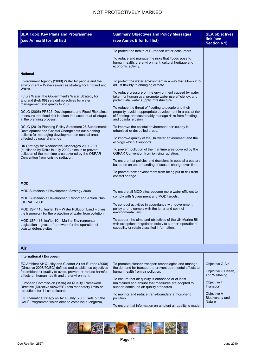| <b>SEA Topic Key Plans and Programmes</b><br>(see Annex B for full list)                                                                                                                               | <b>Summary Objectives and Policy Messages</b><br>(see Annex B for full list)                                                                                                                          | <b>SEA objectives</b><br>link (see<br>Section 6.1) |
|--------------------------------------------------------------------------------------------------------------------------------------------------------------------------------------------------------|-------------------------------------------------------------------------------------------------------------------------------------------------------------------------------------------------------|----------------------------------------------------|
|                                                                                                                                                                                                        | To protect the health of European water consumers                                                                                                                                                     |                                                    |
|                                                                                                                                                                                                        | To reduce and manage the risks that floods pose to<br>human health, the environment, cultural heritage and<br>economic activity.                                                                      |                                                    |
| <b>National</b>                                                                                                                                                                                        |                                                                                                                                                                                                       |                                                    |
| Environment Agency (2009) Water for people and the<br>environment - Water resources strategy for England and<br>Wales.                                                                                 | To protect the water environment in a way that allows it to<br>adjust flexibly to changing climate.                                                                                                   |                                                    |
| Future Water, the Government's Water Strategy for<br>England (Feb 08) sets out objectives for water<br>management and quality to 2030.                                                                 | To reduce pressure on the environment caused by water<br>taken for human use; promote water use efficiency; and<br>protect vital water supply infrastructure.                                         |                                                    |
| DCLG (2006) PPS25: Development and Flood Risk aims<br>to ensure that flood risk is taken into account at all stages<br>in the planning process.                                                        | To reduce the threat of flooding to people and their<br>property; avoid inappropriate development in areas at risk<br>of flooding; and sustainably manage risks from flooding<br>and coastal erosion. |                                                    |
| DCLG (2010) Planning Policy Statement 25 Supplement:<br>Development and Coastal Change sets out planning<br>policies for managing development on coastal areas                                         | To improve the coastal environment particularly in<br>urbanised or despoiled areas.                                                                                                                   |                                                    |
| affected by coastal change.                                                                                                                                                                            | To improve quality of the UK water environment and the<br>ecology which it supports                                                                                                                   |                                                    |
| UK Strategy for Radioactive Discharges 2001-2020<br>(published by Defra in July 2002) aims is to prevent<br>pollution of the maritime area covered by the OSPAR<br>Convention from ionising radiation. | To prevent pollution of the maritime area covered by the<br>OSPAR Convention from ionising radiation.                                                                                                 |                                                    |
|                                                                                                                                                                                                        | To ensure that policies and decisions in coastal areas are<br>based on an understanding of coastal change over time                                                                                   |                                                    |
|                                                                                                                                                                                                        | To prevent new development from being put at risk from<br>coastal change                                                                                                                              |                                                    |
| <b>MOD</b>                                                                                                                                                                                             |                                                                                                                                                                                                       |                                                    |
| MOD Sustainable Development Strategy 2008                                                                                                                                                              | To ensure all MOD sites become more water efficient to                                                                                                                                                |                                                    |
| MOD Sustainable Development Report and Action Plan<br>(SDRAP) 2008                                                                                                                                     | comply with Government and MOD targets.                                                                                                                                                               |                                                    |
| MOD JSP 418, leaflet $19 - W$ ater Pollution Land $-$ gives<br>the framework for the protection of water from pollution.                                                                               | To conduct activities in accordance with government<br>policy and to comply with the letter and spirit of<br>environmental law.                                                                       |                                                    |
| MOD JSP 418, leaflet 10 - Marine Environmental<br>Legislation - gives a framework for the operation of<br>coastal defence sites.                                                                       | To support the aims and objectives of the UK Marine Bill,<br>with exceptions negotiated solely to support operational<br>capability or retain classified information.                                 |                                                    |
|                                                                                                                                                                                                        |                                                                                                                                                                                                       |                                                    |
| Air                                                                                                                                                                                                    |                                                                                                                                                                                                       |                                                    |
| International / European                                                                                                                                                                               |                                                                                                                                                                                                       |                                                    |
| EC Ambient Air Quality and Cleaner Air for Europe (2008)<br>(Directive 2008/50/EC) defines and establishes objectives                                                                                  | To promote cleaner transport technologies and manage<br>the demand for transport to prevent detrimental effects to                                                                                    | Objective G Air                                    |
| for ambient air quality to avoid, prevent or reduce harmful<br>effects on human health and the environment.                                                                                            | human health from air pollution.                                                                                                                                                                      | Objective C Health,<br>and Wellbeing               |
| European Commission (1996) Air Quality Framework<br>Directive (Directive 96/62/EC) sets mandatory limits or<br>reductions for 11 air pollutants.                                                       | To ensure that air quality is enhanced or at least<br>maintained and ensure that measures are adopted to<br>support continued air quality standards                                                   | Objective I<br>Transport                           |
| EU Thematic Strategy on Air Quality (2005) sets out the<br>CAFÉ Programme which aims to establish a longterm,                                                                                          | To monitor and reduce trans-boundary atmospheric<br>pollution.                                                                                                                                        | Objective A<br>Biodiversity and<br><b>Nature</b>   |
|                                                                                                                                                                                                        | To ensure that information on ambient air quality is made                                                                                                                                             |                                                    |

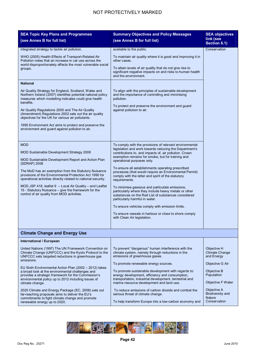| <b>SEA Topic Key Plans and Programmes</b>                                                                                                                                                  | <b>Summary Objectives and Policy Messages</b>                                                                                                                                                                  | <b>SEA objectives</b>                              |
|--------------------------------------------------------------------------------------------------------------------------------------------------------------------------------------------|----------------------------------------------------------------------------------------------------------------------------------------------------------------------------------------------------------------|----------------------------------------------------|
| (see Annex B for full list)                                                                                                                                                                | (see Annex B for full list)                                                                                                                                                                                    | link (see<br>Section 6.1)                          |
| integrated strategy to tackle air pollution.                                                                                                                                               | available to the public.                                                                                                                                                                                       | Conservation                                       |
| WHO (2005) Health Effects of Transport-Related Air<br>Pollution notes that an increase in car use across the<br>world disproportionately affects the most vulnerable social                | To maintain air quality where it is good and improving it in<br>other cases.                                                                                                                                   |                                                    |
| groups.                                                                                                                                                                                    | To attain levels of air quality that do not give rise to<br>significant negative impacts on and risks to human health<br>and the environment.                                                                  |                                                    |
| <b>National</b>                                                                                                                                                                            |                                                                                                                                                                                                                |                                                    |
| Air Quality Strategy for England, Scotland, Wales and<br>Northern Ireland (2007) identifies potential national policy<br>measures which modelling indicates could give health<br>benefits. | To align with the principles of sustainable development<br>and the importance of controlling and minimising<br>pollution.                                                                                      |                                                    |
| Air Quality Regulations 2000 and The Air Quality<br>(Amendment) Regulations 2002 sets out the air quality<br>objectives for the UK for various air pollutants.                             | To protect and preserve the environment and guard<br>against pollution to air.                                                                                                                                 |                                                    |
| 1995 Environment Act aims to protect and preserve the<br>environment and guard against pollution to air.                                                                                   |                                                                                                                                                                                                                |                                                    |
| <b>MOD</b>                                                                                                                                                                                 | To comply with the provisions of relevant environmental                                                                                                                                                        |                                                    |
| MOD Sustainable Development Strategy 2008                                                                                                                                                  | legislation and work towards reducing the Department's<br>contributions to, and impacts of, air pollution. Crown                                                                                               |                                                    |
| MOD Sustainable Development Report and Action Plan<br>(SDRAP) 2008                                                                                                                         | exemption remains for smoke, but for training and<br>operational purposes only.                                                                                                                                |                                                    |
| The MoD has an exemption from the Statutory Nuisance<br>provisions of the Environmental Protection Act 1990 for<br>operational activities directly related to national security.           | To ensure all establishments operating prescribed<br>processes (that would require an Environmental Permit)<br>comply with the letter and spirit of the statutory<br>requirements.                             |                                                    |
| MOD JSP 418, leaflet 9 - Local Air Quality - and Leaflet<br>15 - Statutory Nuisance - give the framework for the<br>control of air quality from MOD activities.                            | To minimise gaseous and particulate emissions,<br>particularly where they include heavy metals or other<br>substances on the Red List of substances considered<br>particularly harmful in water.               |                                                    |
|                                                                                                                                                                                            | To ensure vehicles comply with emission limits.                                                                                                                                                                |                                                    |
|                                                                                                                                                                                            | To ensure vessels in harbour or close to shore comply<br>with Clean Air legislation.                                                                                                                           |                                                    |
| <b>Climate Change and Energy Use</b>                                                                                                                                                       |                                                                                                                                                                                                                |                                                    |
| International / European                                                                                                                                                                   |                                                                                                                                                                                                                |                                                    |
| United Nations (1997) The UN Framework Convention on<br>Climate Change (UNFCCC) and the Kyoto Protocol to the<br>UNFCCC sets targeted reductions in greenhouse gas<br>emissions.           | To prevent "dangerous" human interference with the<br>climate system, namely through reductions in the<br>emissions of greenhouse gases.                                                                       | Objective H<br><b>Climate Change</b><br>and Energy |
| EU Sixth Environmental Action Plan (2002 – 2012) takes                                                                                                                                     | To promote renewable energy sources.                                                                                                                                                                           | Objective G Air                                    |
| a broad look at the environmental challenges and<br>provides a strategic framework for the Commission's<br>environmental policy up to 2012 including issues of<br>climate change.          | To promote sustainable development with regards to:<br>energy development, efficiency and consumption,<br>transportation, industrial development, terrestrial and<br>marine resource development and land use. | Objective B<br>Population<br>Objective F Water     |
| 2020 Climate and Energy Package (EC, 2008) sets out                                                                                                                                        | To reduce emissions of carbon dioxide and combat the                                                                                                                                                           | Objective A                                        |
| far-reaching proposals aims to deliver the EU's<br>commitments to fight climate change and promote<br>renewable energy up to 2020.                                                         | serious threat of climate change.<br>To help transform Europe into a low-carbon economy and                                                                                                                    | Biodiversity and<br><b>Nature</b><br>Conservation  |

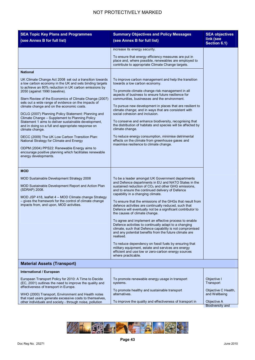| <b>SEA Topic Key Plans and Programmes</b><br>(see Annex B for full list)                                                                                                                                                                                                                                                                                                                                                                                                                                                                                                                                                                                                                                                                                                                                                                                                | <b>Summary Objectives and Policy Messages</b><br>(see Annex B for full list)                                                                                                                                                                                                                                                                                                                                                                                                                                                                                                                                                                                                                                                                                                                                                                                                                                                               | <b>SEA objectives</b><br>link (see<br>Section 6.1)                              |
|-------------------------------------------------------------------------------------------------------------------------------------------------------------------------------------------------------------------------------------------------------------------------------------------------------------------------------------------------------------------------------------------------------------------------------------------------------------------------------------------------------------------------------------------------------------------------------------------------------------------------------------------------------------------------------------------------------------------------------------------------------------------------------------------------------------------------------------------------------------------------|--------------------------------------------------------------------------------------------------------------------------------------------------------------------------------------------------------------------------------------------------------------------------------------------------------------------------------------------------------------------------------------------------------------------------------------------------------------------------------------------------------------------------------------------------------------------------------------------------------------------------------------------------------------------------------------------------------------------------------------------------------------------------------------------------------------------------------------------------------------------------------------------------------------------------------------------|---------------------------------------------------------------------------------|
|                                                                                                                                                                                                                                                                                                                                                                                                                                                                                                                                                                                                                                                                                                                                                                                                                                                                         | increase its energy security.<br>To ensure that energy efficiency measures are put in<br>place and, where possible, renewables are employed to<br>contribute to appropriate Climate Change targets.                                                                                                                                                                                                                                                                                                                                                                                                                                                                                                                                                                                                                                                                                                                                        |                                                                                 |
| <b>National</b><br>UK Climate Change Act 2008 set out a transition towards<br>a low carbon economy in the UK and sets binding targets<br>to achieve an 80% reduction in UK carbon emissions by<br>2050 (against 1990 baseline).<br>Stern Review of the Economics of Climate Change (2007)<br>sets out a wide range of evidence on the impacts of<br>climate change and on the economic costs.<br>DCLG (2007) Planning Policy Statement: Planning and<br>Climate Change - Supplement to Planning Policy<br>Statement 1 aims to deliver sustainable development,<br>and in doing so a full and appropriate response on<br>climate change.<br>DECC (2009) The UK Low Carbon Transition Plan:<br>National Strategy for Climate and Energy<br>ODPM (2004) PPS22: Renewable Energy aims to<br>encourage positive planning which facilitates renewable<br>energy developments. | To improve carbon management and help the transition<br>towards a low carbon economy.<br>To promote climate change risk management in all<br>aspects of business to ensure future resilience for<br>communities, businesses and the environment.<br>To pursue new development in places that are resilient to<br>climate change; and in ways that are consistent with<br>social cohesion and inclusion.<br>To conserve and enhance biodiversity, recognising that<br>the distribution of habitats and species will be affected by<br>climate change.<br>To reduce energy consumption, minimise detrimental<br>effects on the climate from greenhouse gases and<br>maximise resilience to climate change.                                                                                                                                                                                                                                   |                                                                                 |
| <b>MOD</b><br>MOD Sustainable Development Strategy 2008<br>MOD Sustainable Development Report and Action Plan<br>(SDRAP) 2008.<br>MOD JSP 418, leaflet 4 – MOD Climate change Strategy<br>- gives the framework for the control of climate change<br>impacts from, and upon, MOD activities.                                                                                                                                                                                                                                                                                                                                                                                                                                                                                                                                                                            | To be a leader amongst UK Government departments<br>and Defence departments in EU and NATO States in the<br>sustained reduction of CO <sub>2</sub> and other GHG emissions,<br>and to ensure the continued delivery of Defence<br>capability in a changing climate.<br>To ensure that the emissions of the GHGs that result from<br>defence activities are continually reduced, such that<br>Defence will eventually not be a significant contributor to<br>the causes of climate change.<br>To agree and implement an effective process to enable<br>Defence activities to continually adapt to a changing<br>climate, such that Defence capability is not compromised<br>and any potential benefits from the future climate are<br>realised.<br>To reduce dependency on fossil fuels by ensuring that<br>military equipment, estate and services are energy<br>efficient and use low or zero-carbon energy sources<br>where practicable. |                                                                                 |
| <b>Material Assets (Transport)</b>                                                                                                                                                                                                                                                                                                                                                                                                                                                                                                                                                                                                                                                                                                                                                                                                                                      |                                                                                                                                                                                                                                                                                                                                                                                                                                                                                                                                                                                                                                                                                                                                                                                                                                                                                                                                            |                                                                                 |
| International / European<br>European Transport Policy for 2010: A Time to Decide<br>(EC, 2001) outlines the need to improve the quality and<br>effectiveness of transport in Europe.<br>WHO (2000) Transport, Environment and Health notes<br>that road users generate excessive costs to themselves,<br>other individuals and society - through noise, pollution                                                                                                                                                                                                                                                                                                                                                                                                                                                                                                       | To promote renewable energy usage in transport<br>systems.<br>To promote healthy and sustainable transport<br>alternatives.<br>To improve the quality and effectiveness of transport in                                                                                                                                                                                                                                                                                                                                                                                                                                                                                                                                                                                                                                                                                                                                                    | Objective I<br>Transport<br>Objective C Health,<br>and Wellbeing<br>Objective A |
|                                                                                                                                                                                                                                                                                                                                                                                                                                                                                                                                                                                                                                                                                                                                                                                                                                                                         |                                                                                                                                                                                                                                                                                                                                                                                                                                                                                                                                                                                                                                                                                                                                                                                                                                                                                                                                            | <b>Biodiversity and</b>                                                         |

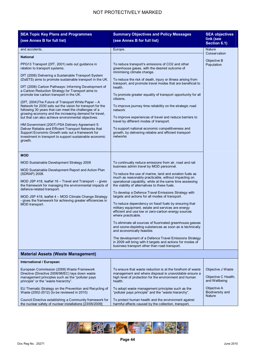| <b>SEA Topic Key Plans and Programmes</b>                                                                                                                                                                                                                                                                                                                                                                                                                                                                                                                                                                                                                                                                                                                                                                                                                                             | <b>Summary Objectives and Policy Messages</b>                                                                                                                                                                                                                                                                                                                                                                                                                                                                                                                                                                                                                | <b>SEA objectives</b>                                     |
|---------------------------------------------------------------------------------------------------------------------------------------------------------------------------------------------------------------------------------------------------------------------------------------------------------------------------------------------------------------------------------------------------------------------------------------------------------------------------------------------------------------------------------------------------------------------------------------------------------------------------------------------------------------------------------------------------------------------------------------------------------------------------------------------------------------------------------------------------------------------------------------|--------------------------------------------------------------------------------------------------------------------------------------------------------------------------------------------------------------------------------------------------------------------------------------------------------------------------------------------------------------------------------------------------------------------------------------------------------------------------------------------------------------------------------------------------------------------------------------------------------------------------------------------------------------|-----------------------------------------------------------|
| (see Annex B for full list)                                                                                                                                                                                                                                                                                                                                                                                                                                                                                                                                                                                                                                                                                                                                                                                                                                                           | (see Annex B for full list)                                                                                                                                                                                                                                                                                                                                                                                                                                                                                                                                                                                                                                  | link (see<br>Section 6.1)                                 |
| and accidents.                                                                                                                                                                                                                                                                                                                                                                                                                                                                                                                                                                                                                                                                                                                                                                                                                                                                        | Europe.                                                                                                                                                                                                                                                                                                                                                                                                                                                                                                                                                                                                                                                      | <b>Nature</b><br>Conservation                             |
| <b>National</b>                                                                                                                                                                                                                                                                                                                                                                                                                                                                                                                                                                                                                                                                                                                                                                                                                                                                       |                                                                                                                                                                                                                                                                                                                                                                                                                                                                                                                                                                                                                                                              | Objective B                                               |
| PPG13 Transport (DfT, 2001) sets out guidance in<br>relation to transport systems.<br>DfT (2008) Delivering a Sustainable Transport System<br>(DaSTS) aims to promote sustainable transport in the UK.<br>DfT (2008) Carbon Pathways: Informing Development of<br>a Carbon Reduction Strategy for Transport aims to<br>promote low carbon transport in the UK.<br>(DfT, 2004)The Future of Transport White Paper – A<br>Network for 2030 sets out the vision for transport for the<br>following 30 years that can meet the challenges of a<br>growing economy and the increasing demand for travel,<br>but that can also achieve environmental objectives.<br>HM Government (2007) PSA Delivery Agreement 5:<br>Deliver Reliable and Efficient Transport Networks that<br>Support Economic Growth sets out a framework for<br>investment in transport to support sustainable economic | To reduce transport's emissions of CO2 and other<br>greenhouse gases, with the desired outcome of<br>minimising climate change.<br>To reduce the risk of death, injury or illness arising from<br>transport, and promote travel modes that are beneficial to<br>health.<br>To promote greater equality of transport opportunity for all<br>citizens,<br>To improve journey time reliability on the strategic road<br>network<br>To improve experiences of travel and reduce barriers to<br>travel by different modes of transport.<br>To support national economic competitiveness and<br>growth, by delivering reliable and efficient transport<br>networks | Population                                                |
| growth.<br><b>MOD</b>                                                                                                                                                                                                                                                                                                                                                                                                                                                                                                                                                                                                                                                                                                                                                                                                                                                                 |                                                                                                                                                                                                                                                                                                                                                                                                                                                                                                                                                                                                                                                              |                                                           |
| <b>MOD Sustainable Development Strategy 2008</b>                                                                                                                                                                                                                                                                                                                                                                                                                                                                                                                                                                                                                                                                                                                                                                                                                                      | To continually reduce emissions from air, road and rail<br>business admin travel by MOD personnel.                                                                                                                                                                                                                                                                                                                                                                                                                                                                                                                                                           |                                                           |
| MOD Sustainable Development Report and Action Plan<br>(SDRAP) 2008.                                                                                                                                                                                                                                                                                                                                                                                                                                                                                                                                                                                                                                                                                                                                                                                                                   | To reduce the use of marine, land and aviation fuels as<br>much as reasonably practicable, without impacting on                                                                                                                                                                                                                                                                                                                                                                                                                                                                                                                                              |                                                           |
| MOD JSP 418, leaflet 16 – Travel and Transport - - gives<br>the framework for managing the environmental impacts of<br>defence-related transport.                                                                                                                                                                                                                                                                                                                                                                                                                                                                                                                                                                                                                                                                                                                                     | operational capability, while at the same time assessing<br>the viability of alternatives to these fuels.<br>To develop a Defence Travel Emissions Strategy with                                                                                                                                                                                                                                                                                                                                                                                                                                                                                             |                                                           |
| MOD JSP 418, leaflet 4 – MOD Climate Change Strategy<br>- gives the framework for achieving greater efficiencies in<br>MOD transport.                                                                                                                                                                                                                                                                                                                                                                                                                                                                                                                                                                                                                                                                                                                                                 | targets and actions for all modes of transport.<br>To reduce dependency on fossil fuels by ensuring that                                                                                                                                                                                                                                                                                                                                                                                                                                                                                                                                                     |                                                           |
|                                                                                                                                                                                                                                                                                                                                                                                                                                                                                                                                                                                                                                                                                                                                                                                                                                                                                       | military equipment, estate and services are energy<br>efficient and use low or zero-carbon energy sources<br>where practicable.                                                                                                                                                                                                                                                                                                                                                                                                                                                                                                                              |                                                           |
|                                                                                                                                                                                                                                                                                                                                                                                                                                                                                                                                                                                                                                                                                                                                                                                                                                                                                       | To eliminate all sources of fluorinated greenhouse gasses<br>and ozone-depleting substances as soon as is technically<br>and economically feasible.                                                                                                                                                                                                                                                                                                                                                                                                                                                                                                          |                                                           |
|                                                                                                                                                                                                                                                                                                                                                                                                                                                                                                                                                                                                                                                                                                                                                                                                                                                                                       | The development of a Defence Travel Emissions Strategy<br>in 2009 will bring with it targets and actions for modes of<br>business transport other than road transport.                                                                                                                                                                                                                                                                                                                                                                                                                                                                                       |                                                           |
| <b>Material Assets (Waste Management)</b>                                                                                                                                                                                                                                                                                                                                                                                                                                                                                                                                                                                                                                                                                                                                                                                                                                             |                                                                                                                                                                                                                                                                                                                                                                                                                                                                                                                                                                                                                                                              |                                                           |
| International / European                                                                                                                                                                                                                                                                                                                                                                                                                                                                                                                                                                                                                                                                                                                                                                                                                                                              |                                                                                                                                                                                                                                                                                                                                                                                                                                                                                                                                                                                                                                                              |                                                           |
| European Commission (2008) Waste Framework<br>Directive (Directive 2008/98/EC) lays down waste<br>management principles such as the "polluter pays<br>principle" or the "waste hierarchy".                                                                                                                                                                                                                                                                                                                                                                                                                                                                                                                                                                                                                                                                                            | To ensure that waste reduction is at the forefront of waste<br>management and where disposal is unavoidable ensure a<br>high level of protection for the environment and human<br>health.                                                                                                                                                                                                                                                                                                                                                                                                                                                                    | Objective J Waste<br>Objective C Health,<br>and Wellbeing |
| EU Thematic Strategy on the Prevention and Recycling of<br>Waste (2002-2012) (to be reviewed in 2010)                                                                                                                                                                                                                                                                                                                                                                                                                                                                                                                                                                                                                                                                                                                                                                                 | To adopt waste management principles such as the<br>"polluter pays principle" and the "waste hierarchy".                                                                                                                                                                                                                                                                                                                                                                                                                                                                                                                                                     | Objective A<br>Biodiversity and<br><b>Nature</b>          |

Council Directive establishing a Community framework for To protect human health and the environment against the nuclear safety of nuclear installations [23/06/2009] harmful effects caused by the collection, transport,

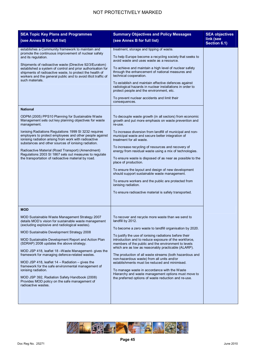| <b>SEA Topic Key Plans and Programmes</b>                                                                                                                                                                                                                                                                                                                                                                                                                                                                                                                                                                                                                                                   | <b>Summary Objectives and Policy Messages</b>                                                                                                                                                                                                                                                                                                                                                                                                                                                                                                                                                                                                                                                                              | <b>SEA objectives</b>     |
|---------------------------------------------------------------------------------------------------------------------------------------------------------------------------------------------------------------------------------------------------------------------------------------------------------------------------------------------------------------------------------------------------------------------------------------------------------------------------------------------------------------------------------------------------------------------------------------------------------------------------------------------------------------------------------------------|----------------------------------------------------------------------------------------------------------------------------------------------------------------------------------------------------------------------------------------------------------------------------------------------------------------------------------------------------------------------------------------------------------------------------------------------------------------------------------------------------------------------------------------------------------------------------------------------------------------------------------------------------------------------------------------------------------------------------|---------------------------|
| (see Annex B for full list)                                                                                                                                                                                                                                                                                                                                                                                                                                                                                                                                                                                                                                                                 | (see Annex B for full list)                                                                                                                                                                                                                                                                                                                                                                                                                                                                                                                                                                                                                                                                                                | link (see<br>Section 6.1) |
| establishes a Community framework to maintain and<br>promote the continuous improvement of nuclear safety<br>and its regulation.<br>Shipments of radioactive waste (Directive 92/3/Euratom)<br>established a system of control and prior authorisation for<br>shipments of radioactive waste, to protect the health of<br>workers and the general public and to avoid illicit traffic of<br>such materials.                                                                                                                                                                                                                                                                                 | treatment, storage and tipping of waste.<br>To help Europe become a recycling society that seeks to<br>avoid waste and uses waste as a resource.<br>To achieve and maintain a high level of nuclear safety<br>through the enhancement of national measures and<br>technical cooperation.<br>To establish and maintain effective defences against<br>radiological hazards in nuclear installations in order to<br>protect people and the environment, etc.<br>To prevent nuclear accidents and limit their<br>consequences.                                                                                                                                                                                                 |                           |
| <b>National</b>                                                                                                                                                                                                                                                                                                                                                                                                                                                                                                                                                                                                                                                                             |                                                                                                                                                                                                                                                                                                                                                                                                                                                                                                                                                                                                                                                                                                                            |                           |
| ODPM (2005) PPS10 Planning for Sustainable Waste<br>Management sets out key planning objectives for waste<br>management.<br>Ionising Radiations Regulations 1999 SI 3232 requires<br>employers to protect employees and other people against<br>ionising radiation arising from work with radioactive<br>substances and other sources of ionising radiation.<br>Radioactive Material (Road Transport) (Amendment)<br>Regulations 2003 SI 1867 sets out measures to regulate<br>the transportation of radioactive material by road.                                                                                                                                                          | To decouple waste growth (in all sectors) from economic<br>growth and put more emphasis on waste prevention and<br>re-use.<br>To increase diversion from landfill of municipal and non-<br>municipal waste and secure better integration of<br>treatment for all waste.<br>To increase recycling of resources and recovery of<br>energy from residual waste using a mix of technologies.<br>To ensure waste is disposed of as near as possible to the<br>place of production.<br>To ensure the layout and design of new development<br>should support sustainable waste management.<br>To ensure workers and the public are protected from<br>ionising radiation.<br>To ensure radioactive material is safely transported. |                           |
| <b>MOD</b><br>MOD Sustainable Waste Management Strategy 2007<br>details MOD's vision for sustainable waste management<br>(excluding explosive and radiological wastes).<br>MOD Sustainable Development Strategy 2008<br>MOD Sustainable Development Report and Action Plan<br>(SDRAP) 2008 updates the above strategy.<br>MOD JSP 418, leaflet 18 -Waste Management- gives the<br>framework for managing defence-related wastes.<br>MOD JSP 418, leaflet $14$ – Radiation – gives the<br>framework for the safe environmental management of<br>ionising radiation.<br>MOD JSP 392, Radiation Safety Handbook (2008)<br>Provides MOD policy on the safe management of<br>radioactive wastes. | To recover and recycle more waste than we send to<br>landfill by 2012.<br>To become a zero waste to landfill organisation by 2020.<br>To justify the use of ionising radiations before their<br>introduction and to reduce exposure of the workforce,<br>members of the public and the environment to levels<br>which are as low as reasonably practicable (ALARP).<br>The production of all waste streams (both hazardous and<br>non-hazardous waste) from all units and/or<br>establishments must be reduced and minimised.<br>To manage waste in accordance with the Waste<br>Hierarchy and waste management options must move to<br>the preferred options of waste reduction and re-use.                               |                           |

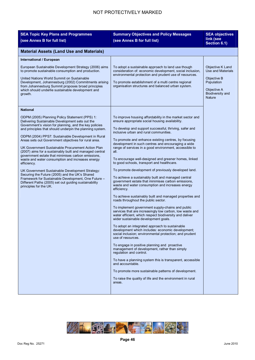| <b>SEA Topic Key Plans and Programmes</b>                                                                                                                                                                                                                                                                                                                                                                                                                                                                                                                                                                                                                                                                                                                                                                                                                                                                                                                                                                                                                                                                                                                                                                               | <b>Summary Objectives and Policy Messages</b>                                                                                                                                                                                                                                                                                                                                                                                                                                                                                                                                                                                                                                                                                                                                                                                                                                                                                                                                                                                                                                                                                                                                                                                                                                                                                                                                                                                                                                                                                                                                                       | <b>SEA objectives</b>                                                                                                                      |
|-------------------------------------------------------------------------------------------------------------------------------------------------------------------------------------------------------------------------------------------------------------------------------------------------------------------------------------------------------------------------------------------------------------------------------------------------------------------------------------------------------------------------------------------------------------------------------------------------------------------------------------------------------------------------------------------------------------------------------------------------------------------------------------------------------------------------------------------------------------------------------------------------------------------------------------------------------------------------------------------------------------------------------------------------------------------------------------------------------------------------------------------------------------------------------------------------------------------------|-----------------------------------------------------------------------------------------------------------------------------------------------------------------------------------------------------------------------------------------------------------------------------------------------------------------------------------------------------------------------------------------------------------------------------------------------------------------------------------------------------------------------------------------------------------------------------------------------------------------------------------------------------------------------------------------------------------------------------------------------------------------------------------------------------------------------------------------------------------------------------------------------------------------------------------------------------------------------------------------------------------------------------------------------------------------------------------------------------------------------------------------------------------------------------------------------------------------------------------------------------------------------------------------------------------------------------------------------------------------------------------------------------------------------------------------------------------------------------------------------------------------------------------------------------------------------------------------------------|--------------------------------------------------------------------------------------------------------------------------------------------|
| (see Annex B for full list)                                                                                                                                                                                                                                                                                                                                                                                                                                                                                                                                                                                                                                                                                                                                                                                                                                                                                                                                                                                                                                                                                                                                                                                             | (see Annex B for full list)                                                                                                                                                                                                                                                                                                                                                                                                                                                                                                                                                                                                                                                                                                                                                                                                                                                                                                                                                                                                                                                                                                                                                                                                                                                                                                                                                                                                                                                                                                                                                                         | Section 6.1)                                                                                                                               |
| <b>Material Assets (Land Use and Materials)</b>                                                                                                                                                                                                                                                                                                                                                                                                                                                                                                                                                                                                                                                                                                                                                                                                                                                                                                                                                                                                                                                                                                                                                                         |                                                                                                                                                                                                                                                                                                                                                                                                                                                                                                                                                                                                                                                                                                                                                                                                                                                                                                                                                                                                                                                                                                                                                                                                                                                                                                                                                                                                                                                                                                                                                                                                     |                                                                                                                                            |
| International / European<br>European Sustainable Development Strategy (2006) aims<br>to promote sustainable consumption and production.<br>United Nations World Summit on Sustainable<br>Development, Johannesburg (2002) Commitments arising<br>from Johannesburg Summit proposes broad principles<br>which should underlie sustainable development and<br>growth.<br><b>National</b><br>ODPM (2005) Planning Policy Statement (PPS) 1:<br>Delivering Sustainable Development sets out the<br>Government's vision for planning, and the key policies<br>and principles that should underpin the planning system.<br>ODPM (2004) PPS7: Sustainable Development in Rural<br>Areas sets out Government objectives for rural area.<br>UK Government Sustainable Procurement Action Plan<br>(2007) aims for a sustainably built and managed central<br>government estate that minimises carbon emissions,<br>waste and water consumption and increases energy<br>efficiency.<br>UK Government Sustainable Development Strategy:<br>Securing the Future (2005) and the UK's Shared<br>Framework for Sustainable Development, One Future -<br>Different Paths (2005) set out guiding sustainability<br>principles for the UK. | To adopt a sustainable approach to land use though<br>consideration of: economic development, social inclusion,<br>environmental protection and prudent use of resources.<br>To promote establishment of a multi centre regional<br>organisation structures and balanced urban system.<br>To improve housing affordability in the market sector and<br>ensure appropriate social housing availability.<br>To develop and support successful, thriving, safer and<br>inclusive urban and rural communities.<br>To promote and enhance existing centres, by focusing<br>development in such centres and encouraging a wide<br>range of services in a good environment, accessible to<br>all.<br>To encourage well-designed and greener homes, linked<br>to good schools, transport and healthcare.<br>To promote development of previously developed land.<br>To achieve a sustainably built and managed central<br>government estate that minimises carbon emissions,<br>waste and water consumption and increases energy<br>efficiency.<br>To achieve sustainably built and managed properties and<br>roads throughout the public sector.<br>To implement government supply-chains and public<br>services that are increasingly low carbon, low waste and<br>water efficient, which respect biodiversity and deliver<br>wider sustainable development goals.<br>To adopt an integrated approach to sustainable<br>development which includes: economic development;<br>social inclusion; environmental protection; and prudent<br>use of resources.<br>To engage in positive planning and proactive | link (see<br>Objective K Land<br>Use and Materials<br>Objective B<br>Population<br>Objective A<br><b>Biodiversity and</b><br><b>Nature</b> |
|                                                                                                                                                                                                                                                                                                                                                                                                                                                                                                                                                                                                                                                                                                                                                                                                                                                                                                                                                                                                                                                                                                                                                                                                                         | management of development, rather than simply<br>regulation and control.<br>To have a planning system this is transparent, accessible<br>and accountable.<br>To promote more sustainable patterns of development.                                                                                                                                                                                                                                                                                                                                                                                                                                                                                                                                                                                                                                                                                                                                                                                                                                                                                                                                                                                                                                                                                                                                                                                                                                                                                                                                                                                   |                                                                                                                                            |
|                                                                                                                                                                                                                                                                                                                                                                                                                                                                                                                                                                                                                                                                                                                                                                                                                                                                                                                                                                                                                                                                                                                                                                                                                         | To raise the quality of life and the environment in rural<br>areas.                                                                                                                                                                                                                                                                                                                                                                                                                                                                                                                                                                                                                                                                                                                                                                                                                                                                                                                                                                                                                                                                                                                                                                                                                                                                                                                                                                                                                                                                                                                                 |                                                                                                                                            |

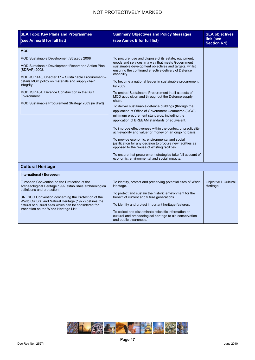| <b>SEA Topic Key Plans and Programmes</b><br>(see Annex B for full list)                                                                                                                                                                                                                                                                                                         | <b>Summary Objectives and Policy Messages</b><br>(see Annex B for full list)                                                                                                                                                                                                                                                                                                                                                                                                                                                                                                                                                                                                                                                                                                                                                                                                                                                                       | <b>SEA objectives</b><br>link (see<br>Section 6.1) |
|----------------------------------------------------------------------------------------------------------------------------------------------------------------------------------------------------------------------------------------------------------------------------------------------------------------------------------------------------------------------------------|----------------------------------------------------------------------------------------------------------------------------------------------------------------------------------------------------------------------------------------------------------------------------------------------------------------------------------------------------------------------------------------------------------------------------------------------------------------------------------------------------------------------------------------------------------------------------------------------------------------------------------------------------------------------------------------------------------------------------------------------------------------------------------------------------------------------------------------------------------------------------------------------------------------------------------------------------|----------------------------------------------------|
| <b>MOD</b><br>MOD Sustainable Development Strategy 2008<br>MOD Sustainable Development Report and Action Plan<br>(SDRAP) 2008.<br>MOD JSP 418, Chapter 17 - Sustainable Procurement -<br>details MOD policy on materials and supply chain<br>integrity.<br>MOD JSP 434, Defence Construction in the Built<br>Environment<br>MOD Sustainable Procurement Strategy 2009 (in draft) | To procure, use and dispose of its estate, equipment,<br>goods and services in a way that meets Government<br>sustainable development objectives and targets, whilst<br>ensuring the continued effective delivery of Defence<br>capability.<br>To become a national leader in sustainable procurement<br>by 2009.<br>To embed Sustainable Procurement in all aspects of<br>MOD acquisition and throughout the Defence supply<br>chain.<br>To deliver sustainable defence buildings (through the<br>application of Office of Government Commerce (OGC)<br>minimum procurement standards, including the<br>application of BREEAM standards or equivalent.<br>To improve effectiveness within the context of practicality,<br>achievability and value for money on an ongoing basis.<br>To provide economic, environmental and social<br>justification for any decision to procure new facilities as<br>opposed to the re-use of existing facilities. |                                                    |
|                                                                                                                                                                                                                                                                                                                                                                                  | To ensure that procurement strategies take full account of<br>economic, environmental and social impacts.                                                                                                                                                                                                                                                                                                                                                                                                                                                                                                                                                                                                                                                                                                                                                                                                                                          |                                                    |
| <b>Cultural Heritage</b>                                                                                                                                                                                                                                                                                                                                                         |                                                                                                                                                                                                                                                                                                                                                                                                                                                                                                                                                                                                                                                                                                                                                                                                                                                                                                                                                    |                                                    |
| International / European                                                                                                                                                                                                                                                                                                                                                         |                                                                                                                                                                                                                                                                                                                                                                                                                                                                                                                                                                                                                                                                                                                                                                                                                                                                                                                                                    |                                                    |
| European Convention on the Protection of the<br>Archaeological Heritage 1992 establishes archaeological<br>definitions and protection.<br>UNESCO Convention concerning the Protection of the<br>World Cultural and Natural Heritage (1972) defines the<br>natural or cultural sites which can be considered for<br>inscription on the World Heritage List.                       | To identify, protect and preserving potential sites of World<br>Heritage.<br>To protect and sustain the historic environment for the<br>benefit of current and future generations<br>To identify and protect important heritage features.<br>To collect and disseminate scientific information on<br>cultural and archaeological heritage to aid conservation<br>and public awareness.                                                                                                                                                                                                                                                                                                                                                                                                                                                                                                                                                             | Objective L Cultural<br>Heritage                   |

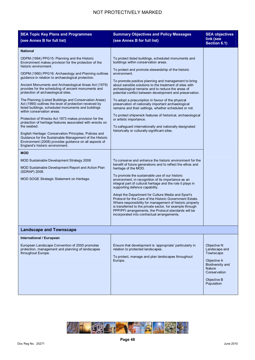| <b>SEA Topic Key Plans and Programmes</b>                                                                                                                                                                                      | <b>Summary Objectives and Policy Messages</b>                                                                                                                                                                                                                                                                                                  | <b>SEA objectives</b>                                                                                                |
|--------------------------------------------------------------------------------------------------------------------------------------------------------------------------------------------------------------------------------|------------------------------------------------------------------------------------------------------------------------------------------------------------------------------------------------------------------------------------------------------------------------------------------------------------------------------------------------|----------------------------------------------------------------------------------------------------------------------|
| (see Annex B for full list)                                                                                                                                                                                                    | (see Annex B for full list)                                                                                                                                                                                                                                                                                                                    | link (see<br>Section 6.1)                                                                                            |
| <b>National</b>                                                                                                                                                                                                                |                                                                                                                                                                                                                                                                                                                                                |                                                                                                                      |
| ODPM (1994) PPG15: Planning and the Historic<br>Environment makes provision for the protection of the<br>historic environment.                                                                                                 | To protect listed buildings, scheduled monuments and<br>buildings within conservation areas.                                                                                                                                                                                                                                                   |                                                                                                                      |
| ODPM (1990) PPG16: Archaeology and Planning outlines<br>guidance in relation to archaeological protection.                                                                                                                     | To protect and promote stewardship of the historic<br>environment.                                                                                                                                                                                                                                                                             |                                                                                                                      |
| Ancient Monuments and Archaeological Areas Act (1979)<br>provides for the scheduling of ancient monuments and<br>protection of archaeological sites.                                                                           | To promote positive planning and management to bring<br>about sensible solutions to the treatment of sites with<br>archaeological remains and to reduce the areas of<br>potential conflict between development and preservation.                                                                                                               |                                                                                                                      |
| The Planning (Listed Buildings and Conservation Areas)<br>Act (1990) outlines the level of protection received by<br>listed buildings, scheduled monuments and buildings<br>within conservation areas.                         | To adopt a presumption in favour of the physical<br>preservation of nationally important archaeological<br>remains and their settings, whether scheduled or not.                                                                                                                                                                               |                                                                                                                      |
| Protection of Wrecks Act 1973 makes provision for the<br>protection of heritage features associated with wrecks on                                                                                                             | To protect shipwreck features of historical, archaeological<br>or artistic importance.                                                                                                                                                                                                                                                         |                                                                                                                      |
| the seabed.<br>English Heritage: Conservation Principles, Policies and<br>Guidance for the Sustainable Management of the Historic<br>Environment (2008) provides guidance on all aspects of<br>England's historic environment. | To safeguard internationally and nationally designated<br>historically or culturally significant sites.                                                                                                                                                                                                                                        |                                                                                                                      |
| <b>MOD</b>                                                                                                                                                                                                                     |                                                                                                                                                                                                                                                                                                                                                |                                                                                                                      |
| MOD Sustainable Development Strategy 2008                                                                                                                                                                                      | To conserve and enhance the historic environment for the                                                                                                                                                                                                                                                                                       |                                                                                                                      |
| MOD Sustainable Development Report and Action Plan<br>(SDRAP) 2008.                                                                                                                                                            | benefit of future generations and to reflect the ethos and<br>heritage of the MOD.                                                                                                                                                                                                                                                             |                                                                                                                      |
| MOD SOGE Strategic Statement on Heritage.                                                                                                                                                                                      | To promote the sustainable use of our historic<br>environment, in recognition of its importance as an<br>integral part of cultural heritage and the role it plays in<br>supporting defence capability.                                                                                                                                         |                                                                                                                      |
|                                                                                                                                                                                                                                | Adopt the Department for Culture Media and Sport's<br>Protocol for the Care of the Historic Government Estate.<br>Where responsibility for management of historic property<br>is transferred to the private sector, for example through<br>PPP/PFI arrangements, the Protocol standards will be<br>incorporated into contractual arrangements. |                                                                                                                      |
| <b>Landscape and Townscape</b>                                                                                                                                                                                                 |                                                                                                                                                                                                                                                                                                                                                |                                                                                                                      |
| International / European                                                                                                                                                                                                       |                                                                                                                                                                                                                                                                                                                                                |                                                                                                                      |
| European Landscape Convention of 2000 promotes<br>protection, management and planning of landscapes<br>throughout Europe.                                                                                                      | Ensure that development is 'appropriate' particularly in<br>relation to protected landscapes.<br>To protect, manage and plan landscapes throughout<br>Europe.                                                                                                                                                                                  | Objective N<br>Landscape and<br>Townscape<br>Objective A<br><b>Biodiversity and</b><br><b>Nature</b><br>Conservation |
|                                                                                                                                                                                                                                |                                                                                                                                                                                                                                                                                                                                                | Objective B<br>Population                                                                                            |

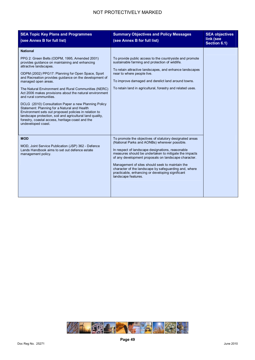| <b>SEA Topic Key Plans and Programmes</b><br>(see Annex B for full list)                                                                                                                                                                                                                                                                                                                                                                                                                                                                                                                                                                                                                                                                | <b>Summary Objectives and Policy Messages</b><br>(see Annex B for full list)                                                                                                                                                                                                                                                                                                                                                                                         | <b>SEA objectives</b><br>link (see<br>Section 6.1) |
|-----------------------------------------------------------------------------------------------------------------------------------------------------------------------------------------------------------------------------------------------------------------------------------------------------------------------------------------------------------------------------------------------------------------------------------------------------------------------------------------------------------------------------------------------------------------------------------------------------------------------------------------------------------------------------------------------------------------------------------------|----------------------------------------------------------------------------------------------------------------------------------------------------------------------------------------------------------------------------------------------------------------------------------------------------------------------------------------------------------------------------------------------------------------------------------------------------------------------|----------------------------------------------------|
| <b>National</b><br>PPG 2: Green Belts (ODPM, 1995, Amended 2001)<br>provides quidance on maintaining and enhancing<br>attractive landscapes.<br>ODPM (2002) PPG17: Planning for Open Space, Sport<br>and Recreation provides quidance on the development of<br>managed open areas.<br>The Natural Environment and Rural Communities (NERC)<br>Act 2006 makes provisions about the natural environment<br>and rural communities.<br>DCLG (2010) Consultation Paper a new Planning Policy<br>Statement: Planning for a Natural and Health<br>Environment sets out proposed policies in relation to<br>landscape protection, soil and agricultural land quality,<br>forestry, coastal access, heritage coast and the<br>undeveloped coast. | To provide public access to the countryside and promote<br>sustainable farming and protection of wildlife.<br>To retain attractive landscapes, and enhance landscapes<br>near to where people live.<br>To improve damaged and derelict land around towns.<br>To retain land in agricultural, forestry and related uses.                                                                                                                                              |                                                    |
| <b>MOD</b><br>MOD, Joint Service Publication (JSP) 362 - Defence<br>Lands Handbook aims to set out defence estate<br>management policy.                                                                                                                                                                                                                                                                                                                                                                                                                                                                                                                                                                                                 | To promote the objectives of statutory designated areas<br>(National Parks and AONBs) wherever possible.<br>In respect of landscape designations, reasonable<br>measures should be undertaken to mitigate the impacts<br>of any development proposals on landscape character.<br>Management of sites should seek to maintain the<br>character of the landscape by safeguarding and, where<br>practicable, enhancing or developing significant<br>landscape features. |                                                    |

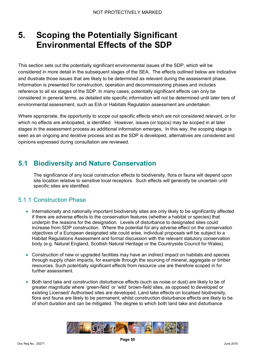# **5. Scoping the Potentially Significant Environmental Effects of the SDP**

This section sets out the potentially significant environmental issues of the SDP, which will be considered in more detail in the subsequent stages of the SEA. The effects outlined below are indicative and illustrate those issues that are likely to be determined as relevant during the assessment phase. Information is presented for construction, operation and decommissioning phases and includes reference to all six stages of the SDP. In many cases, potentially significant effects can only be considered in general terms, as detailed site specific information will not be determined until later tiers of environmental assessment, such as EIA or Habitats Regulation assessment are undertaken.

Where appropriate, the opportunity to scope out specific effects which are not considered relevant, or for which no effects are anticipated, is identified. However, issues (or topics) may be scoped in at later stages in the assessment process as additional information emerges. In this way, the scoping stage is seen as an ongoing and iterative process and as the SDP is developed, alternatives are considered and opinions expressed during consultation are reviewed.

# **5.1 Biodiversity and Nature Conservation**

The significance of any local construction effects to biodiversity, flora or fauna will depend upon site location relative to sensitive local receptors. Such effects will generally be uncertain until specific sites are identified.

## 5.1.1 Construction Phase

- · Internationally and nationally important biodiversity sites are only likely to be significantly affected if there are adverse effects to the conservation features (whether a habitat or species) that underpin the reasons for the designation. Levels of disturbance to designated sites could increase from SDP construction. Where the potential for any adverse effect on the conservation objectives of a European designated site could arise, individual proposals will be subject to a Habitat Regulations Assessment and formal discussion with the relevant statutory conservation body (e.g. Natural England, Scottish Natural Heritage or the Countryside Council for Wales).
- Construction of new or upgraded facilities may have an indirect impact on habitats and species through supply chain impacts, for example through the sourcing of mineral, aggregate or timber resources. Such potentially significant effects from resource use are therefore scoped in for further assessment.
- · Both land take and construction disturbance effects (such as noise or dust) are likely to be of greater magnitude where 'green-field' or 'wild' brown-field sites, as opposed to developed or existing Licensed/ Authorised sites are developed. Land take effects on localised biodiversity, flora and fauna are likely to be permanent; whilst construction disturbance effects are likely to be of short duration and can be mitigated. The degree to which both land take and disturbance

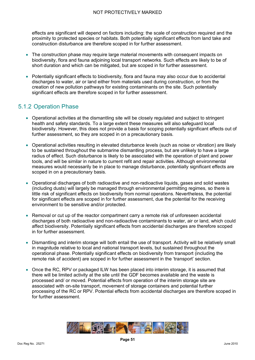effects are significant will depend on factors including: the scale of construction required and the proximity to protected species or habitats. Both potentially significant effects from land take and construction disturbance are therefore scoped in for further assessment.

- The construction phase may require large material movements with consequent impacts on biodiversity, flora and fauna adjoining local transport networks. Such effects are likely to be of short duration and which can be mitigated, but are scoped in for further assessment.
- Potentially significant effects to biodiversity, flora and fauna may also occur due to accidental discharges to water, air or land either from materials used during construction, or from the creation of new pollution pathways for existing contaminants on the site. Such potentially significant effects are therefore scoped in for further assessment.

### 5.1.2 Operation Phase

- · Operational activities at the dismantling site will be closely regulated and subject to stringent health and safety standards. To a large extent these measures will also safeguard local biodiversity. However, this does not provide a basis for scoping potentially significant effects out of further assessment, so they are scoped in on a precautionary basis.
- · Operational activities resulting in elevated disturbance levels (such as noise or vibration) are likely to be sustained throughout the submarine dismantling process, but are unlikely to have a large radius of effect. Such disturbance is likely to be associated with the operation of plant and power tools, and will be similar in nature to current refit and repair activities. Although environmental measures would necessarily be in place to manage disturbance, potentially significant effects are scoped in on a precautionary basis.
- · Operational discharges of both radioactive and non-radioactive liquids, gases and solid wastes (including dusts) will largely be managed through environmental permitting regimes, so there is little risk of significant effects on biodiversity from normal operations. Nevertheless, the potential for significant effects are scoped in for further assessment, due the potential for the receiving environment to be sensitive and/or protected.
- · Removal or cut up of the reactor compartment carry a remote risk of unforeseen accidental discharges of both radioactive and non-radioactive contaminants to water, air or land, which could affect biodiversity. Potentially significant effects from accidental discharges are therefore scoped in for further assessment.
- · Dismantling and interim storage will both entail the use of transport. Activity will be relatively small in magnitude relative to local and national transport levels, but sustained throughout the operational phase. Potentially significant effects on biodiversity from transport (including the remote risk of accident) are scoped in for further assessment in the 'transport' section.
- · Once the RC, RPV or packaged ILW has been placed into interim storage, it is assumed that there will be limited activity at the site until the GDF becomes available and the waste is processed and/ or moved. Potential effects from operation of the interim storage site are associated with on-site transport, movement of storage containers and potential further processing of the RC or RPV. Potential effects from accidental discharges are therefore scoped in for further assessment.

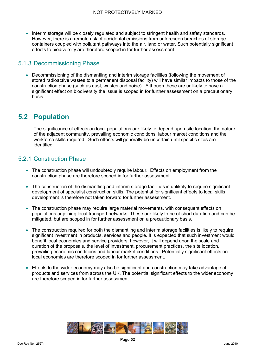· Interim storage will be closely regulated and subject to stringent health and safety standards. However, there is a remote risk of accidental emissions from unforeseen breaches of storage containers coupled with pollutant pathways into the air, land or water. Such potentially significant effects to biodiversity are therefore scoped in for further assessment.

### 5.1.3 Decommissioning Phase

· Decommissioning of the dismantling and interim storage facilities (following the movement of stored radioactive wastes to a permanent disposal facility) will have similar impacts to those of the construction phase (such as dust, wastes and noise). Although these are unlikely to have a significant effect on biodiversity the issue is scoped in for further assessment on a precautionary basis.

# **5.2 Population**

The significance of effects on local populations are likely to depend upon site location, the nature of the adjacent community, prevailing economic conditions, labour market conditions and the workforce skills required. Such effects will generally be uncertain until specific sites are identified.

## 5.2.1 Construction Phase

- · The construction phase will undoubtedly require labour. Effects on employment from the construction phase are therefore scoped in for further assessment.
- · The construction of the dismantling and interim storage facilities is unlikely to require significant development of specialist construction skills. The potential for significant effects to local skills development is therefore not taken forward for further assessment.
- · The construction phase may require large material movements, with consequent effects on populations adjoining local transport networks. These are likely to be of short duration and can be mitigated, but are scoped in for further assessment on a precautionary basis.
- · The construction required for both the dismantling and interim storage facilities is likely to require significant investment in products, services and people. It is expected that such investment would benefit local economies and service providers; however, it will depend upon the scale and duration of the proposals, the level of investment, procurement practices, the site location, prevailing economic conditions and labour market conditions. Potentially significant effects on local economies are therefore scoped in for further assessment.
- · Effects to the wider economy may also be significant and construction may take advantage of products and services from across the UK. The potential significant effects to the wider economy are therefore scoped in for further assessment.

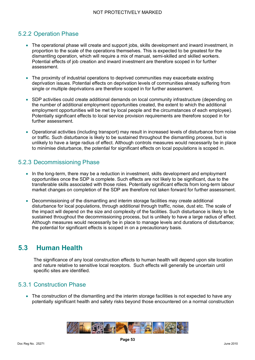## 5.2.2 Operation Phase

- · The operational phase will create and support jobs, skills development and inward investment, in proportion to the scale of the operations themselves. This is expected to be greatest for the dismantling operation, which will require a mix of manual, semi-skilled and skilled workers. Potential effects of job creation and inward investment are therefore scoped in for further assessment.
- · The proximity of industrial operations to deprived communities may exacerbate existing deprivation issues. Potential effects on deprivation levels of communities already suffering from single or multiple deprivations are therefore scoped in for further assessment.
- · SDP activities could create additional demands on local community infrastructure (depending on the number of additional employment opportunities created, the extent to which the additional employment opportunities will be met by local people and the circumstances of each employee). Potentially significant effects to local service provision requirements are therefore scoped in for further assessment.
- · Operational activities (including transport) may result in increased levels of disturbance from noise or traffic. Such disturbance is likely to be sustained throughout the dismantling process, but is unlikely to have a large radius of effect. Although controls measures would necessarily be in place to minimise disturbance, the potential for significant effects on local populations is scoped in.

### 5.2.3 Decommissioning Phase

- In the long-term, there may be a reduction in investment, skills development and employment opportunities once the SDP is complete. Such effects are not likely to be significant, due to the transferable skills associated with those roles. Potentially significant effects from long-term labour market changes on completion of the SDP are therefore not taken forward for further assessment.
- · Decommissioning of the dismantling and interim storage facilities may create additional disturbance for local populations, through additional through traffic, noise, dust etc. The scale of the impact will depend on the size and complexity of the facilities. Such disturbance is likely to be sustained throughout the decommissioning process, but is unlikely to have a large radius of effect. Although measures would necessarily be in place to manage levels and durations of disturbance; the potential for significant effects is scoped in on a precautionary basis.

# **5.3 Human Health**

The significance of any local construction effects to human health will depend upon site location and nature relative to sensitive local receptors. Such effects will generally be uncertain until specific sites are identified.

### 5.3.1 Construction Phase

• The construction of the dismantling and the interim storage facilities is not expected to have any potentially significant health and safety risks beyond those encountered on a normal construction

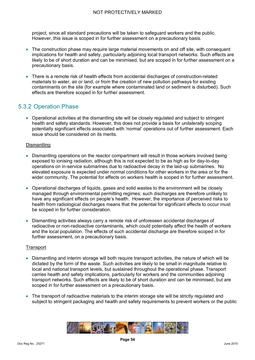project, since all standard precautions will be taken to safeguard workers and the public. However, this issue is scoped in for further assessment on a precautionary basis.

- The construction phase may require large material movements on and off site, with consequent implications for health and safety, particularly adjoining local transport networks. Such effects are likely to be of short duration and can be minimised, but are scoped in for further assessment on a precautionary basis.
- · There is a remote risk of health effects from accidental discharges of construction-related materials to water, air or land, or from the creation of new pollution pathways for existing contaminants on the site (for example where contaminated land or sediment is disturbed). Such effects are therefore scoped in for further assessment.

### 5.3.2 Operation Phase

· Operational activities at the dismantling site will be closely regulated and subject to stringent health and safety standards. However, this does not provide a basis for *unilaterally* scoping potentially significant effects associated with 'normal' operations out of further assessment. Each issue should be considered on its merits.

#### **Dismantling**

- · Dismantling operations on the reactor compartment will result in those workers involved being exposed to ionising radiation, although this is not expected to be as high as for day-to-day operations on in-service submarines due to radioactive decay in the laid-up submarines. No elevated exposure is expected under normal conditions for other workers in the area or for the wider community. The potential for effects on workers health is scoped in for further assessment.
- · Operational discharges of liquids, gases and solid wastes to the environment will be closely managed through environmental permitting regimes; such discharges are therefore unlikely to have any significant effects on people's health. However, the importance of perceived risks to health from radiological discharges means that the potential for significant effects to occur must be scoped in for further consideration.
- · Dismantling activities always carry a remote risk of unforeseen accidental discharges of radioactive or non-radioactive contaminants, which could potentially affect the health of workers and the local population. The effects of such accidental discharge are therefore scoped in for further assessment, on a precautionary basis.

#### **Transport**

- · Dismantling and interim storage will both require transport activities, the nature of which will be dictated by the form of the waste. Such activities are likely to be small in magnitude relative to local and national transport levels, but sustained throughout the operational phase. Transport carries health and safety implications, particularly for workers and the communities adjoining transport networks. Such effects are likely to be of short duration and can be minimised, but are scoped in for further assessment on a precautionary basis.
- · The transport of radioactive materials to the interim storage site will be strictly regulated and subject to stringent packaging and health and safety requirements to prevent workers or the public

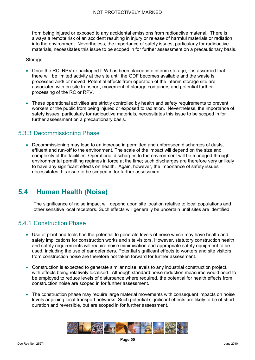from being injured or exposed to any accidental emissions from radioactive material. There is always a remote risk of an accident resulting in injury or release of harmful materials or radiation into the environment. Nevertheless, the importance of safety issues, particularly for radioactive materials, necessitates this issue to be scoped in for further assessment on a precautionary basis.

#### Storage

- · Once the RC, RPV or packaged ILW has been placed into interim storage, it is assumed that there will be limited activity at the site until the GDF becomes available and the waste is processed and/ or moved. Potential effects from operation of the interim storage site are associated with on-site transport, movement of storage containers and potential further processing of the RC or RPV.
- · These operational activities are strictly controlled by health and safety requirements to prevent workers or the public from being injured or exposed to radiation. Nevertheless, the importance of safety issues, particularly for radioactive materials, necessitates this issue to be scoped in for further assessment on a precautionary basis.

## 5.3.3 Decommissioning Phase

· Decommissioning may lead to an increase in permitted and unforeseen discharges of dusts, effluent and run-off to the environment. The scale of the impact will depend on the size and complexity of the facilities. Operational discharges to the environment will be managed through environmental permitting regimes in force at the time; such discharges are therefore very unlikely to have any significant effects on health. Again, however, the importance of safety issues necessitates this issue to be scoped in for further assessment.

# **5.4 Human Health (Noise)**

The significance of noise impact will depend upon site location relative to local populations and other sensitive local receptors. Such effects will generally be uncertain until sites are identified.

### 5.4.1 Construction Phase

- · Use of plant and tools has the potential to generate levels of noise which may have health and safety implications for construction works and site visitors. However, statutory construction health and safety requirements will require noise minimisation and appropriate safety equipment to be used, including the use of ear defenders. Potential significant effects to workers and site visitors from construction noise are therefore not taken forward for further assessment.
- · Construction is expected to generate similar noise levels to any industrial construction project, with effects being relatively localised. Although standard noise reduction measures would need to be employed to reduce levels of disturbance where required, the potential for health effects from construction noise are scoped in for further assessment.
- The construction phase may require large material movements with consequent impacts on noise levels adjoining local transport networks. Such potential significant effects are likely to be of short duration and reversible, but are scoped in for further assessment.

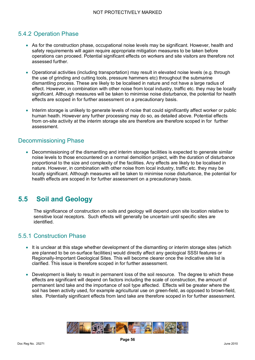## 5.4.2 Operation Phase

- As for the construction phase, occupational noise levels may be significant. However, health and safety requirements will again require appropriate mitigation measures to be taken before operations can proceed. Potential significant effects on workers and site visitors are therefore not assessed further.
- · Operational activities (including transportation) may result in elevated noise levels (e.g. through the use of grinding and cutting tools, pressure hammers etc) throughout the submarine dismantling process. These are likely to be localised in nature and not have a large radius of effect. However, in combination with other noise from local industry, traffic etc. they may be locally significant. Although measures will be taken to minimise noise disturbance, the potential for health effects are scoped in for further assessment on a precautionary basis.
- Interim storage is unlikely to generate levels of noise that could significantly affect worker or public human heath. However any further processing may do so, as detailed above. Potential effects from on-site activity at the interim storage site are therefore are therefore scoped in for further assessment.

### Decommissioning Phase

· Decommissioning of the dismantling and interim storage facilities is expected to generate similar noise levels to those encountered on a normal demolition project, with the duration of disturbance proportional to the size and complexity of the facilities. Any effects are likely to be localised in nature. However, in combination with other noise from local industry, traffic etc. they may be locally significant. Although measures will be taken to minimise noise disturbance, the potential for health effects are scoped in for further assessment on a precautionary basis.

# **5.5 Soil and Geology**

The significance of construction on soils and geology will depend upon site location relative to sensitive local receptors. Such effects will generally be uncertain until specific sites are identified.

### 5.5.1 Construction Phase

- It is unclear at this stage whether development of the dismantling or interim storage sites (which are planned to be on-surface facilities) would directly affect any geological SSSI features or Regionally-Important Geological Sites. This will become clearer once the indicative site list is clarified. This issue is therefore scoped in for further assessment.
- · Development is likely to result in permanent loss of the soil resource. The degree to which these effects are significant will depend on factors including the scale of construction, the amount of permanent land take and the importance of soil type affected. Effects will be greater where the soil has been activity used, for example agricultural use on green-field, as opposed to brown-field, sites. Potentially significant effects from land take are therefore scoped in for further assessment.

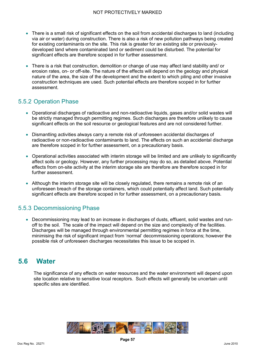- · There is a small risk of significant effects on the soil from accidental discharges to land (including via air or water) during construction. There is also a risk of new pollution pathways being created for existing contaminants on the site. This risk is greater for an existing site or previouslydeveloped land where contaminated land or sediment could be disturbed. The potential for significant effects are therefore scoped in for further assessment.
- · There is a risk that construction, demolition or change of use may affect land stability and/ or erosion rates, on- or off-site. The nature of the effects will depend on the geology and physical nature of the area, the size of the development and the extent to which piling and other invasive construction techniques are used. Such potential effects are therefore scoped in for further assessment.

### 5.5.2 Operation Phase

- Operational discharges of radioactive and non-radioactive liquids, gases and/or solid wastes will be strictly managed through permitting regimes. Such discharges are therefore unlikely to cause significant effects on the soil resource or geological features and are not considered further.
- · Dismantling activities always carry a remote risk of unforeseen accidental discharges of radioactive or non-radioactive contaminants to land. The effects on such an accidental discharge are therefore scoped in for further assessment, on a precautionary basis.
- · Operational activities associated with interim storage will be limited and are unlikely to significantly affect soils or geology. However, any further processing may do so, as detailed above. Potential effects from on-site activity at the interim storage site are therefore are therefore scoped in for further assessment.
- Although the interim storage site will be closely regulated, there remains a remote risk of an unforeseen breach of the storage containers, which could potentially affect land. Such potentially significant effects are therefore scoped in for further assessment, on a precautionary basis.

## 5.5.3 Decommissioning Phase

· Decommissioning may lead to an increase in discharges of dusts, effluent, solid wastes and runoff to the soil. The scale of the impact will depend on the size and complexity of the facilities. Discharges will be managed through environmental permitting regimes in force at the time, minimising the risk of significant impact from 'normal' decommissioning operations; however the possible risk of unforeseen discharges necessitates this issue to be scoped in.

# **5.6 Water**

The significance of any effects on water resources and the water environment will depend upon site location relative to sensitive local receptors. Such effects will generally be uncertain until specific sites are identified.

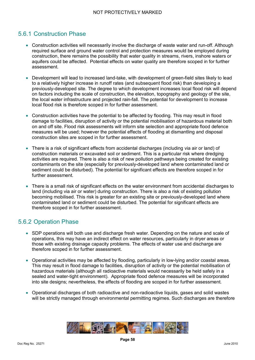## 5.6.1 Construction Phase

- Construction activities will necessarily involve the discharge of waste water and run-off. Although required surface and ground water control and protection measures would be employed during construction, there remains the possibility that water quality in streams, rivers, inshore waters or aquifers could be affected. Potential effects on water quality are therefore scoped in for further assessment.
- · Development will lead to increased land-take, with development of green-field sites likely to lead to a relatively higher increase in runoff rates (and subsequent flood risk) than developing a previously-developed site. The degree to which development increases local flood risk will depend on factors including the scale of construction, the elevation, topography and geology of the site, the local water infrastructure and projected rain-fall. The potential for development to increase local flood risk is therefore scoped in for further assessment.
- Construction activities have the potential to be affected by flooding. This may result in flood damage to facilities, disruption of activity or the potential mobilisation of hazardous material both on and off site. Flood risk assessments will inform site selection and appropriate flood defence measures will be used; however the potential effects of flooding at dismantling and disposal construction sites are scoped in for further assessment.
- There is a risk of significant effects from accidental discharges (including via air or land) of construction materials or excavated soil or sediment. This is a particular risk where dredging activities are required. There is also a risk of new pollution pathways being created for existing contaminants on the site (especially for previously-developed land where contaminated land or sediment could be disturbed). The potential for significant effects are therefore scoped in for further assessment.
- · There is a small risk of significant effects on the water environment from accidental discharges to land (including via air or water) during construction. There is also a risk of existing pollution becoming mobilised. This risk is greater for an existing site or previously-developed land where contaminated land or sediment could be disturbed. The potential for significant effects are therefore scoped in for further assessment.

### 5.6.2 Operation Phase

- SDP operations will both use and discharge fresh water. Depending on the nature and scale of operations, this may have an indirect effect on water resources, particularly in dryer areas or those with existing drainage capacity problems. The effects of water use and discharge are therefore scoped in for further assessment.
- · Operational activities may be affected by flooding, particularly in low-lying and/or coastal areas. This may result in flood damage to facilities, disruption of activity or the potential mobilisation of hazardous materials (although all radioactive materials would necessarily be held safely in a sealed and water-tight environment). Appropriate flood defence measures will be incorporated into site designs; nevertheless, the effects of flooding are scoped in for further assessment.
- · Operational discharges of both radioactive and non-radioactive liquids, gases and solid wastes will be strictly managed through environmental permitting regimes. Such discharges are therefore

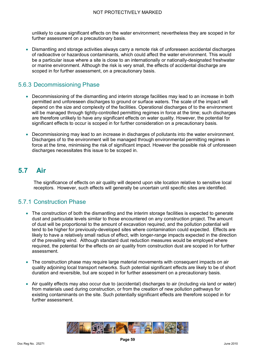unlikely to cause significant effects on the water environment; nevertheless they are scoped in for further assessment on a precautionary basis.

· Dismantling and storage activities always carry a remote risk of unforeseen accidental discharges of radioactive or hazardous contaminants, which could affect the water environment. This would be a particular issue where a site is close to an internationally or nationally-designated freshwater or marine environment. Although the risk is very small, the effects of accidental discharge are scoped in for further assessment, on a precautionary basis.

### 5.6.3 Decommissioning Phase

- · Decommissioning of the dismantling and interim storage facilities may lead to an increase in both permitted and unforeseen discharges to ground or surface waters. The scale of the impact will depend on the size and complexity of the facilities. Operational discharges of to the environment will be managed through tightly-controlled permitting regimes in force at the time; such discharges are therefore unlikely to have any significant effects on water quality. However, the potential for significant effects to occur is scoped in for further consideration on a precautionary basis.
- · Decommissioning may lead to an increase in discharges of pollutants into the water environment. Discharges of to the environment will be managed through environmental permitting regimes in force at the time, minimising the risk of significant impact. However the possible risk of unforeseen discharges necessitates this issue to be scoped in.

# **5.7 Air**

The significance of effects on air quality will depend upon site location relative to sensitive local receptors. However, such effects will generally be uncertain until specific sites are identified.

### 5.7.1 Construction Phase

- · The construction of both the dismantling and the interim storage facilities is expected to generate dust and particulate levels similar to those encountered on any construction project. The amount of dust will be proportional to the amount of excavation required, and the pollution potential will tend to be higher for previously-developed sites where contamination could expected. Effects are likely to have a relatively small radius of effect, with longer-range impacts expected in the direction of the prevailing wind. Although standard dust reduction measures would be employed where required, the potential for the effects on air quality from construction dust are scoped in for further assessment.
- · The construction phase may require large material movements with consequent impacts on air quality adjoining local transport networks. Such potential significant effects are likely to be of short duration and reversible, but are scoped in for further assessment on a precautionary basis.
- · Air quality effects may also occur due to (accidental) discharges to air (including via land or water) from materials used during construction, or from the creation of new pollution pathways for existing contaminants on the site. Such potentially significant effects are therefore scoped in for further assessment.

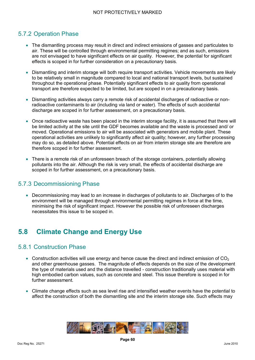## 5.7.2 Operation Phase

- · The dismantling process may result in direct and indirect emissions of gasses and particulates to air. These will be controlled through environmental permitting regimes; and as such, emissions are not envisaged to have significant effects on air quality. However, the potential for significant effects is scoped in for further consideration on a precautionary basis.
- · Dismantling and interim storage will both require transport activities. Vehicle movements are likely to be relatively small in magnitude compared to local and national transport levels, but sustained throughout the operational phase. Potentially significant effects to air quality from operational transport are therefore expected to be limited, but are scoped in on a precautionary basis.
- · Dismantling activities always carry a remote risk of accidental discharges of radioactive or nonradioactive contaminants to air (including via land or water). The effects of such accidental discharge are scoped in for further assessment, on a precautionary basis.
- · Once radioactive waste has been placed in the interim storage facility, it is assumed that there will be limited activity at the site until the GDF becomes available and the waste is processed and/ or moved. Operational emissions to air will be associated with generators and mobile plant. These operational activities are unlikely to significantly affect air quality; however, any further processing may do so, as detailed above. Potential effects on air from interim storage site are therefore are therefore scoped in for further assessment.
- There is a remote risk of an unforeseen breach of the storage containers, potentially allowing pollutants into the air. Although the risk is very small, the effects of accidental discharge are scoped in for further assessment, on a precautionary basis.

### 5.7.3 Decommissioning Phase

· Decommissioning may lead to an increase in discharges of pollutants to air. Discharges of to the environment will be managed through environmental permitting regimes in force at the time, minimising the risk of significant impact. However the possible risk of unforeseen discharges necessitates this issue to be scoped in.

# **5.8 Climate Change and Energy Use**

### 5.8.1 Construction Phase

- Construction activities will use energy and hence cause the direct and indirect emission of  $CO<sub>2</sub>$ and other greenhouse gasses. The magnitude of effects depends on the size of the development the type of materials used and the distance travelled - construction traditionally uses material with high embodied carbon values, such as concrete and steel. This issue therefore is scoped in for further assessment.
- · Climate change effects such as sea level rise and intensified weather events have the potential to affect the construction of both the dismantling site and the interim storage site. Such effects may

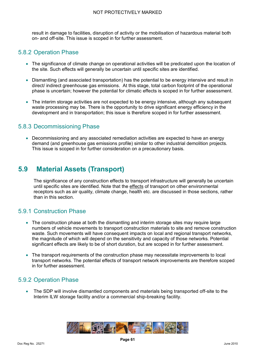result in damage to facilities, disruption of activity or the mobilisation of hazardous material both on- and off-site. This issue is scoped in for further assessment.

### 5.8.2 Operation Phase

- · The significance of climate change on operational activities will be predicated upon the location of the site. Such effects will generally be uncertain until specific sites are identified.
- · Dismantling (and associated transportation) has the potential to be energy intensive and result in direct/ indirect greenhouse gas emissions. At this stage, total carbon footprint of the operational phase is uncertain; however the potential for climatic effects is scoped in for further assessment.
- The interim storage activities are not expected to be energy intensive, although any subsequent waste processing may be. There is the opportunity to drive significant energy efficiency in the development and in transportation; this issue is therefore scoped in for further assessment.

### 5.8.3 Decommissioning Phase

· Decommissioning and any associated remediation activities are expected to have an energy demand (and greenhouse gas emissions profile) similar to other industrial demolition projects. This issue is scoped in for further consideration on a precautionary basis.

# **5.9 Material Assets (Transport)**

The significance of any construction effects to transport infrastructure will generally be uncertain until specific sites are identified. Note that the effects of transport on other environmental receptors such as air quality, climate change, health etc. are discussed in those sections, rather than in this section.

### 5.9.1 Construction Phase

- · The construction phase at both the dismantling and interim storage sites may require large numbers of vehicle movements to transport construction materials to site and remove construction waste. Such movements will have consequent impacts on local and regional transport networks, the magnitude of which will depend on the sensitivity and capacity of those networks. Potential significant effects are likely to be of short duration, but are scoped in for further assessment.
- · The transport requirements of the construction phase may necessitate improvements to local transport networks. The potential effects of transport network improvements are therefore scoped in for further assessment.

## 5.9.2 Operation Phase

· The SDP will involve dismantled components and materials being transported off-site to the Interim ILW storage facility and/or a commercial ship-breaking facility.

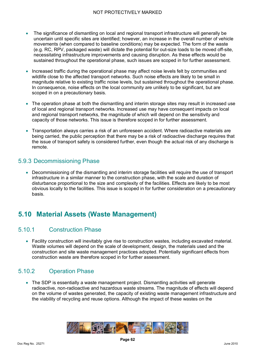- · The significance of dismantling on local and regional transport infrastructure will generally be uncertain until specific sites are identified; however, an increase in the overall number of vehicle movements (when compared to baseline conditions) may be expected. The form of the waste (e.g. RC, RPV, packaged waste) will dictate the potential for out-size loads to be moved off-site, necessitating infrastructure improvements and causing disruption. As these effects would be sustained throughout the operational phase, such issues are scoped in for further assessment.
- · Increased traffic during the operational phase may affect noise levels felt by communities and wildlife close to the affected transport networks. Such noise effects are likely to be small in magnitude relative to existing traffic noise levels, but sustained throughout the operational phase. In consequence, noise effects on the local community are unlikely to be significant, but are scoped in on a precautionary basis.
- The operation phase at both the dismantling and interim storage sites may result in increased use of local and regional transport networks. Increased use may have consequent impacts on local and regional transport networks, the magnitude of which will depend on the sensitivity and capacity of those networks. This issue is therefore scoped in for further assessment.
- · Transportation always carries a risk of an unforeseen accident. Where radioactive materials are being carried, the public perception that there may be a risk of radioactive discharge requires that the issue of transport safety is considered further, even though the actual risk of any discharge is remote.

### 5.9.3 Decommissioning Phase

· Decommissioning of the dismantling and interim storage facilities will require the use of transport infrastructure in a similar manner to the construction phase, with the scale and duration of disturbance proportional to the size and complexity of the facilities. Effects are likely to be most obvious locally to the facilities. This issue is scoped in for further consideration on a precautionary basis.

# **5.10 Material Assets (Waste Management)**

### 5.10.1 Construction Phase

· Facility construction will inevitably give rise to construction wastes, including excavated material. Waste volumes will depend on the scale of development, design, the materials used and the construction and site waste management practices adopted. Potentially significant effects from construction waste are therefore scoped in for further assessment.

## 5.10.2 Operation Phase

• The SDP is essentially a waste management project. Dismantling activities will generate radioactive, non-radioactive and hazardous waste streams. The magnitude of effects will depend on the volume of wastes generated, the capacity of existing waste management infrastructure and the viability of recycling and reuse options. Although the impact of these wastes on the

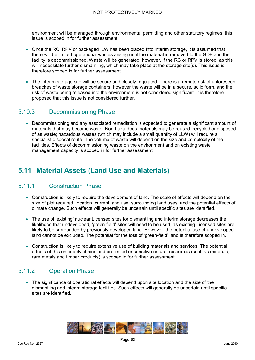environment will be managed through environmental permitting and other statutory regimes, this issue is scoped in for further assessment.

- · Once the RC, RPV or packaged ILW has been placed into interim storage, it is assumed that there will be limited operational wastes arising until the material is removed to the GDF and the facility is decommissioned. Waste will be generated, however, if the RC or RPV is stored, as this will necessitate further dismantling, which may take place at the storage site(s). This issue is therefore scoped in for further assessment.
- The interim storage site will be secure and closely regulated. There is a remote risk of unforeseen breaches of waste storage containers; however the waste will be in a secure, solid form, and the risk of waste being released into the environment is not considered significant. It is therefore proposed that this issue is not considered further.

### 5.10.3 Decommissioning Phase

· Decommissioning and any associated remediation is expected to generate a significant amount of materials that may become waste. Non-hazardous materials may be reused, recycled or disposed of as waste; hazardous wastes (which may include a small quantity of LLW) will require a specialist disposal route. The volume of waste will depend on the size and complexity of the facilities. Effects of decommissioning waste on the environment and on existing waste management capacity is scoped in for further assessment.

# **5.11 Material Assets (Land Use and Materials)**

### 5.11.1 Construction Phase

- · Construction is likely to require the development of land. The scale of effects will depend on the size of plot required, location, current land use, surrounding land uses, and the potential effects of climate change. Such effects will generally be uncertain until specific sites are identified.
- · The use of 'existing' nuclear Licensed sites for dismantling and interim storage decreases the likelihood that undeveloped, 'green-field' sites will need to be used, as existing Licensed sites are likely to be surrounded by previously-developed land. However, the potential use of undeveloped land cannot be excluded. The potential for the loss of 'green-field' land is therefore scoped in.
- · Construction is likely to require extensive use of building materials and services. The potential effects of this on supply chains and on limited or sensitive natural resources (such as minerals, rare metals and timber products) is scoped in for further assessment.

## 5.11.2 Operation Phase

· The significance of operational effects will depend upon site location and the size of the dismantling and interim storage facilities. Such effects will generally be uncertain until specific sites are identified.

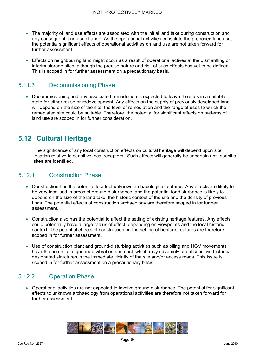- · The majority of land use effects are associated with the initial land take during construction and any consequent land use change. As the operational activities constitute the proposed land use, the potential significant effects of operational activities on land use are not taken forward for further assessment.
- · Effects on neighbouring land might occur as a result of operational actives at the dismantling or interim storage sites, although the precise nature and risk of such effects has yet to be defined. This is scoped in for further assessment on a precautionary basis.

### 5.11.3 Decommissioning Phase

· Decommissioning and any associated remediation is expected to leave the sites in a suitable state for either reuse or redevelopment. Any effects on the supply of previously developed land will depend on the size of the site, the level of remediation and the range of uses to which the remediated site could be suitable. Therefore, the potential for significant effects on patterns of land use are scoped in for further consideration.

# **5.12 Cultural Heritage**

The significance of any local construction effects on cultural heritage will depend upon site location relative to sensitive local receptors. Such effects will generally be uncertain until specific sites are identified.

### 5.12.1 Construction Phase

- · Construction has the potential to affect unknown archaeological features. Any effects are likely to be very localised in areas of ground disturbance, and the potential for disturbance is likely to depend on the size of the land take, the historic context of the site and the density of previous finds. The potential effects of construction archaeology are therefore scoped in for further assessment.
- · Construction also has the potential to affect the setting of existing heritage features. Any effects could potentially have a large radius of effect, depending on viewpoints and the local historic context. The potential effects of construction on the setting of heritage features are therefore scoped in for further assessment.
- Use of construction plant and ground-disturbing activities such as piling and HGV movements have the potential to generate vibration and dust, which may adversely affect sensitive historic/ designated structures in the immediate vicinity of the site and/or access roads. This issue is scoped in for further assessment on a precautionary basis.

### 5.12.2 Operation Phase

· Operational activities are not expected to involve ground disturbance. The potential for significant effects to unknown archaeology from operational activities are therefore not taken forward for further assessment.

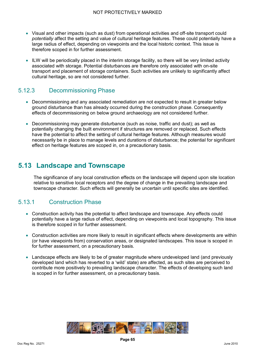- · Visual and other impacts (such as dust) from operational activities and off-site transport could *potentially* affect the setting and value of cultural heritage features. These could potentially have a large radius of effect, depending on viewpoints and the local historic context. This issue is therefore scoped in for further assessment.
- ILW will be periodically placed in the interim storage facility, so there will be very limited activity associated with storage. Potential disturbances are therefore only associated with on-site transport and placement of storage containers. Such activities are unlikely to significantly affect cultural heritage, so are not considered further.

### 5.12.3 Decommissioning Phase

- · Decommissioning and any associated remediation are not expected to result in greater below ground disturbance than has already occurred during the construction phase. Consequently effects of decommissioning on below ground archaeology are not considered further.
- · Decommissioning may generate disturbance (such as noise, traffic and dust); as well as potentially changing the built environment if structures are removed or replaced. Such effects have the potential to affect the setting of cultural heritage features. Although measures would necessarily be in place to manage levels and durations of disturbance; the potential for significant effect on heritage features are scoped in, on a precautionary basis.

# **5.13 Landscape and Townscape**

The significance of any local construction effects on the landscape will depend upon site location relative to sensitive local receptors and the degree of change in the prevailing landscape and townscape character. Such effects will generally be uncertain until specific sites are identified.

## 5.13.1 Construction Phase

- · Construction activity has the potential to affect landscape and townscape. Any effects could potentially have a large radius of effect, depending on viewpoints and local topography. This issue is therefore scoped in for further assessment.
- · Construction activities are more likely to result in significant effects where developments are within (or have viewpoints from) conservation areas, or designated landscapes. This issue is scoped in for further assessment, on a precautionary basis.
- · Landscape effects are likely to be of greater magnitude where undeveloped land (and previously developed land which has reverted to a 'wild' state) are affected, as such sites are perceived to contribute more positively to prevailing landscape character. The effects of developing such land is scoped in for further assessment, on a precautionary basis.

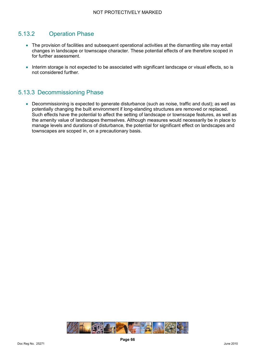### 5.13.2 Operation Phase

- · The provision of facilities and subsequent operational activities at the dismantling site may entail changes in landscape or townscape character. These potential effects of are therefore scoped in for further assessment.
- · Interim storage is not expected to be associated with significant landscape or visual effects, so is not considered further.

### 5.13.3 Decommissioning Phase

· Decommissioning is expected to generate disturbance (such as noise, traffic and dust); as well as potentially changing the built environment if long-standing structures are removed or replaced. Such effects have the potential to affect the setting of landscape or townscape features, as well as the amenity value of landscapes themselves. Although measures would necessarily be in place to manage levels and durations of disturbance, the potential for significant effect on landscapes and townscapes are scoped in, on a precautionary basis.

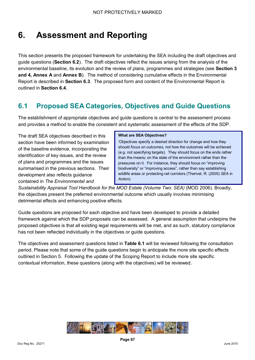# **6. Assessment and Reporting**

This section presents the proposed framework for undertaking the SEA including the draft objectives and guide questions (**Section 6.2**). The draft objectives reflect the issues arising from the analysis of the environmental baseline, its evolution and the review of plans, programmes and strategies (see **Section 3 and 4, Annex A** and **Annex B**). The method of considering cumulative effects in the Environmental Report is described in **Section 6.3**. The proposed form and content of the Environmental Report is outlined in **Section 6.4**.

# **6.1 Proposed SEA Categories, Objectives and Guide Questions**

The establishment of appropriate objectives and guide questions is central to the assessment process and provides a method to enable the consistent and systematic assessment of the effects of the SDP.

The draft SEA objectives described in this section have been informed by examination of the baseline evidence, incorporating the identification of key issues, and the review of plans and programmes and the issues summarised in the previous sections. Their development also reflects guidance contained in *The Environmental and* 

#### **What are SEA Objectives?**

'Objectives specify a desired direction for change and how they should *focus on outcomes*, not how the outcomes will be achieved (e.g. not specifying targets). They should focus on the ends rather than the means; on the state of the environment rather than the pressures on it. For instance, they should focus on "improving biodiversity" or "improving access", rather than say establishing wildlife areas or protecting rail corridors (Therivel, R. (2005) *SEA in Action*).

*Sustainability Appraisal Tool Handbook for the MOD Estate (Volume Two: SEA)* (MOD 2006). Broadly, the objectives present the preferred environmental outcome which usually involves minimising detrimental effects and enhancing positive effects.

Guide questions are proposed for each objective and have been developed to provide a detailed framework against which the SDP proposals can be assessed. A general assumption that underpins the proposed objectives is that all existing legal requirements will be met, and as such, statutory compliance has not been reflected individually in the objectives or guide questions.

The objectives and assessment questions listed in **Table 6.1** will be reviewed following the consultation period. Please note that some of the guide questions begin to anticipate the more site specific effects outlined in Section 5. Following the update of the Scoping Report to include more site specific contextual information, these questions (along with the objectives) will be reviewed.

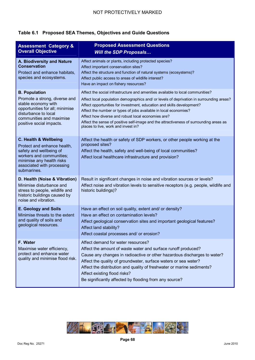### **Table 6.1 Proposed SEA Themes, Objectives and Guide Questions**

| <b>Assessment Category &amp;</b><br><b>Overall Objective</b>                                                                                                                                    | <b>Proposed Assessment Questions</b><br><b>Will the SDP Proposals</b>                                                                                                                                                                                                                                                                                                                                                                                                                                           |
|-------------------------------------------------------------------------------------------------------------------------------------------------------------------------------------------------|-----------------------------------------------------------------------------------------------------------------------------------------------------------------------------------------------------------------------------------------------------------------------------------------------------------------------------------------------------------------------------------------------------------------------------------------------------------------------------------------------------------------|
| A. Biodiversity and Nature<br><b>Conservation</b><br>Protect and enhance habitats,<br>species and ecosystems.                                                                                   | Affect animals or plants, including protected species?<br>Affect important conservation sites?<br>Affect the structure and function of natural systems (ecosystems)?<br>Affect public access to areas of wildlife interest?<br>Have an impact on fishery resources?                                                                                                                                                                                                                                             |
| <b>B. Population</b><br>Promote a strong, diverse and<br>stable economy with<br>opportunities for all; minimise<br>disturbance to local<br>communities and maximise<br>positive social impacts. | Affect the social infrastructure and amenities available to local communities?<br>Affect local population demographics and/ or levels of deprivation in surrounding areas?<br>Affect opportunities for investment, education and skills development?<br>Affect the number or types of jobs available in local economies?<br>Affect how diverse and robust local economies are?<br>Affect the sense of positive self-image and the attractiveness of surrounding areas as<br>places to live, work and invest in? |
| C. Health & Wellbeing<br>Protect and enhance health,<br>safety and wellbeing of<br>workers and communities;<br>minimise any health risks<br>associated with processing<br>submarines.           | Affect the health or safety of SDP workers, or other people working at the<br>proposed sites?<br>Affect the health, safety and well-being of local communities?<br>Affect local healthcare infrastructure and provision?                                                                                                                                                                                                                                                                                        |
| D. Health (Noise & Vibration)<br>Minimise disturbance and<br>stress to people, wildlife and<br>historic buildings caused by<br>noise and vibration.                                             | Result in significant changes in noise and vibration sources or levels?<br>Affect noise and vibration levels to sensitive receptors (e.g. people, wildlife and<br>historic buildings)?                                                                                                                                                                                                                                                                                                                          |
| <b>E. Geology and Soils</b><br>Minimise threats to the extent<br>and quality of soils and<br>geological resources.                                                                              | Have an effect on soil quality, extent and/ or density?<br>Have an effect on contamination levels?<br>Affect geological conservation sites and important geological features?<br>Affect land stability?<br>Affect coastal processes and/ or erosion?                                                                                                                                                                                                                                                            |
| F. Water<br>Maximise water efficiency,<br>protect and enhance water<br>quality and minimise flood risk.                                                                                         | Affect demand for water resources?<br>Affect the amount of waste water and surface runoff produced?<br>Cause any changes in radioactive or other hazardous discharges to water?<br>Affect the quality of groundwater, surface waters or sea water?<br>Affect the distribution and quality of freshwater or marine sediments?<br>Affect existing flood risks?<br>Be significantly affected by flooding from any source?                                                                                          |

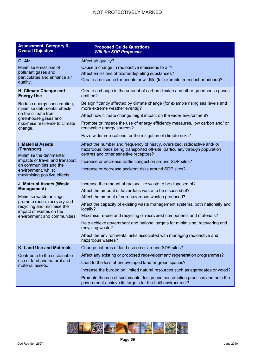| <b>Assessment Category &amp;</b><br><b>Overall Objective</b>                                                                                                                             | <b>Proposed Guide Questions</b><br>Will the SDP Proposals                                                                                                                                                                                                                                                               |
|------------------------------------------------------------------------------------------------------------------------------------------------------------------------------------------|-------------------------------------------------------------------------------------------------------------------------------------------------------------------------------------------------------------------------------------------------------------------------------------------------------------------------|
| G. Air<br>Minimise emissions of<br>pollutant gases and<br>particulates and enhance air<br>quality.                                                                                       | Affect air quality?<br>Cause a change in radioactive emissions to air?<br>Affect emissions of ozone-depleting substances?<br>Create a nuisance for people or wildlife (for example from dust or odours)?                                                                                                                |
| H. Climate Change and<br><b>Energy Use</b>                                                                                                                                               | Create a change in the amount of carbon dioxide and other greenhouse gases<br>emitted?                                                                                                                                                                                                                                  |
| Reduce energy consumption,<br>minimise detrimental effects<br>on the climate from<br>greenhouse gases and<br>maximise resilience to climate<br>change.                                   | Be significantly affected by climate change (for example rising sea levels and<br>more extreme weather events)?                                                                                                                                                                                                         |
|                                                                                                                                                                                          | Affect how climate change might impact on the wider environment?                                                                                                                                                                                                                                                        |
|                                                                                                                                                                                          | Promote or impede the use of energy efficiency measures, low carbon and/ or<br>renewable energy sources?                                                                                                                                                                                                                |
|                                                                                                                                                                                          | Have wider implications for the mitigation of climate risks?                                                                                                                                                                                                                                                            |
| <b>I. Material Assets</b><br>(Transport)<br>Minimise the detrimental<br>impacts of travel and transport<br>on communities and the<br>environment, whilst<br>maximising positive effects. | Affect the number and frequency of heavy, oversized, radioactive and/ or<br>hazardous loads being transported off-site, particularly through population<br>centres and other sensitive receptors?<br>Increase or decrease traffic congestion around SDP sites?<br>Increase or decrease accident risks around SDP sites? |
| J. Material Assets (Waste                                                                                                                                                                | Increase the amount of radioactive waste to be disposed of?                                                                                                                                                                                                                                                             |
| <b>Management)</b>                                                                                                                                                                       | Affect the amount of hazardous waste to be disposed of?                                                                                                                                                                                                                                                                 |
| Minimise waste arisings,                                                                                                                                                                 | Affect the amount of non-hazardous wastes produced?                                                                                                                                                                                                                                                                     |
| promote reuse, recovery and<br>recycling and minimise the<br>impact of wastes on the<br>environment and communities.                                                                     | Affect the capacity of existing waste management systems, both nationally and<br>locally?                                                                                                                                                                                                                               |
|                                                                                                                                                                                          | Maximise re-use and recycling of recovered components and materials?                                                                                                                                                                                                                                                    |
|                                                                                                                                                                                          | Help achieve government and national targets for minimising, recovering and<br>recycling waste?                                                                                                                                                                                                                         |
|                                                                                                                                                                                          | Affect the environmental risks associated with managing radioactive and<br>hazardous wastes?                                                                                                                                                                                                                            |
| K. Land Use and Materials                                                                                                                                                                | Change patterns of land use on or around SDP sites?                                                                                                                                                                                                                                                                     |
| Contribute to the sustainable                                                                                                                                                            | Affect any existing or proposed redevelopment/ regeneration programmes?                                                                                                                                                                                                                                                 |
| use of land and natural and<br>material assets.                                                                                                                                          | Lead to the loss of undeveloped land or green spaces?                                                                                                                                                                                                                                                                   |
|                                                                                                                                                                                          | Increase the burden on limited natural resources such as aggregates or wood?                                                                                                                                                                                                                                            |
|                                                                                                                                                                                          | Promote the use of sustainable design and construction practices and help the<br>government achieve its targets for the built environment?                                                                                                                                                                              |

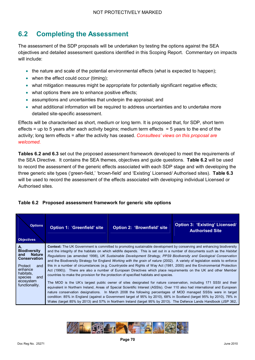## **6.2 Completing the Assessment**

The assessment of the SDP proposals will be undertaken by testing the options against the SEA objectives and detailed assessment questions identified in this Scoping Report. Commentary on impacts will include:

- the nature and scale of the potential environmental effects (what is expected to happen);
- when the effect could occur (timing);
- what mitigation measures might be appropriate for potentially significant negative effects;
- what options there are to enhance positive effects;
- · assumptions and uncertainties that underpin the appraisal; and
- · what additional information will be required to address uncertainties and to undertake more detailed site-specific assessment.

Effects will be characterised as short, medium or long term. It is proposed that, for SDP, short term effects = up to 5 years after each activity begins; medium term effects =  $5$  years to the end of the activity; long term effects = after the activity has ceased. *Consultees' views on this proposal are welcomed.*

**Tables 6.2 and 6.3** set out the proposed assessment framework developed to meet the requirements of the SEA Directive. It contains the SEA themes, objectives and guide questions. **Table 6.2** will be used to record the assessment of the generic effects associated with each SDP stage and with developing the three generic site types ('green-field,' 'brown-field' and 'Existing' Licensed/ Authorised sites). **Table 6.3**  will be used to record the assessment of the effects associated with developing individual Licensed or Authorised sites.

#### **Table 6.2 Proposed assessment framework for generic site options**

| <b>Options</b><br><b>Objectives</b>                                                                                                                                 | <b>Option 1: 'Greenfield' site</b> | <b>Option 2: 'Brownfield' site</b>                                                    | <b>Option 3: 'Existing' Licensed/</b><br><b>Authorised Site</b>                                                                                                                                                                                                                                                                                                                                                                                                                                                                                                                                                                                                                                                                                                                                                                                                                                                                                                                                                                                                                                                                                                                                                                                                                                                                                                                 |
|---------------------------------------------------------------------------------------------------------------------------------------------------------------------|------------------------------------|---------------------------------------------------------------------------------------|---------------------------------------------------------------------------------------------------------------------------------------------------------------------------------------------------------------------------------------------------------------------------------------------------------------------------------------------------------------------------------------------------------------------------------------------------------------------------------------------------------------------------------------------------------------------------------------------------------------------------------------------------------------------------------------------------------------------------------------------------------------------------------------------------------------------------------------------------------------------------------------------------------------------------------------------------------------------------------------------------------------------------------------------------------------------------------------------------------------------------------------------------------------------------------------------------------------------------------------------------------------------------------------------------------------------------------------------------------------------------------|
| А.<br><b>Biodiversity</b><br><b>Nature</b><br>and<br><b>Conservation</b><br>Protect<br>and<br>enhance<br>habitats,<br>species<br>and<br>ecosystem<br>functionality. |                                    | countries to make the provision for the protection of specified habitats and species. | <b>Context:</b> The UK Government is committed to promoting sustainable development by conserving and enhancing biodiversity<br>and the integrity of the habitats on which wildlife depends. This is set out in a number of documents such as the Habitat<br>Regulations (as amended 1998), UK Sustainable Development Strategy, PPS9 Biodiversity and Geological Conservation<br>and the Biodiversity Strategy for England Working with the grain of nature (2002). A variety of legislation exists to enforce<br>this in a number of circumstances (e.g. Countryside and Rights of Way Act (1981, 2000) and the Environmental Protection<br>Act (1990)). There are also a number of European Directives which place requirements on the UK and other Member<br>The MOD is the UK's largest public owner of sites designated for nature conservation, including 171 SSSI and their<br>equivalent in Northern Ireland, Areas of Special Scientific Interest (ASSIs). Over 110 also had international and European<br>nature conservation designations. In March 2008 the following percentages of MOD managed SSSIs were in target<br>condition: 85% in England (against a Government target of 95% by 2010), 68% in Scotland (target 95% by 2010), 78% in<br>Wales (target 85% by 2013) and 57% in Northern Ireland (target 95% by 2013). The Defence Lands Handbook (JSP 362, |

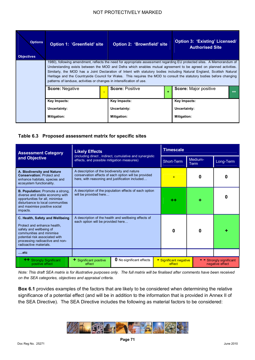#### NOT PROTECTIVELY MARKED

| <b>Options</b><br><b>Objectives</b> | <b>Option 1: 'Greenfield' site</b>                                                                                                                                                                                                                                                                                                                                                                                                                                                                                                                                      | <b>Option 2: 'Brownfield' site</b> | <b>Option 3: 'Existing' Licensed/</b><br><b>Authorised Site</b> |  |  |  |  |  |
|-------------------------------------|-------------------------------------------------------------------------------------------------------------------------------------------------------------------------------------------------------------------------------------------------------------------------------------------------------------------------------------------------------------------------------------------------------------------------------------------------------------------------------------------------------------------------------------------------------------------------|------------------------------------|-----------------------------------------------------------------|--|--|--|--|--|
|                                     | 1980), following amendment, reflects the need for appropriate assessment regarding EU protected sites. A Memorandum of<br>Understanding exists between the MOD and Defra which enables mutual agreement to be agreed on planned activities.<br>Similarly, the MOD has a Joint Declaration of Intent with statutory bodies including Natural England, Scottish Natural<br>Heritage and the Countryside Council for Wales. This requires the MOD to consult the statutory bodies before changing<br>patterns of landuse, activities or changes in intensification of use. |                                    |                                                                 |  |  |  |  |  |
|                                     | <b>Score: Negative</b>                                                                                                                                                                                                                                                                                                                                                                                                                                                                                                                                                  | <b>Score: Positive</b><br>÷        | Score: Major positive<br>$+ +$                                  |  |  |  |  |  |
|                                     | Key Impacts:                                                                                                                                                                                                                                                                                                                                                                                                                                                                                                                                                            | Key Impacts:                       | Key Impacts:<br>Uncertainty:                                    |  |  |  |  |  |
|                                     | Uncertainty:                                                                                                                                                                                                                                                                                                                                                                                                                                                                                                                                                            | Uncertainty:                       |                                                                 |  |  |  |  |  |
|                                     | <b>Mitigation:</b>                                                                                                                                                                                                                                                                                                                                                                                                                                                                                                                                                      | <b>Mitigation:</b>                 | <b>Mitigation:</b>                                              |  |  |  |  |  |

#### **Table 6.3 Proposed assessment matrix for specific sites**

| <b>Assessment Category</b>                                                                                                                                                                                           | <b>Likely Effects</b>                                                                                 |                                                                                                         | <b>Timescale</b> |                                         |   |                                                |  |  |
|----------------------------------------------------------------------------------------------------------------------------------------------------------------------------------------------------------------------|-------------------------------------------------------------------------------------------------------|---------------------------------------------------------------------------------------------------------|------------------|-----------------------------------------|---|------------------------------------------------|--|--|
| and Objective                                                                                                                                                                                                        | (including direct, indirect, cumulative and synergistic<br>effects, and possible mitigation measures) | Short-Term                                                                                              | Medium-<br>Term  | Long-Term                               |   |                                                |  |  |
| A. Biodiversity and Nature<br><b>Conservation: Protect and</b><br>enhance habitats, species and<br>ecosystem functionality.                                                                                          | A description of the biodiversity and nature                                                          | conservation effects of each option will be provided<br>here, with reasoning and justification included |                  | 0                                       | 0 |                                                |  |  |
| <b>B. Population:</b> Promote a strong.<br>diverse and stable economy with<br>opportunities for all, minimise<br>disturbance to local communities<br>and maximise positive social<br>impacts.                        | A description of the population effects of each option<br>will be provided here                       |                                                                                                         | ++               |                                         | 0 |                                                |  |  |
| C. Health, Safety and Wellbeing<br>Protect and enhance health.<br>safety and wellbeing of<br>communities and minimise<br>potential risk associated with<br>processing radioactive and non-<br>radioactive materials. | A description of the health and wellbeing effects of<br>each option will be provided here             |                                                                                                         |                  |                                         | U |                                                |  |  |
| $$ etc                                                                                                                                                                                                               |                                                                                                       |                                                                                                         |                  |                                         |   |                                                |  |  |
| <b>++</b> Strongly Significant<br>positive effect                                                                                                                                                                    | $\pm$ Significant positive<br>effect                                                                  | <b>0</b> No significant effects                                                                         |                  | <b>- Significant negative</b><br>effect |   | <b>Strongly significant</b><br>negative effect |  |  |

Note: This draft SEA matrix is for illustrative purposes only. The full matrix will be finalised after comments have been received *on the SEA categories, objectives and appraisal criteria.* 

**Box 6.1** provides examples of the factors that are likely to be considered when determining the relative significance of a potential effect (and will be in addition to the information that is provided in Annex II of the SEA Directive). The SEA Directive includes the following as material factors to be considered:

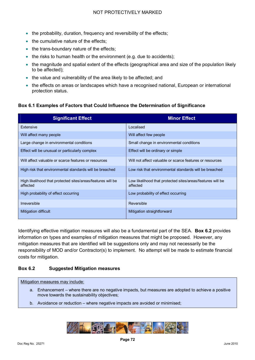- the probability, duration, frequency and reversibility of the effects;
- the cumulative nature of the effects:
- the trans-boundary nature of the effects;
- the risks to human health or the environment (e.g. due to accidents);
- · the magnitude and spatial extent of the effects (geographical area and size of the population likely to be affected);
- the value and vulnerability of the area likely to be affected; and
- the effects on areas or landscapes which have a recognised national, European or international protection status.

#### **Box 6.1 Examples of Factors that Could Influence the Determination of Significance**

| <b>Significant Effect</b>                                               | <b>Minor Effect</b>                                                    |
|-------------------------------------------------------------------------|------------------------------------------------------------------------|
| <b>Extensive</b>                                                        | Localised                                                              |
| Will affect many people                                                 | Will affect few people                                                 |
| Large change in environmental conditions                                | Small change in environmental conditions                               |
| Effect will be unusual or particularly complex                          | Effect will be ordinary or simple                                      |
| Will affect valuable or scarce features or resources                    | Will not affect valuable or scarce features or resources               |
| High risk that environmental standards will be breached                 | Low risk that environmental standards will be breached                 |
| High likelihood that protected sites/areas/features will be<br>affected | Low likelihood that protected sites/areas/features will be<br>affected |
| High probability of effect occurring                                    | Low probability of effect occurring                                    |
| Irreversible                                                            | Reversible                                                             |
| Mitigation difficult                                                    | Mitigation straightforward                                             |

Identifying effective mitigation measures will also be a fundamental part of the SEA. **Box 6.2** provides information on types and examples of mitigation measures that might be proposed. However, any mitigation measures that are identified will be suggestions only and may not necessarily be the responsibility of MOD and/or Contractor(s) to implement. No attempt will be made to estimate financial costs for mitigation.

#### **Box 6.2 Suggested Mitigation measures**

Mitigation measures may include:

- a. Enhancement where there are no negative impacts, but measures are adopted to achieve a positive move towards the sustainability objectives;
- b. Avoidance or reduction where negative impacts are avoided or minimised;

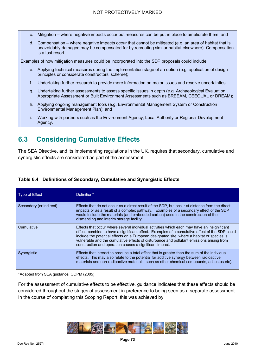- c. Mitigation where negative impacts occur but measures can be put in place to ameliorate them; and
- d. Compensation where negative impacts occur that cannot be mitigated (e.g. an area of habitat that is unavoidably damaged may be compensated for by recreating similar habitat elsewhere). Compensation is a last resort.

Examples of how mitigation measures could be incorporated into the SDP proposals could include:

- e. Applying technical measures during the implementation stage of an option (e.g. application of design principles or considerate constructors' scheme);
- f. Undertaking further research to provide more information on major issues and resolve uncertainties;
- g. Undertaking further assessments to assess specific issues in depth (e.g. Archaeological Evaluation, Appropriate Assessment or Built Environment Assessments such as BREEAM, CEEQUAL or DREAM);
- h. Applying ongoing management tools (e.g. Environmental Management System or Construction Environmental Management Plan); and
- i. Working with partners such as the Environment Agency, Local Authority or Regional Development Agency.

### **6.3 Considering Cumulative Effects**

The SEA Directive, and its implementing regulations in the UK, requires that secondary, cumulative and synergistic effects are considered as part of the assessment.

|  |  |  | Table 6.4 Definitions of Secondary, Cumulative and Synergistic Effects |
|--|--|--|------------------------------------------------------------------------|
|--|--|--|------------------------------------------------------------------------|

| Type of Effect          | Definition*                                                                                                                                                                                                                                                                                                                                                                                                                                         |
|-------------------------|-----------------------------------------------------------------------------------------------------------------------------------------------------------------------------------------------------------------------------------------------------------------------------------------------------------------------------------------------------------------------------------------------------------------------------------------------------|
| Secondary (or indirect) | Effects that do not occur as a direct result of the SDP, but occur at distance from the direct<br>impacts or as a result of a complex pathway. Examples of a secondary effect of the SDP<br>would include the materials (and embedded carbon) used in the construction of the<br>dismantling and interim storage facility.                                                                                                                          |
| Cumulative              | Effects that occur where several individual activities which each may have an insignificant<br>effect, combine to have a significant effect. Examples of a cumulative effect of the SDP could<br>include the potential effects on a European designated site, where a habitat or species is<br>vulnerable and the cumulative effects of disturbance and pollutant emissions arising from<br>construction and operation causes a significant impact. |
| Synergistic             | Effects that interact to produce a total effect that is greater than the sum of the individual<br>effects. This may also relate to the potential for additive synergy between radioactive<br>materials and non-radioactive materials, such as other chemical compounds, asbestos etc).                                                                                                                                                              |

\*Adapted from SEA guidance, ODPM (2005)

For the assessment of cumulative effects to be effective, guidance indicates that these effects should be considered throughout the stages of assessment in preference to being seen as a separate assessment. In the course of completing this Scoping Report, this was achieved by:

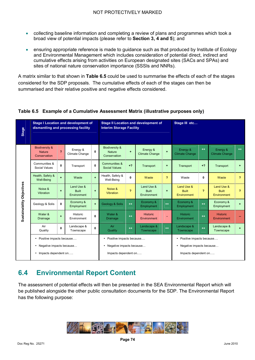- · collecting baseline information and completing a review of plans and programmes which took a broad view of potential impacts (please refer to **Section 3, 4 and 5**); and
- ensuring appropriate reference is made to quidance such as that produced by Institute of Ecology and Environmental Management which includes consideration of potential direct, indirect and cumulative effects arising from activities on European designated sites (SACs and SPAs) and sites of national nature conservation importance (SSSIs and NNRs).

A matrix similar to that shown in **Table 6.5** could be used to summarise the effects of each of the stages considered for the SDP proposals. The cumulative effects of each of the stages can then be summarised and their relative positive and negative effects considered.

**Table 6.5 Example of a Cumulative Assessment Matrix (illustrative purposes only)** 

| <b>Stage</b>                     | <b>Stage I Location and development of</b><br>dismantling and processing facility |                |                                           | <b>Stage II Location and development of</b><br><b>Interim Storage Facility</b> |                                                            |                      | Stage III etc                             |           |                                           |      |                                           |              |
|----------------------------------|-----------------------------------------------------------------------------------|----------------|-------------------------------------------|--------------------------------------------------------------------------------|------------------------------------------------------------|----------------------|-------------------------------------------|-----------|-------------------------------------------|------|-------------------------------------------|--------------|
|                                  | <b>Biodiversity &amp;</b><br><b>Nature</b><br>Conservation                        | $\overline{?}$ | Energy &<br>Climate Change                | $\mathbf{0}$                                                                   | <b>Biodiversity &amp;</b><br><b>Nature</b><br>Conservation | $\ddot{}$            | Energy &<br><b>Climate Change</b>         | $\ddot{}$ | Energy &<br><b>Climate Change</b>         | $++$ | Energy &<br><b>Climate Change</b>         | $++$         |
|                                  | Communities &<br>Social Values                                                    | $\mathbf{0}$   | Transport                                 | 0                                                                              | Communities &<br><b>Social Values</b>                      | $+2$                 | Transport                                 | ٠         | Transport                                 | $+2$ | Transport                                 | ÷            |
|                                  | Health, Safety &<br>Well-Being                                                    | $\ddot{}$      | Waste                                     | $\ddot{}$                                                                      | Health, Safety &<br>Well-Being                             | $\mathbf{0}$         | Waste                                     | ?         | Waste                                     | 0    | Waste                                     | ?            |
| <b>Sustainability Objectives</b> | Noise &<br>Vibration                                                              | $\ddot{}$      | Land Use &<br><b>Built</b><br>Environment | $\ddot{}$                                                                      | Noise &<br><b>Vibration</b>                                | $\overline{?}$       | Land Use &<br><b>Built</b><br>Environment | ÷         | Land Use &<br><b>Built</b><br>Environment | ?    | Land Use &<br><b>Built</b><br>Environment | $\mathbf{P}$ |
|                                  | Geology & Solis                                                                   | $\mathbf{0}$   | Economy &<br>Employment                   | $\ddot{}$                                                                      | <b>Geology &amp; Solis</b>                                 | $++$                 | Economy &<br>Employment                   | $++$      | Economy &<br>Employment                   | $++$ | Economy &<br>Employment                   | ÷            |
|                                  | Water &<br><b>Drainage</b>                                                        | $\ddot{}$      | Historic<br>Environment                   | $\mathbf{0}$                                                                   | Water &<br><b>Drainage</b>                                 | $++$                 | <b>Historic</b><br>Environment            |           | <b>Historic</b><br>Environment            | $++$ | <b>Historic</b><br>Environment            |              |
|                                  | Air<br>Quality                                                                    | $\mathbf{0}$   | Landscape &<br>Townscape                  | 0                                                                              | Air<br>Quality                                             | $++$                 | Landscape &<br>Townscape                  | $++$      | Landscape &<br>Townscape                  | $++$ | Landscape &<br>Townscape                  | $+$          |
|                                  | • Positive impacts because                                                        |                |                                           | • Positive impacts because                                                     |                                                            |                      | • Positive impacts because                |           |                                           |      |                                           |              |
|                                  | Negative impacts because<br>٠                                                     |                |                                           | Negative impacts because                                                       |                                                            |                      | Negative impacts because<br>٠             |           |                                           |      |                                           |              |
|                                  | Impacts dependent on<br>$\bullet$                                                 |                |                                           | Impacts dependent on                                                           |                                                            | Impacts dependent on |                                           |           |                                           |      |                                           |              |

# **6.4 Environmental Report Content**

The assessment of potential effects will then be presented in the SEA Environmental Report which will be published alongside the other public consultation documents for the SDP. The Environmental Report has the following purpose:

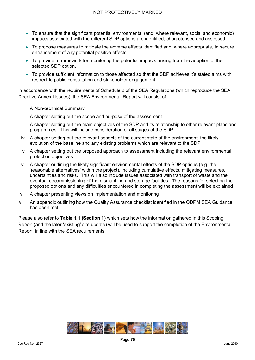- · To ensure that the significant potential environmental (and, where relevant, social and economic) impacts associated with the different SDP options are identified, characterised and assessed.
- · To propose measures to mitigate the adverse effects identified and, where appropriate, to secure enhancement of any potential positive effects.
- · To provide a framework for monitoring the potential impacts arising from the adoption of the selected SDP option.
- · To provide sufficient information to those affected so that the SDP achieves it's stated aims with respect to public consultation and stakeholder engagement.

In accordance with the requirements of Schedule 2 of the SEA Regulations (which reproduce the SEA Directive Annex I issues), the SEA Environmental Report will consist of:

- i. A Non-technical Summary
- ii. A chapter setting out the scope and purpose of the assessment
- iii. A chapter setting out the main objectives of the SDP and its relationship to other relevant plans and programmes. This will include consideration of all stages of the SDP
- iv. A chapter setting out the relevant aspects of the current state of the environment, the likely evolution of the baseline and any existing problems which are relevant to the SDP
- v. A chapter setting out the proposed approach to assessment including the relevant environmental protection objectives
- vi. A chapter outlining the likely significant environmental effects of the SDP options (e.g. the 'reasonable alternatives' within the project), including cumulative effects, mitigating measures, uncertainties and risks. This will also include issues associated with transport of waste and the eventual decommissioning of the dismantling and storage facilities. The reasons for selecting the proposed options and any difficulties encountered in completing the assessment will be explained
- vii. A chapter presenting views on implementation and monitoring
- viii. An appendix outlining how the Quality Assurance checklist identified in the ODPM SEA Guidance has been met.

Please also refer to **Table 1.1 (Section 1)** which sets how the information gathered in this Scoping Report (and the later 'existing' site update) will be used to support the completion of the Environmental Report, in line with the SEA requirements.